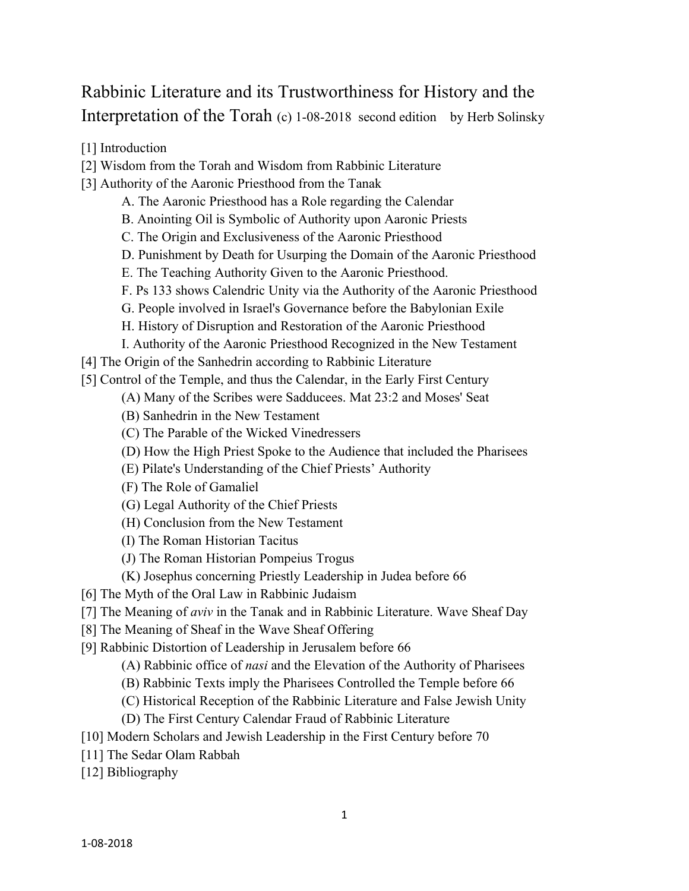# Rabbinic Literature and its Trustworthiness for History and the Interpretation of the Torah (c) 1-08-2018 second edition by Herb Solinsky

- [1] Introduction
- [2] Wisdom from the Torah and Wisdom from Rabbinic Literature
- [3] Authority of the Aaronic Priesthood from the Tanak
	- A. The Aaronic Priesthood has a Role regarding the Calendar
	- B. Anointing Oil is Symbolic of Authority upon Aaronic Priests
	- C. The Origin and Exclusiveness of the Aaronic Priesthood
	- D. Punishment by Death for Usurping the Domain of the Aaronic Priesthood
	- E. The Teaching Authority Given to the Aaronic Priesthood.
	- F. Ps 133 shows Calendric Unity via the Authority of the Aaronic Priesthood
	- G. People involved in Israel's Governance before the Babylonian Exile
	- H. History of Disruption and Restoration of the Aaronic Priesthood
	- I. Authority of the Aaronic Priesthood Recognized in the New Testament

[4] The Origin of the Sanhedrin according to Rabbinic Literature

[5] Control of the Temple, and thus the Calendar, in the Early First Century

- (A) Many of the Scribes were Sadducees. Mat 23:2 and Moses' Seat
- (B) Sanhedrin in the New Testament
- (C) The Parable of the Wicked Vinedressers
- (D) How the High Priest Spoke to the Audience that included the Pharisees
- (E) Pilate's Understanding of the Chief Priests' Authority
- (F) The Role of Gamaliel
- (G) Legal Authority of the Chief Priests
- (H) Conclusion from the New Testament
- (I) The Roman Historian Tacitus
- (J) The Roman Historian Pompeius Trogus
- (K) Josephus concerning Priestly Leadership in Judea before 66
- [6] The Myth of the Oral Law in Rabbinic Judaism
- [7] The Meaning of *aviv* in the Tanak and in Rabbinic Literature. Wave Sheaf Day
- [8] The Meaning of Sheaf in the Wave Sheaf Offering
- [9] Rabbinic Distortion of Leadership in Jerusalem before 66
	- (A) Rabbinic office of *nasi* and the Elevation of the Authority of Pharisees
	- (B) Rabbinic Texts imply the Pharisees Controlled the Temple before 66
	- (C) Historical Reception of the Rabbinic Literature and False Jewish Unity
	- (D) The First Century Calendar Fraud of Rabbinic Literature
- [10] Modern Scholars and Jewish Leadership in the First Century before 70
- [11] The Sedar Olam Rabbah
- [12] Bibliography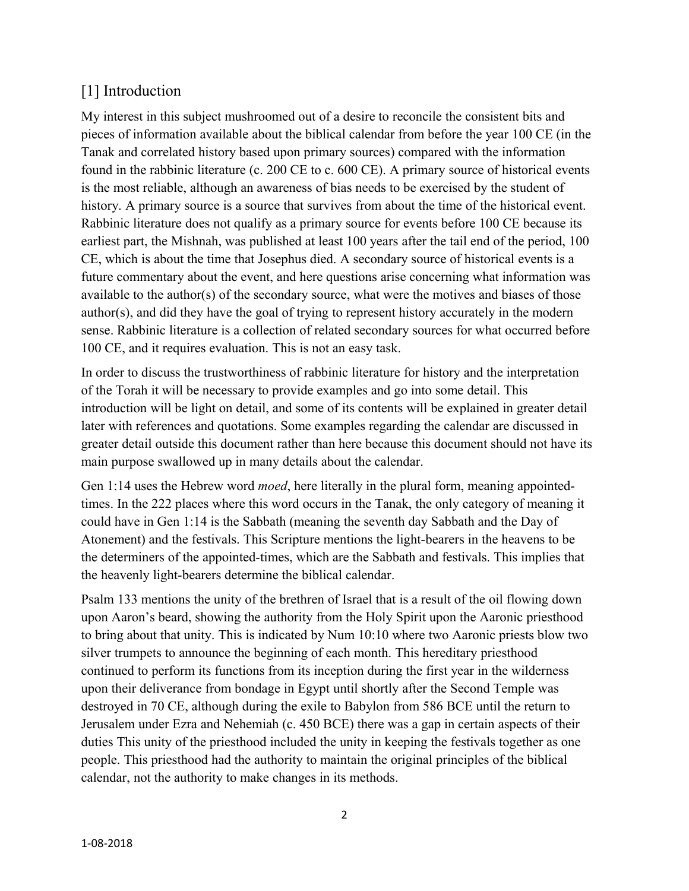# [1] Introduction

My interest in this subject mushroomed out of a desire to reconcile the consistent bits and pieces of information available about the biblical calendar from before the year 100 CE (in the Tanak and correlated history based upon primary sources) compared with the information found in the rabbinic literature (c. 200 CE to c. 600 CE). A primary source of historical events is the most reliable, although an awareness of bias needs to be exercised by the student of history. A primary source is a source that survives from about the time of the historical event. Rabbinic literature does not qualify as a primary source for events before 100 CE because its earliest part, the Mishnah, was published at least 100 years after the tail end of the period, 100 CE, which is about the time that Josephus died. A secondary source of historical events is a future commentary about the event, and here questions arise concerning what information was available to the author(s) of the secondary source, what were the motives and biases of those author(s), and did they have the goal of trying to represent history accurately in the modern sense. Rabbinic literature is a collection of related secondary sources for what occurred before 100 CE, and it requires evaluation. This is not an easy task.

In order to discuss the trustworthiness of rabbinic literature for history and the interpretation of the Torah it will be necessary to provide examples and go into some detail. This introduction will be light on detail, and some of its contents will be explained in greater detail later with references and quotations. Some examples regarding the calendar are discussed in greater detail outside this document rather than here because this document should not have its main purpose swallowed up in many details about the calendar.

Gen 1:14 uses the Hebrew word *moed*, here literally in the plural form, meaning appointedtimes. In the 222 places where this word occurs in the Tanak, the only category of meaning it could have in Gen 1:14 is the Sabbath (meaning the seventh day Sabbath and the Day of Atonement) and the festivals. This Scripture mentions the light-bearers in the heavens to be the determiners of the appointed-times, which are the Sabbath and festivals. This implies that the heavenly light-bearers determine the biblical calendar.

Psalm 133 mentions the unity of the brethren of Israel that is a result of the oil flowing down upon Aaron's beard, showing the authority from the Holy Spirit upon the Aaronic priesthood to bring about that unity. This is indicated by Num 10:10 where two Aaronic priests blow two silver trumpets to announce the beginning of each month. This hereditary priesthood continued to perform its functions from its inception during the first year in the wilderness upon their deliverance from bondage in Egypt until shortly after the Second Temple was destroyed in 70 CE, although during the exile to Babylon from 586 BCE until the return to Jerusalem under Ezra and Nehemiah (c. 450 BCE) there was a gap in certain aspects of their duties This unity of the priesthood included the unity in keeping the festivals together as one people. This priesthood had the authority to maintain the original principles of the biblical calendar, not the authority to make changes in its methods.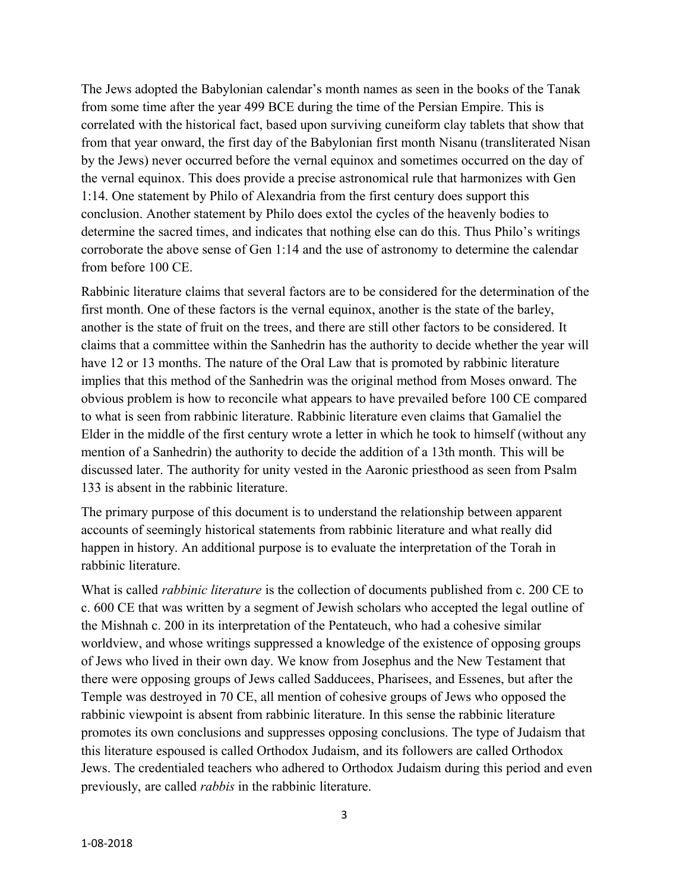The Jews adopted the Babylonian calendar's month names as seen in the books of the Tanak from some time after the year 499 BCE during the time of the Persian Empire. This is correlated with the historical fact, based upon surviving cuneiform clay tablets that show that from that year onward, the first day of the Babylonian first month Nisanu (transliterated Nisan by the Jews) never occurred before the vernal equinox and sometimes occurred on the day of the vernal equinox. This does provide a precise astronomical rule that harmonizes with Gen 1:14. One statement by Philo of Alexandria from the first century does support this conclusion. Another statement by Philo does extol the cycles of the heavenly bodies to determine the sacred times, and indicates that nothing else can do this. Thus Philo's writings corroborate the above sense of Gen 1:14 and the use of astronomy to determine the calendar from before 100 CE.

Rabbinic literature claims that several factors are to be considered for the determination of the first month. One of these factors is the vernal equinox, another is the state of the barley, another is the state of fruit on the trees, and there are still other factors to be considered. It claims that a committee within the Sanhedrin has the authority to decide whether the year will have 12 or 13 months. The nature of the Oral Law that is promoted by rabbinic literature implies that this method of the Sanhedrin was the original method from Moses onward. The obvious problem is how to reconcile what appears to have prevailed before 100 CE compared to what is seen from rabbinic literature. Rabbinic literature even claims that Gamaliel the Elder in the middle of the first century wrote a letter in which he took to himself (without any mention of a Sanhedrin) the authority to decide the addition of a 13th month. This will be discussed later. The authority for unity vested in the Aaronic priesthood as seen from Psalm 133 is absent in the rabbinic literature.

The primary purpose of this document is to understand the relationship between apparent accounts of seemingly historical statements from rabbinic literature and what really did happen in history. An additional purpose is to evaluate the interpretation of the Torah in rabbinic literature.

What is called *rabbinic literature* is the collection of documents published from c. 200 CE to c. 600 CE that was written by a segment of Jewish scholars who accepted the legal outline of the Mishnah c. 200 in its interpretation of the Pentateuch, who had a cohesive similar worldview, and whose writings suppressed a knowledge of the existence of opposing groups of Jews who lived in their own day. We know from Josephus and the New Testament that there were opposing groups of Jews called Sadducees, Pharisees, and Essenes, but after the Temple was destroyed in 70 CE, all mention of cohesive groups of Jews who opposed the rabbinic viewpoint is absent from rabbinic literature. In this sense the rabbinic literature promotes its own conclusions and suppresses opposing conclusions. The type of Judaism that this literature espoused is called Orthodox Judaism, and its followers are called Orthodox Jews. The credentialed teachers who adhered to Orthodox Judaism during this period and even previously, are called *rabbis* in the rabbinic literature.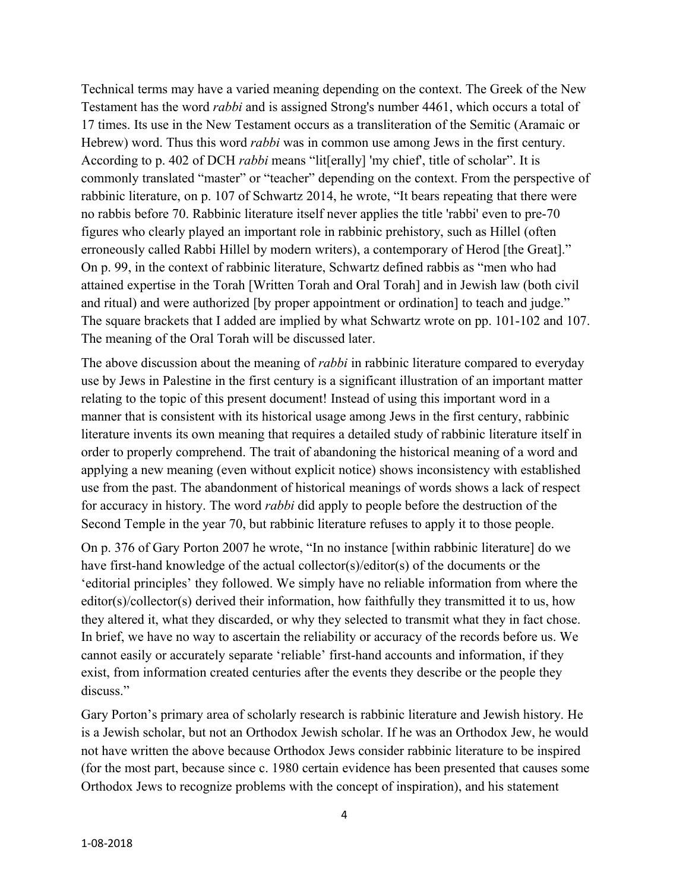Technical terms may have a varied meaning depending on the context. The Greek of the New Testament has the word *rabbi* and is assigned Strong's number 4461, which occurs a total of 17 times. Its use in the New Testament occurs as a transliteration of the Semitic (Aramaic or Hebrew) word. Thus this word *rabbi* was in common use among Jews in the first century. According to p. 402 of DCH *rabbi* means "lit[erally] 'my chief', title of scholar". It is commonly translated "master" or "teacher" depending on the context. From the perspective of rabbinic literature, on p. 107 of Schwartz 2014, he wrote, "It bears repeating that there were no rabbis before 70. Rabbinic literature itself never applies the title 'rabbi' even to pre-70 figures who clearly played an important role in rabbinic prehistory, such as Hillel (often erroneously called Rabbi Hillel by modern writers), a contemporary of Herod [the Great]." On p. 99, in the context of rabbinic literature, Schwartz defined rabbis as "men who had attained expertise in the Torah [Written Torah and Oral Torah] and in Jewish law (both civil and ritual) and were authorized [by proper appointment or ordination] to teach and judge." The square brackets that I added are implied by what Schwartz wrote on pp. 101-102 and 107. The meaning of the Oral Torah will be discussed later.

The above discussion about the meaning of *rabbi* in rabbinic literature compared to everyday use by Jews in Palestine in the first century is a significant illustration of an important matter relating to the topic of this present document! Instead of using this important word in a manner that is consistent with its historical usage among Jews in the first century, rabbinic literature invents its own meaning that requires a detailed study of rabbinic literature itself in order to properly comprehend. The trait of abandoning the historical meaning of a word and applying a new meaning (even without explicit notice) shows inconsistency with established use from the past. The abandonment of historical meanings of words shows a lack of respect for accuracy in history. The word *rabbi* did apply to people before the destruction of the Second Temple in the year 70, but rabbinic literature refuses to apply it to those people.

On p. 376 of Gary Porton 2007 he wrote, "In no instance [within rabbinic literature] do we have first-hand knowledge of the actual collector(s)/editor(s) of the documents or the 'editorial principles' they followed. We simply have no reliable information from where the editor(s)/collector(s) derived their information, how faithfully they transmitted it to us, how they altered it, what they discarded, or why they selected to transmit what they in fact chose. In brief, we have no way to ascertain the reliability or accuracy of the records before us. We cannot easily or accurately separate 'reliable' first-hand accounts and information, if they exist, from information created centuries after the events they describe or the people they discuss."

Gary Porton's primary area of scholarly research is rabbinic literature and Jewish history. He is a Jewish scholar, but not an Orthodox Jewish scholar. If he was an Orthodox Jew, he would not have written the above because Orthodox Jews consider rabbinic literature to be inspired (for the most part, because since c. 1980 certain evidence has been presented that causes some Orthodox Jews to recognize problems with the concept of inspiration), and his statement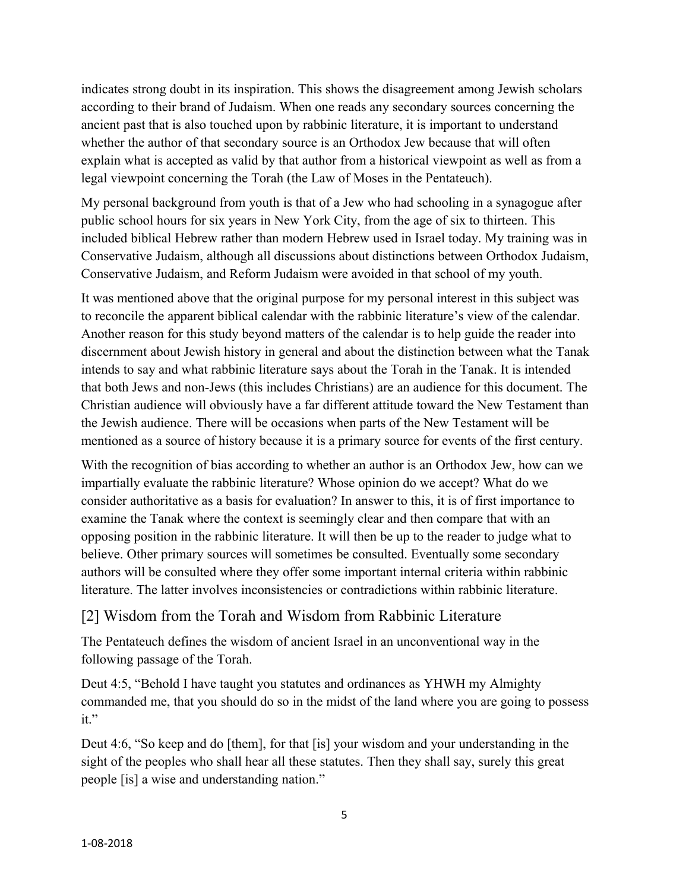indicates strong doubt in its inspiration. This shows the disagreement among Jewish scholars according to their brand of Judaism. When one reads any secondary sources concerning the ancient past that is also touched upon by rabbinic literature, it is important to understand whether the author of that secondary source is an Orthodox Jew because that will often explain what is accepted as valid by that author from a historical viewpoint as well as from a legal viewpoint concerning the Torah (the Law of Moses in the Pentateuch).

My personal background from youth is that of a Jew who had schooling in a synagogue after public school hours for six years in New York City, from the age of six to thirteen. This included biblical Hebrew rather than modern Hebrew used in Israel today. My training was in Conservative Judaism, although all discussions about distinctions between Orthodox Judaism, Conservative Judaism, and Reform Judaism were avoided in that school of my youth.

It was mentioned above that the original purpose for my personal interest in this subject was to reconcile the apparent biblical calendar with the rabbinic literature's view of the calendar. Another reason for this study beyond matters of the calendar is to help guide the reader into discernment about Jewish history in general and about the distinction between what the Tanak intends to say and what rabbinic literature says about the Torah in the Tanak. It is intended that both Jews and non-Jews (this includes Christians) are an audience for this document. The Christian audience will obviously have a far different attitude toward the New Testament than the Jewish audience. There will be occasions when parts of the New Testament will be mentioned as a source of history because it is a primary source for events of the first century.

With the recognition of bias according to whether an author is an Orthodox Jew, how can we impartially evaluate the rabbinic literature? Whose opinion do we accept? What do we consider authoritative as a basis for evaluation? In answer to this, it is of first importance to examine the Tanak where the context is seemingly clear and then compare that with an opposing position in the rabbinic literature. It will then be up to the reader to judge what to believe. Other primary sources will sometimes be consulted. Eventually some secondary authors will be consulted where they offer some important internal criteria within rabbinic literature. The latter involves inconsistencies or contradictions within rabbinic literature.

#### [2] Wisdom from the Torah and Wisdom from Rabbinic Literature

The Pentateuch defines the wisdom of ancient Israel in an unconventional way in the following passage of the Torah.

Deut 4:5, "Behold I have taught you statutes and ordinances as YHWH my Almighty commanded me, that you should do so in the midst of the land where you are going to possess it."

Deut 4:6, "So keep and do [them], for that [is] your wisdom and your understanding in the sight of the peoples who shall hear all these statutes. Then they shall say, surely this great people [is] a wise and understanding nation."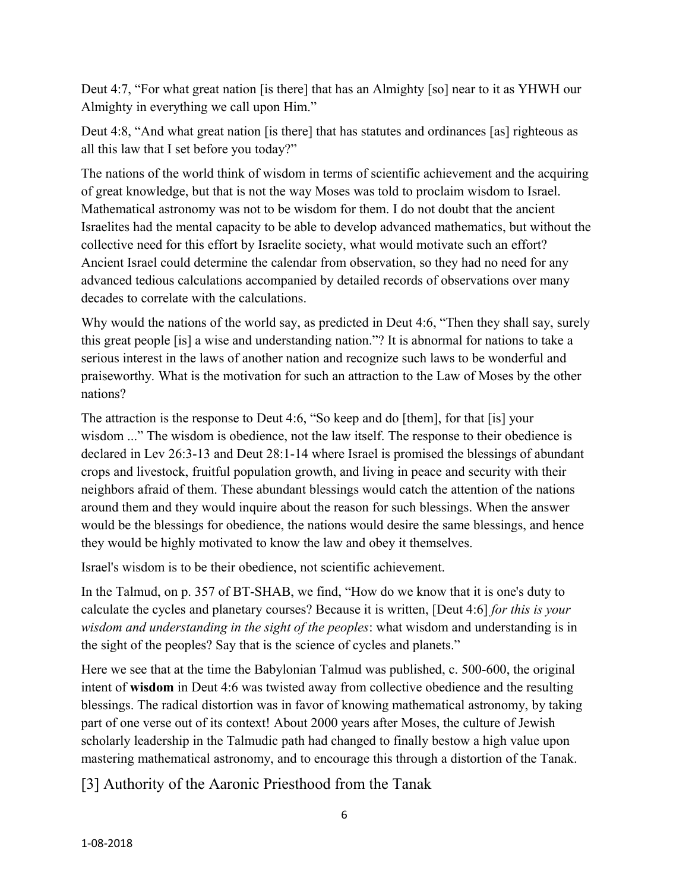Deut 4:7, "For what great nation [is there] that has an Almighty [so] near to it as YHWH our Almighty in everything we call upon Him."

Deut 4:8, "And what great nation [is there] that has statutes and ordinances [as] righteous as all this law that I set before you today?"

The nations of the world think of wisdom in terms of scientific achievement and the acquiring of great knowledge, but that is not the way Moses was told to proclaim wisdom to Israel. Mathematical astronomy was not to be wisdom for them. I do not doubt that the ancient Israelites had the mental capacity to be able to develop advanced mathematics, but without the collective need for this effort by Israelite society, what would motivate such an effort? Ancient Israel could determine the calendar from observation, so they had no need for any advanced tedious calculations accompanied by detailed records of observations over many decades to correlate with the calculations.

Why would the nations of the world say, as predicted in Deut 4:6, "Then they shall say, surely this great people [is] a wise and understanding nation."? It is abnormal for nations to take a serious interest in the laws of another nation and recognize such laws to be wonderful and praiseworthy. What is the motivation for such an attraction to the Law of Moses by the other nations?

The attraction is the response to Deut 4:6, "So keep and do [them], for that [is] your wisdom ..." The wisdom is obedience, not the law itself. The response to their obedience is declared in Lev 26:3-13 and Deut 28:1-14 where Israel is promised the blessings of abundant crops and livestock, fruitful population growth, and living in peace and security with their neighbors afraid of them. These abundant blessings would catch the attention of the nations around them and they would inquire about the reason for such blessings. When the answer would be the blessings for obedience, the nations would desire the same blessings, and hence they would be highly motivated to know the law and obey it themselves.

Israel's wisdom is to be their obedience, not scientific achievement.

In the Talmud, on p. 357 of BT-SHAB, we find, "How do we know that it is one's duty to calculate the cycles and planetary courses? Because it is written, [Deut 4:6] *for this is your wisdom and understanding in the sight of the peoples*: what wisdom and understanding is in the sight of the peoples? Say that is the science of cycles and planets."

Here we see that at the time the Babylonian Talmud was published, c. 500-600, the original intent of **wisdom** in Deut 4:6 was twisted away from collective obedience and the resulting blessings. The radical distortion was in favor of knowing mathematical astronomy, by taking part of one verse out of its context! About 2000 years after Moses, the culture of Jewish scholarly leadership in the Talmudic path had changed to finally bestow a high value upon mastering mathematical astronomy, and to encourage this through a distortion of the Tanak.

[3] Authority of the Aaronic Priesthood from the Tanak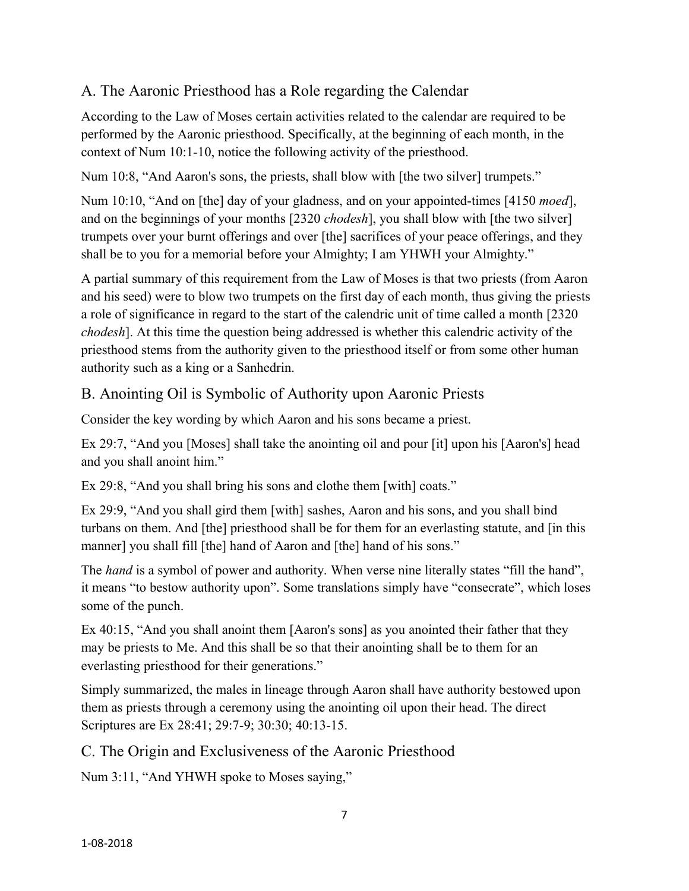### A. The Aaronic Priesthood has a Role regarding the Calendar

According to the Law of Moses certain activities related to the calendar are required to be performed by the Aaronic priesthood. Specifically, at the beginning of each month, in the context of Num 10:1-10, notice the following activity of the priesthood.

Num 10:8, "And Aaron's sons, the priests, shall blow with [the two silver] trumpets."

Num 10:10, "And on [the] day of your gladness, and on your appointed-times [4150 *moed*], and on the beginnings of your months [2320 *chodesh*], you shall blow with [the two silver] trumpets over your burnt offerings and over [the] sacrifices of your peace offerings, and they shall be to you for a memorial before your Almighty; I am YHWH your Almighty."

A partial summary of this requirement from the Law of Moses is that two priests (from Aaron and his seed) were to blow two trumpets on the first day of each month, thus giving the priests a role of significance in regard to the start of the calendric unit of time called a month [2320 *chodesh*]. At this time the question being addressed is whether this calendric activity of the priesthood stems from the authority given to the priesthood itself or from some other human authority such as a king or a Sanhedrin.

B. Anointing Oil is Symbolic of Authority upon Aaronic Priests

Consider the key wording by which Aaron and his sons became a priest.

Ex 29:7, "And you [Moses] shall take the anointing oil and pour [it] upon his [Aaron's] head and you shall anoint him."

Ex 29:8, "And you shall bring his sons and clothe them [with] coats."

Ex 29:9, "And you shall gird them [with] sashes, Aaron and his sons, and you shall bind turbans on them. And [the] priesthood shall be for them for an everlasting statute, and [in this manner] you shall fill [the] hand of Aaron and [the] hand of his sons."

The *hand* is a symbol of power and authority. When verse nine literally states "fill the hand", it means "to bestow authority upon". Some translations simply have "consecrate", which loses some of the punch.

Ex 40:15, "And you shall anoint them [Aaron's sons] as you anointed their father that they may be priests to Me. And this shall be so that their anointing shall be to them for an everlasting priesthood for their generations."

Simply summarized, the males in lineage through Aaron shall have authority bestowed upon them as priests through a ceremony using the anointing oil upon their head. The direct Scriptures are Ex 28:41; 29:7-9; 30:30; 40:13-15.

C. The Origin and Exclusiveness of the Aaronic Priesthood

Num 3:11, "And YHWH spoke to Moses saying,"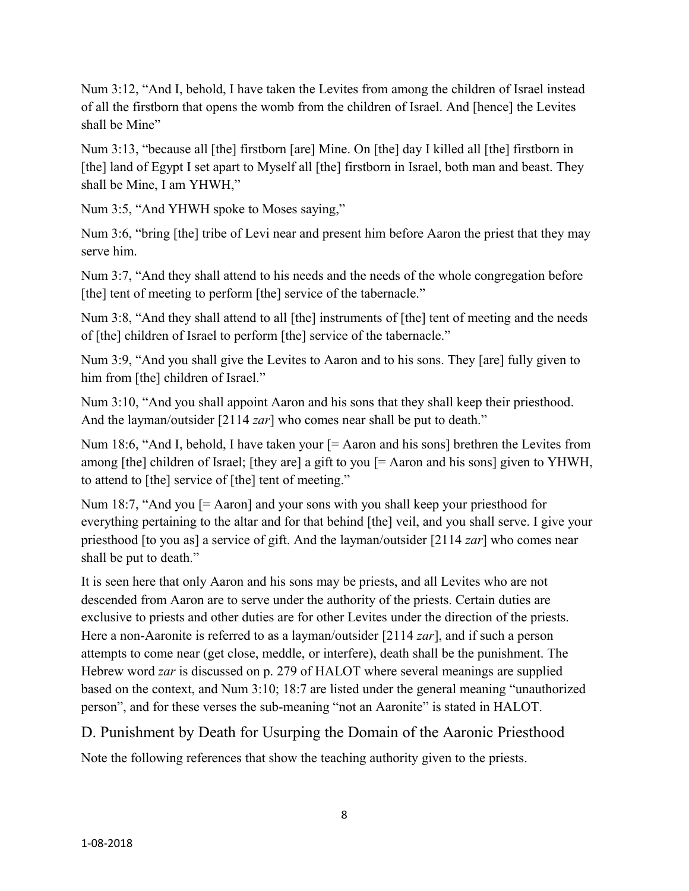Num 3:12, "And I, behold, I have taken the Levites from among the children of Israel instead of all the firstborn that opens the womb from the children of Israel. And [hence] the Levites shall be Mine"

Num 3:13, "because all [the] firstborn [are] Mine. On [the] day I killed all [the] firstborn in [the] land of Egypt I set apart to Myself all [the] firstborn in Israel, both man and beast. They shall be Mine, I am YHWH,"

Num 3:5, "And YHWH spoke to Moses saying,"

Num 3:6, "bring [the] tribe of Levi near and present him before Aaron the priest that they may serve him.

Num 3:7, "And they shall attend to his needs and the needs of the whole congregation before [the] tent of meeting to perform [the] service of the tabernacle."

Num 3:8, "And they shall attend to all [the] instruments of [the] tent of meeting and the needs of [the] children of Israel to perform [the] service of the tabernacle."

Num 3:9, "And you shall give the Levites to Aaron and to his sons. They [are] fully given to him from [the] children of Israel."

Num 3:10, "And you shall appoint Aaron and his sons that they shall keep their priesthood. And the layman/outsider [2114 *zar*] who comes near shall be put to death."

Num 18:6, "And I, behold, I have taken your  $[=$  Aaron and his sons] brethren the Levites from among [the] children of Israel; [they are] a gift to you [= Aaron and his sons] given to YHWH, to attend to [the] service of [the] tent of meeting."

Num 18:7, "And you [= Aaron] and your sons with you shall keep your priesthood for everything pertaining to the altar and for that behind [the] veil, and you shall serve. I give your priesthood [to you as] a service of gift. And the layman/outsider [2114 *zar*] who comes near shall be put to death."

It is seen here that only Aaron and his sons may be priests, and all Levites who are not descended from Aaron are to serve under the authority of the priests. Certain duties are exclusive to priests and other duties are for other Levites under the direction of the priests. Here a non-Aaronite is referred to as a layman/outsider [2114 *zar*], and if such a person attempts to come near (get close, meddle, or interfere), death shall be the punishment. The Hebrew word *zar* is discussed on p. 279 of HALOT where several meanings are supplied based on the context, and Num 3:10; 18:7 are listed under the general meaning "unauthorized person", and for these verses the sub-meaning "not an Aaronite" is stated in HALOT.

D. Punishment by Death for Usurping the Domain of the Aaronic Priesthood

Note the following references that show the teaching authority given to the priests.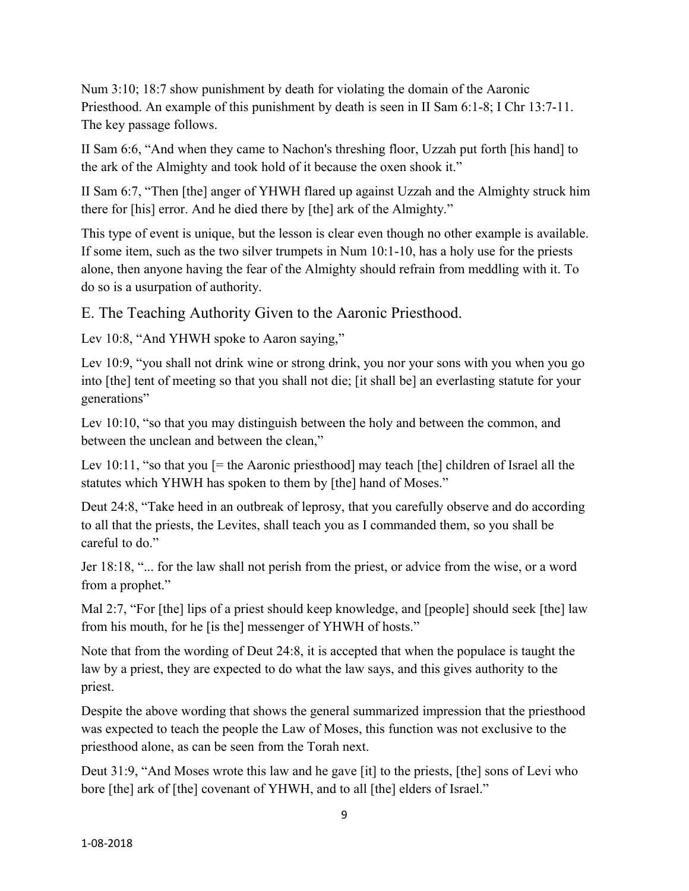Num 3:10; 18:7 show punishment by death for violating the domain of the Aaronic Priesthood. An example of this punishment by death is seen in II Sam 6:1-8; I Chr 13:7-11. The key passage follows.

II Sam 6:6, "And when they came to Nachon's threshing floor, Uzzah put forth [his hand] to the ark of the Almighty and took hold of it because the oxen shook it."

II Sam 6:7, "Then [the] anger of YHWH flared up against Uzzah and the Almighty struck him there for [his] error. And he died there by [the] ark of the Almighty."

This type of event is unique, but the lesson is clear even though no other example is available. If some item, such as the two silver trumpets in Num 10:1-10, has a holy use for the priests alone, then anyone having the fear of the Almighty should refrain from meddling with it. To do so is a usurpation of authority.

E. The Teaching Authority Given to the Aaronic Priesthood.

Lev 10:8, "And YHWH spoke to Aaron saying,"

Lev 10:9, "you shall not drink wine or strong drink, you nor your sons with you when you go into [the] tent of meeting so that you shall not die; [it shall be] an everlasting statute for your generations"

Lev 10:10, "so that you may distinguish between the holy and between the common, and between the unclean and between the clean,"

Lev 10:11, "so that you  $=$  the Aaronic priesthood] may teach [the] children of Israel all the statutes which YHWH has spoken to them by [the] hand of Moses."

Deut 24:8, "Take heed in an outbreak of leprosy, that you carefully observe and do according to all that the priests, the Levites, shall teach you as I commanded them, so you shall be careful to do."

Jer 18:18, "... for the law shall not perish from the priest, or advice from the wise, or a word from a prophet."

Mal 2:7, "For [the] lips of a priest should keep knowledge, and [people] should seek [the] law from his mouth, for he [is the] messenger of YHWH of hosts."

Note that from the wording of Deut 24:8, it is accepted that when the populace is taught the law by a priest, they are expected to do what the law says, and this gives authority to the priest.

Despite the above wording that shows the general summarized impression that the priesthood was expected to teach the people the Law of Moses, this function was not exclusive to the priesthood alone, as can be seen from the Torah next.

Deut 31:9, "And Moses wrote this law and he gave [it] to the priests, [the] sons of Levi who bore [the] ark of [the] covenant of YHWH, and to all [the] elders of Israel."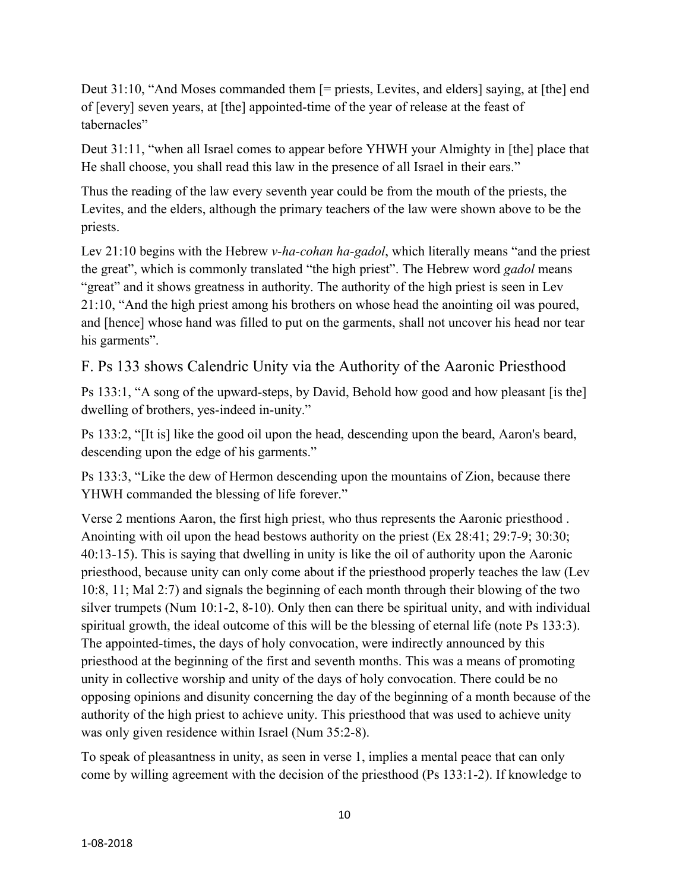Deut 31:10, "And Moses commanded them [= priests, Levites, and elders] saying, at [the] end of [every] seven years, at [the] appointed-time of the year of release at the feast of tabernacles"

Deut 31:11, "when all Israel comes to appear before YHWH your Almighty in [the] place that He shall choose, you shall read this law in the presence of all Israel in their ears."

Thus the reading of the law every seventh year could be from the mouth of the priests, the Levites, and the elders, although the primary teachers of the law were shown above to be the priests.

Lev 21:10 begins with the Hebrew *v-ha-cohan ha-gadol*, which literally means "and the priest the great", which is commonly translated "the high priest". The Hebrew word *gadol* means "great" and it shows greatness in authority. The authority of the high priest is seen in Lev 21:10, "And the high priest among his brothers on whose head the anointing oil was poured, and [hence] whose hand was filled to put on the garments, shall not uncover his head nor tear his garments".

F. Ps 133 shows Calendric Unity via the Authority of the Aaronic Priesthood

Ps 133:1, "A song of the upward-steps, by David, Behold how good and how pleasant [is the] dwelling of brothers, yes-indeed in-unity."

Ps 133:2, "[It is] like the good oil upon the head, descending upon the beard, Aaron's beard, descending upon the edge of his garments."

Ps 133:3, "Like the dew of Hermon descending upon the mountains of Zion, because there YHWH commanded the blessing of life forever."

Verse 2 mentions Aaron, the first high priest, who thus represents the Aaronic priesthood . Anointing with oil upon the head bestows authority on the priest (Ex 28:41; 29:7-9; 30:30; 40:13-15). This is saying that dwelling in unity is like the oil of authority upon the Aaronic priesthood, because unity can only come about if the priesthood properly teaches the law (Lev 10:8, 11; Mal 2:7) and signals the beginning of each month through their blowing of the two silver trumpets (Num 10:1-2, 8-10). Only then can there be spiritual unity, and with individual spiritual growth, the ideal outcome of this will be the blessing of eternal life (note Ps 133:3). The appointed-times, the days of holy convocation, were indirectly announced by this priesthood at the beginning of the first and seventh months. This was a means of promoting unity in collective worship and unity of the days of holy convocation. There could be no opposing opinions and disunity concerning the day of the beginning of a month because of the authority of the high priest to achieve unity. This priesthood that was used to achieve unity was only given residence within Israel (Num 35:2-8).

To speak of pleasantness in unity, as seen in verse 1, implies a mental peace that can only come by willing agreement with the decision of the priesthood (Ps 133:1-2). If knowledge to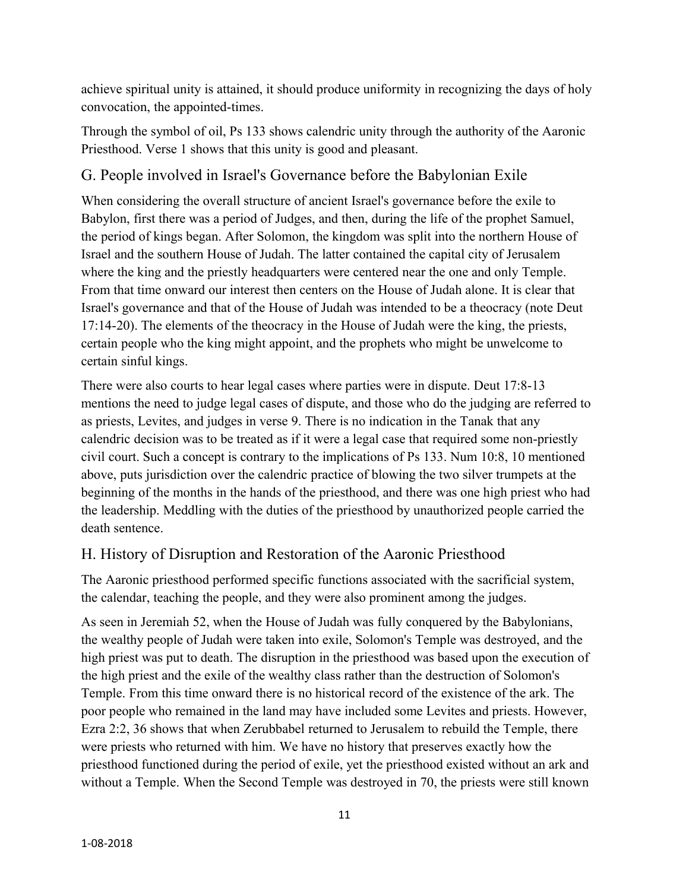achieve spiritual unity is attained, it should produce uniformity in recognizing the days of holy convocation, the appointed-times.

Through the symbol of oil, Ps 133 shows calendric unity through the authority of the Aaronic Priesthood. Verse 1 shows that this unity is good and pleasant.

# G. People involved in Israel's Governance before the Babylonian Exile

When considering the overall structure of ancient Israel's governance before the exile to Babylon, first there was a period of Judges, and then, during the life of the prophet Samuel, the period of kings began. After Solomon, the kingdom was split into the northern House of Israel and the southern House of Judah. The latter contained the capital city of Jerusalem where the king and the priestly headquarters were centered near the one and only Temple. From that time onward our interest then centers on the House of Judah alone. It is clear that Israel's governance and that of the House of Judah was intended to be a theocracy (note Deut 17:14-20). The elements of the theocracy in the House of Judah were the king, the priests, certain people who the king might appoint, and the prophets who might be unwelcome to certain sinful kings.

There were also courts to hear legal cases where parties were in dispute. Deut 17:8-13 mentions the need to judge legal cases of dispute, and those who do the judging are referred to as priests, Levites, and judges in verse 9. There is no indication in the Tanak that any calendric decision was to be treated as if it were a legal case that required some non-priestly civil court. Such a concept is contrary to the implications of Ps 133. Num 10:8, 10 mentioned above, puts jurisdiction over the calendric practice of blowing the two silver trumpets at the beginning of the months in the hands of the priesthood, and there was one high priest who had the leadership. Meddling with the duties of the priesthood by unauthorized people carried the death sentence.

## H. History of Disruption and Restoration of the Aaronic Priesthood

The Aaronic priesthood performed specific functions associated with the sacrificial system, the calendar, teaching the people, and they were also prominent among the judges.

As seen in Jeremiah 52, when the House of Judah was fully conquered by the Babylonians, the wealthy people of Judah were taken into exile, Solomon's Temple was destroyed, and the high priest was put to death. The disruption in the priesthood was based upon the execution of the high priest and the exile of the wealthy class rather than the destruction of Solomon's Temple. From this time onward there is no historical record of the existence of the ark. The poor people who remained in the land may have included some Levites and priests. However, Ezra 2:2, 36 shows that when Zerubbabel returned to Jerusalem to rebuild the Temple, there were priests who returned with him. We have no history that preserves exactly how the priesthood functioned during the period of exile, yet the priesthood existed without an ark and without a Temple. When the Second Temple was destroyed in 70, the priests were still known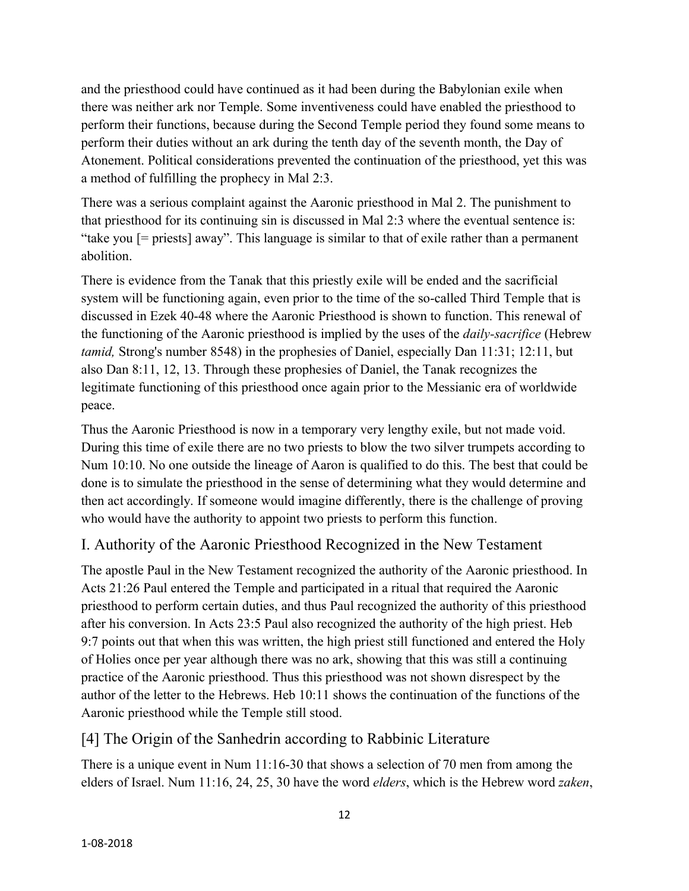and the priesthood could have continued as it had been during the Babylonian exile when there was neither ark nor Temple. Some inventiveness could have enabled the priesthood to perform their functions, because during the Second Temple period they found some means to perform their duties without an ark during the tenth day of the seventh month, the Day of Atonement. Political considerations prevented the continuation of the priesthood, yet this was a method of fulfilling the prophecy in Mal 2:3.

There was a serious complaint against the Aaronic priesthood in Mal 2. The punishment to that priesthood for its continuing sin is discussed in Mal 2:3 where the eventual sentence is: "take you [= priests] away". This language is similar to that of exile rather than a permanent abolition.

There is evidence from the Tanak that this priestly exile will be ended and the sacrificial system will be functioning again, even prior to the time of the so-called Third Temple that is discussed in Ezek 40-48 where the Aaronic Priesthood is shown to function. This renewal of the functioning of the Aaronic priesthood is implied by the uses of the *daily-sacrifice* (Hebrew *tamid,* Strong's number 8548) in the prophesies of Daniel, especially Dan 11:31; 12:11, but also Dan 8:11, 12, 13. Through these prophesies of Daniel, the Tanak recognizes the legitimate functioning of this priesthood once again prior to the Messianic era of worldwide peace.

Thus the Aaronic Priesthood is now in a temporary very lengthy exile, but not made void. During this time of exile there are no two priests to blow the two silver trumpets according to Num 10:10. No one outside the lineage of Aaron is qualified to do this. The best that could be done is to simulate the priesthood in the sense of determining what they would determine and then act accordingly. If someone would imagine differently, there is the challenge of proving who would have the authority to appoint two priests to perform this function.

# I. Authority of the Aaronic Priesthood Recognized in the New Testament

The apostle Paul in the New Testament recognized the authority of the Aaronic priesthood. In Acts 21:26 Paul entered the Temple and participated in a ritual that required the Aaronic priesthood to perform certain duties, and thus Paul recognized the authority of this priesthood after his conversion. In Acts 23:5 Paul also recognized the authority of the high priest. Heb 9:7 points out that when this was written, the high priest still functioned and entered the Holy of Holies once per year although there was no ark, showing that this was still a continuing practice of the Aaronic priesthood. Thus this priesthood was not shown disrespect by the author of the letter to the Hebrews. Heb 10:11 shows the continuation of the functions of the Aaronic priesthood while the Temple still stood.

#### [4] The Origin of the Sanhedrin according to Rabbinic Literature

There is a unique event in Num 11:16-30 that shows a selection of 70 men from among the elders of Israel. Num 11:16, 24, 25, 30 have the word *elders*, which is the Hebrew word *zaken*,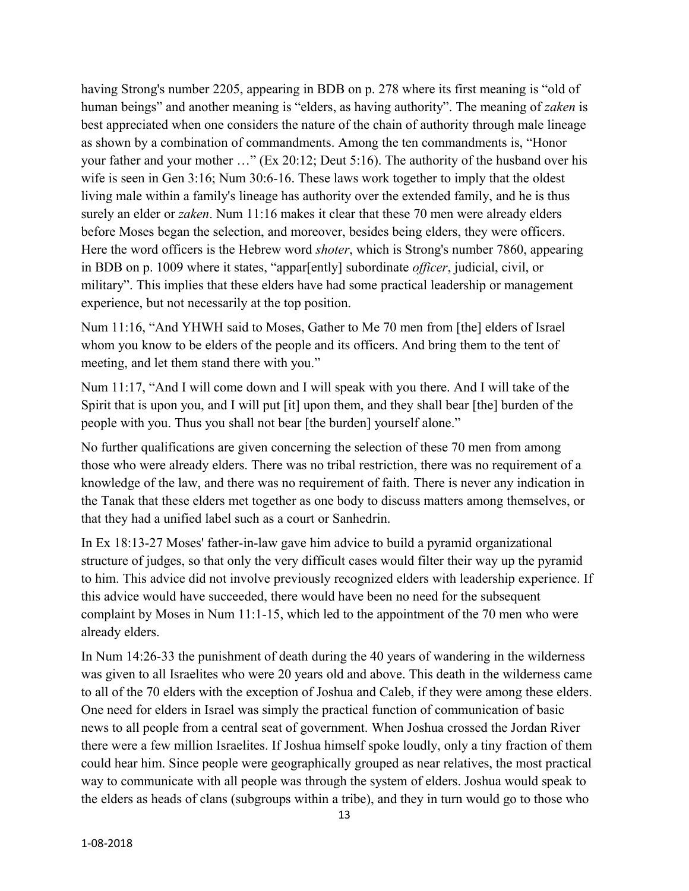having Strong's number 2205, appearing in BDB on p. 278 where its first meaning is "old of human beings" and another meaning is "elders, as having authority". The meaning of *zaken* is best appreciated when one considers the nature of the chain of authority through male lineage as shown by a combination of commandments. Among the ten commandments is, "Honor your father and your mother …" (Ex 20:12; Deut 5:16). The authority of the husband over his wife is seen in Gen 3:16; Num 30:6-16. These laws work together to imply that the oldest living male within a family's lineage has authority over the extended family, and he is thus surely an elder or *zaken*. Num 11:16 makes it clear that these 70 men were already elders before Moses began the selection, and moreover, besides being elders, they were officers. Here the word officers is the Hebrew word *shoter*, which is Strong's number 7860, appearing in BDB on p. 1009 where it states, "appar[ently] subordinate *officer*, judicial, civil, or military". This implies that these elders have had some practical leadership or management experience, but not necessarily at the top position.

Num 11:16, "And YHWH said to Moses, Gather to Me 70 men from [the] elders of Israel whom you know to be elders of the people and its officers. And bring them to the tent of meeting, and let them stand there with you."

Num 11:17, "And I will come down and I will speak with you there. And I will take of the Spirit that is upon you, and I will put [it] upon them, and they shall bear [the] burden of the people with you. Thus you shall not bear [the burden] yourself alone."

No further qualifications are given concerning the selection of these 70 men from among those who were already elders. There was no tribal restriction, there was no requirement of a knowledge of the law, and there was no requirement of faith. There is never any indication in the Tanak that these elders met together as one body to discuss matters among themselves, or that they had a unified label such as a court or Sanhedrin.

In Ex 18:13-27 Moses' father-in-law gave him advice to build a pyramid organizational structure of judges, so that only the very difficult cases would filter their way up the pyramid to him. This advice did not involve previously recognized elders with leadership experience. If this advice would have succeeded, there would have been no need for the subsequent complaint by Moses in Num 11:1-15, which led to the appointment of the 70 men who were already elders.

In Num 14:26-33 the punishment of death during the 40 years of wandering in the wilderness was given to all Israelites who were 20 years old and above. This death in the wilderness came to all of the 70 elders with the exception of Joshua and Caleb, if they were among these elders. One need for elders in Israel was simply the practical function of communication of basic news to all people from a central seat of government. When Joshua crossed the Jordan River there were a few million Israelites. If Joshua himself spoke loudly, only a tiny fraction of them could hear him. Since people were geographically grouped as near relatives, the most practical way to communicate with all people was through the system of elders. Joshua would speak to the elders as heads of clans (subgroups within a tribe), and they in turn would go to those who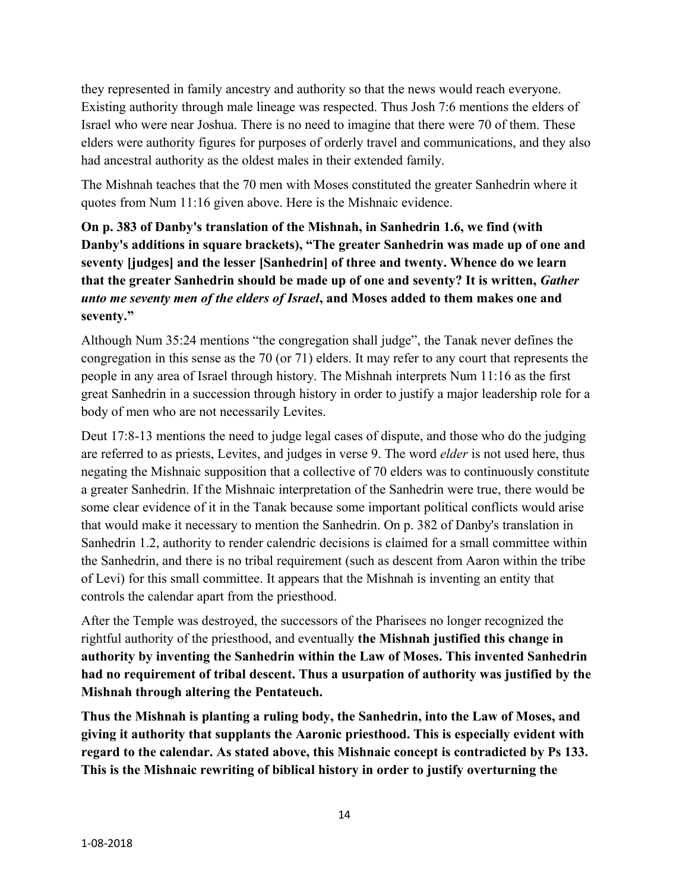they represented in family ancestry and authority so that the news would reach everyone. Existing authority through male lineage was respected. Thus Josh 7:6 mentions the elders of Israel who were near Joshua. There is no need to imagine that there were 70 of them. These elders were authority figures for purposes of orderly travel and communications, and they also had ancestral authority as the oldest males in their extended family.

The Mishnah teaches that the 70 men with Moses constituted the greater Sanhedrin where it quotes from Num 11:16 given above. Here is the Mishnaic evidence.

**On p. 383 of Danby's translation of the Mishnah, in Sanhedrin 1.6, we find (with Danby's additions in square brackets), "The greater Sanhedrin was made up of one and seventy [judges] and the lesser [Sanhedrin] of three and twenty. Whence do we learn that the greater Sanhedrin should be made up of one and seventy? It is written,** *Gather unto me seventy men of the elders of Israel***, and Moses added to them makes one and seventy."**

Although Num 35:24 mentions "the congregation shall judge", the Tanak never defines the congregation in this sense as the 70 (or 71) elders. It may refer to any court that represents the people in any area of Israel through history. The Mishnah interprets Num 11:16 as the first great Sanhedrin in a succession through history in order to justify a major leadership role for a body of men who are not necessarily Levites.

Deut 17:8-13 mentions the need to judge legal cases of dispute, and those who do the judging are referred to as priests, Levites, and judges in verse 9. The word *elder* is not used here, thus negating the Mishnaic supposition that a collective of 70 elders was to continuously constitute a greater Sanhedrin. If the Mishnaic interpretation of the Sanhedrin were true, there would be some clear evidence of it in the Tanak because some important political conflicts would arise that would make it necessary to mention the Sanhedrin. On p. 382 of Danby's translation in Sanhedrin 1.2, authority to render calendric decisions is claimed for a small committee within the Sanhedrin, and there is no tribal requirement (such as descent from Aaron within the tribe of Levi) for this small committee. It appears that the Mishnah is inventing an entity that controls the calendar apart from the priesthood.

After the Temple was destroyed, the successors of the Pharisees no longer recognized the rightful authority of the priesthood, and eventually **the Mishnah justified this change in authority by inventing the Sanhedrin within the Law of Moses. This invented Sanhedrin had no requirement of tribal descent. Thus a usurpation of authority was justified by the Mishnah through altering the Pentateuch.**

**Thus the Mishnah is planting a ruling body, the Sanhedrin, into the Law of Moses, and giving it authority that supplants the Aaronic priesthood. This is especially evident with regard to the calendar. As stated above, this Mishnaic concept is contradicted by Ps 133. This is the Mishnaic rewriting of biblical history in order to justify overturning the**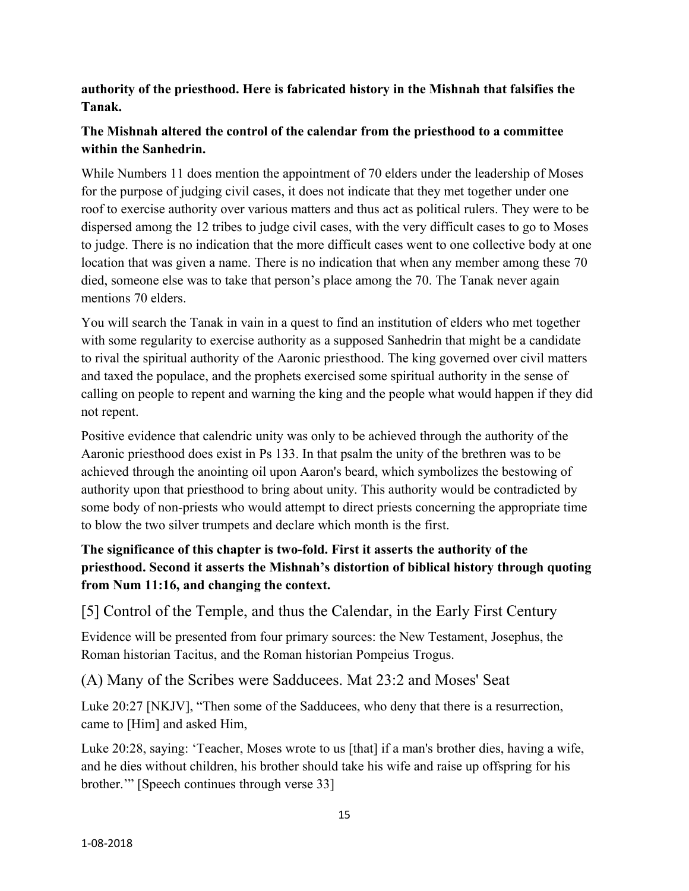**authority of the priesthood. Here is fabricated history in the Mishnah that falsifies the Tanak.**

### **The Mishnah altered the control of the calendar from the priesthood to a committee within the Sanhedrin.**

While Numbers 11 does mention the appointment of 70 elders under the leadership of Moses for the purpose of judging civil cases, it does not indicate that they met together under one roof to exercise authority over various matters and thus act as political rulers. They were to be dispersed among the 12 tribes to judge civil cases, with the very difficult cases to go to Moses to judge. There is no indication that the more difficult cases went to one collective body at one location that was given a name. There is no indication that when any member among these 70 died, someone else was to take that person's place among the 70. The Tanak never again mentions 70 elders.

You will search the Tanak in vain in a quest to find an institution of elders who met together with some regularity to exercise authority as a supposed Sanhedrin that might be a candidate to rival the spiritual authority of the Aaronic priesthood. The king governed over civil matters and taxed the populace, and the prophets exercised some spiritual authority in the sense of calling on people to repent and warning the king and the people what would happen if they did not repent.

Positive evidence that calendric unity was only to be achieved through the authority of the Aaronic priesthood does exist in Ps 133. In that psalm the unity of the brethren was to be achieved through the anointing oil upon Aaron's beard, which symbolizes the bestowing of authority upon that priesthood to bring about unity. This authority would be contradicted by some body of non-priests who would attempt to direct priests concerning the appropriate time to blow the two silver trumpets and declare which month is the first.

## **The significance of this chapter is two-fold. First it asserts the authority of the priesthood. Second it asserts the Mishnah's distortion of biblical history through quoting from Num 11:16, and changing the context.**

[5] Control of the Temple, and thus the Calendar, in the Early First Century

Evidence will be presented from four primary sources: the New Testament, Josephus, the Roman historian Tacitus, and the Roman historian Pompeius Trogus.

(A) Many of the Scribes were Sadducees. Mat 23:2 and Moses' Seat

Luke 20:27 [NKJV], "Then some of the Sadducees, who deny that there is a resurrection, came to [Him] and asked Him,

Luke 20:28, saying: 'Teacher, Moses wrote to us [that] if a man's brother dies, having a wife, and he dies without children, his brother should take his wife and raise up offspring for his brother.'" [Speech continues through verse 33]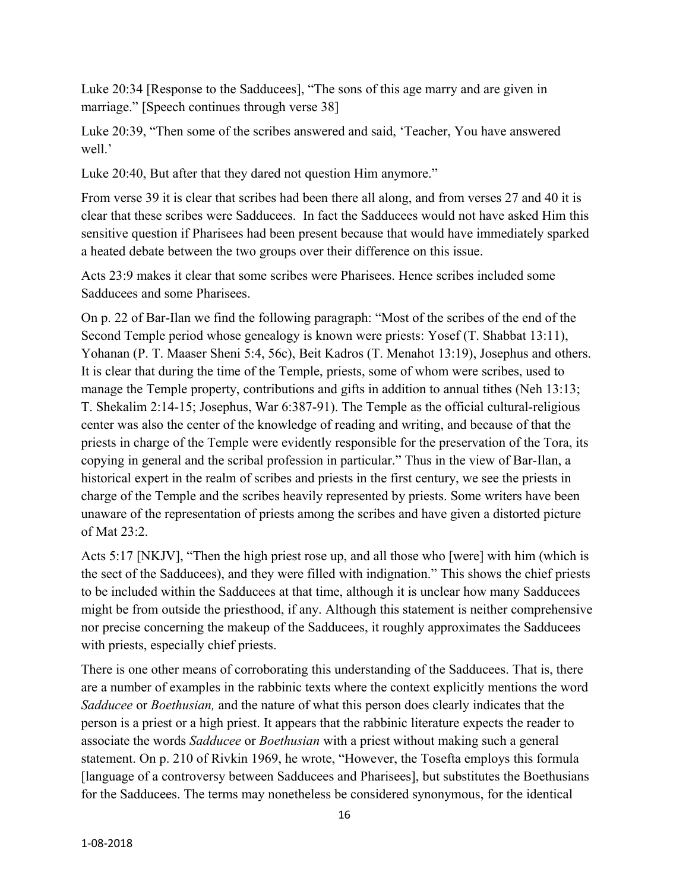Luke 20:34 [Response to the Sadducees], "The sons of this age marry and are given in marriage." [Speech continues through verse 38]

Luke 20:39, "Then some of the scribes answered and said, 'Teacher, You have answered well.'

Luke 20:40, But after that they dared not question Him anymore."

From verse 39 it is clear that scribes had been there all along, and from verses 27 and 40 it is clear that these scribes were Sadducees. In fact the Sadducees would not have asked Him this sensitive question if Pharisees had been present because that would have immediately sparked a heated debate between the two groups over their difference on this issue.

Acts 23:9 makes it clear that some scribes were Pharisees. Hence scribes included some Sadducees and some Pharisees.

On p. 22 of Bar-Ilan we find the following paragraph: "Most of the scribes of the end of the Second Temple period whose genealogy is known were priests: Yosef (T. Shabbat 13:11), Yohanan (P. T. Maaser Sheni 5:4, 56c), Beit Kadros (T. Menahot 13:19), Josephus and others. It is clear that during the time of the Temple, priests, some of whom were scribes, used to manage the Temple property, contributions and gifts in addition to annual tithes (Neh 13:13; T. Shekalim 2:14-15; Josephus, War 6:387-91). The Temple as the official cultural-religious center was also the center of the knowledge of reading and writing, and because of that the priests in charge of the Temple were evidently responsible for the preservation of the Tora, its copying in general and the scribal profession in particular." Thus in the view of Bar-Ilan, a historical expert in the realm of scribes and priests in the first century, we see the priests in charge of the Temple and the scribes heavily represented by priests. Some writers have been unaware of the representation of priests among the scribes and have given a distorted picture of Mat 23:2.

Acts 5:17 [NKJV], "Then the high priest rose up, and all those who [were] with him (which is the sect of the Sadducees), and they were filled with indignation." This shows the chief priests to be included within the Sadducees at that time, although it is unclear how many Sadducees might be from outside the priesthood, if any. Although this statement is neither comprehensive nor precise concerning the makeup of the Sadducees, it roughly approximates the Sadducees with priests, especially chief priests.

There is one other means of corroborating this understanding of the Sadducees. That is, there are a number of examples in the rabbinic texts where the context explicitly mentions the word *Sadducee* or *Boethusian,* and the nature of what this person does clearly indicates that the person is a priest or a high priest. It appears that the rabbinic literature expects the reader to associate the words *Sadducee* or *Boethusian* with a priest without making such a general statement. On p. 210 of Rivkin 1969, he wrote, "However, the Tosefta employs this formula [language of a controversy between Sadducees and Pharisees], but substitutes the Boethusians for the Sadducees. The terms may nonetheless be considered synonymous, for the identical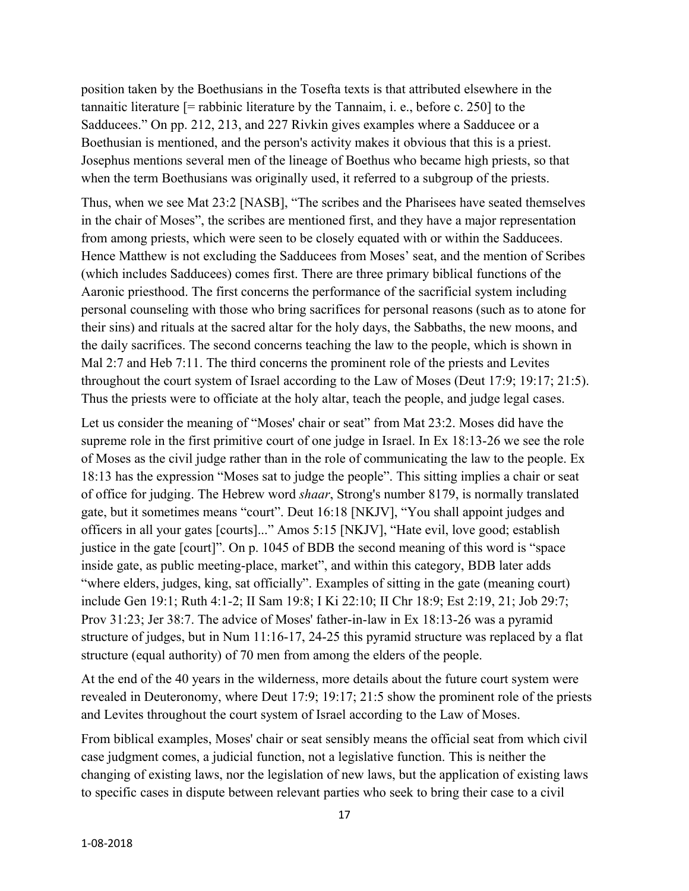position taken by the Boethusians in the Tosefta texts is that attributed elsewhere in the tannaitic literature [= rabbinic literature by the Tannaim, i. e., before c. 250] to the Sadducees." On pp. 212, 213, and 227 Rivkin gives examples where a Sadducee or a Boethusian is mentioned, and the person's activity makes it obvious that this is a priest. Josephus mentions several men of the lineage of Boethus who became high priests, so that when the term Boethusians was originally used, it referred to a subgroup of the priests.

Thus, when we see Mat 23:2 [NASB], "The scribes and the Pharisees have seated themselves in the chair of Moses", the scribes are mentioned first, and they have a major representation from among priests, which were seen to be closely equated with or within the Sadducees. Hence Matthew is not excluding the Sadducees from Moses' seat, and the mention of Scribes (which includes Sadducees) comes first. There are three primary biblical functions of the Aaronic priesthood. The first concerns the performance of the sacrificial system including personal counseling with those who bring sacrifices for personal reasons (such as to atone for their sins) and rituals at the sacred altar for the holy days, the Sabbaths, the new moons, and the daily sacrifices. The second concerns teaching the law to the people, which is shown in Mal 2:7 and Heb 7:11. The third concerns the prominent role of the priests and Levites throughout the court system of Israel according to the Law of Moses (Deut 17:9; 19:17; 21:5). Thus the priests were to officiate at the holy altar, teach the people, and judge legal cases.

Let us consider the meaning of "Moses' chair or seat" from Mat 23:2. Moses did have the supreme role in the first primitive court of one judge in Israel. In Ex 18:13-26 we see the role of Moses as the civil judge rather than in the role of communicating the law to the people. Ex 18:13 has the expression "Moses sat to judge the people". This sitting implies a chair or seat of office for judging. The Hebrew word *shaar*, Strong's number 8179, is normally translated gate, but it sometimes means "court". Deut 16:18 [NKJV], "You shall appoint judges and officers in all your gates [courts]..." Amos 5:15 [NKJV], "Hate evil, love good; establish justice in the gate [court]". On p. 1045 of BDB the second meaning of this word is "space inside gate, as public meeting-place, market", and within this category, BDB later adds "where elders, judges, king, sat officially". Examples of sitting in the gate (meaning court) include Gen 19:1; Ruth 4:1-2; II Sam 19:8; I Ki 22:10; II Chr 18:9; Est 2:19, 21; Job 29:7; Prov 31:23; Jer 38:7. The advice of Moses' father-in-law in Ex 18:13-26 was a pyramid structure of judges, but in Num 11:16-17, 24-25 this pyramid structure was replaced by a flat structure (equal authority) of 70 men from among the elders of the people.

At the end of the 40 years in the wilderness, more details about the future court system were revealed in Deuteronomy, where Deut 17:9; 19:17; 21:5 show the prominent role of the priests and Levites throughout the court system of Israel according to the Law of Moses.

From biblical examples, Moses' chair or seat sensibly means the official seat from which civil case judgment comes, a judicial function, not a legislative function. This is neither the changing of existing laws, nor the legislation of new laws, but the application of existing laws to specific cases in dispute between relevant parties who seek to bring their case to a civil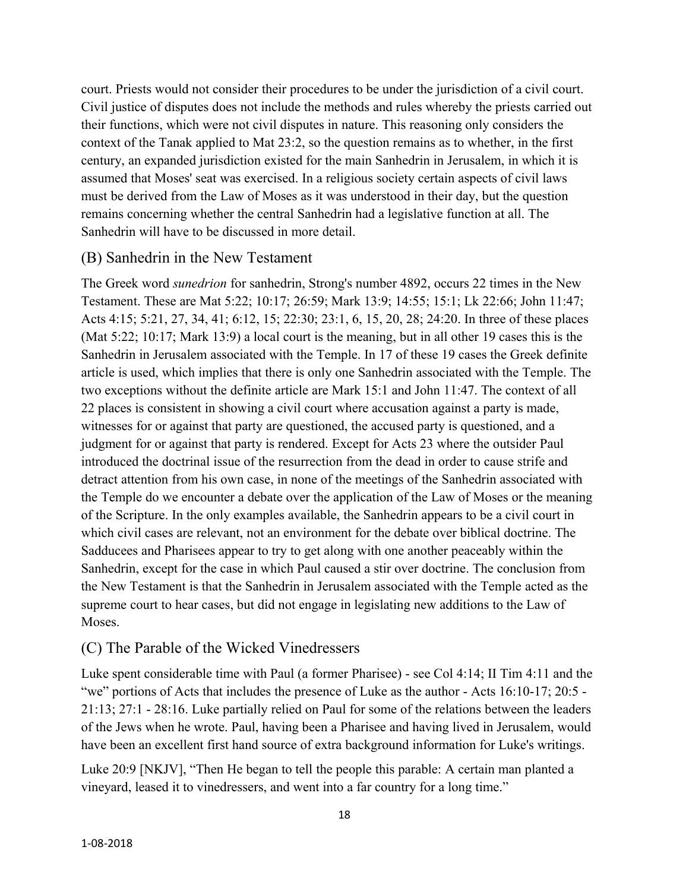court. Priests would not consider their procedures to be under the jurisdiction of a civil court. Civil justice of disputes does not include the methods and rules whereby the priests carried out their functions, which were not civil disputes in nature. This reasoning only considers the context of the Tanak applied to Mat 23:2, so the question remains as to whether, in the first century, an expanded jurisdiction existed for the main Sanhedrin in Jerusalem, in which it is assumed that Moses' seat was exercised. In a religious society certain aspects of civil laws must be derived from the Law of Moses as it was understood in their day, but the question remains concerning whether the central Sanhedrin had a legislative function at all. The Sanhedrin will have to be discussed in more detail.

#### (B) Sanhedrin in the New Testament

The Greek word *sunedrion* for sanhedrin, Strong's number 4892, occurs 22 times in the New Testament. These are Mat 5:22; 10:17; 26:59; Mark 13:9; 14:55; 15:1; Lk 22:66; John 11:47; Acts 4:15; 5:21, 27, 34, 41; 6:12, 15; 22:30; 23:1, 6, 15, 20, 28; 24:20. In three of these places (Mat 5:22; 10:17; Mark 13:9) a local court is the meaning, but in all other 19 cases this is the Sanhedrin in Jerusalem associated with the Temple. In 17 of these 19 cases the Greek definite article is used, which implies that there is only one Sanhedrin associated with the Temple. The two exceptions without the definite article are Mark 15:1 and John 11:47. The context of all 22 places is consistent in showing a civil court where accusation against a party is made, witnesses for or against that party are questioned, the accused party is questioned, and a judgment for or against that party is rendered. Except for Acts 23 where the outsider Paul introduced the doctrinal issue of the resurrection from the dead in order to cause strife and detract attention from his own case, in none of the meetings of the Sanhedrin associated with the Temple do we encounter a debate over the application of the Law of Moses or the meaning of the Scripture. In the only examples available, the Sanhedrin appears to be a civil court in which civil cases are relevant, not an environment for the debate over biblical doctrine. The Sadducees and Pharisees appear to try to get along with one another peaceably within the Sanhedrin, except for the case in which Paul caused a stir over doctrine. The conclusion from the New Testament is that the Sanhedrin in Jerusalem associated with the Temple acted as the supreme court to hear cases, but did not engage in legislating new additions to the Law of Moses.

#### (C) The Parable of the Wicked Vinedressers

Luke spent considerable time with Paul (a former Pharisee) - see Col 4:14; II Tim 4:11 and the "we" portions of Acts that includes the presence of Luke as the author - Acts 16:10-17; 20:5 - 21:13; 27:1 - 28:16. Luke partially relied on Paul for some of the relations between the leaders of the Jews when he wrote. Paul, having been a Pharisee and having lived in Jerusalem, would have been an excellent first hand source of extra background information for Luke's writings.

Luke 20:9 [NKJV], "Then He began to tell the people this parable: A certain man planted a vineyard, leased it to vinedressers, and went into a far country for a long time."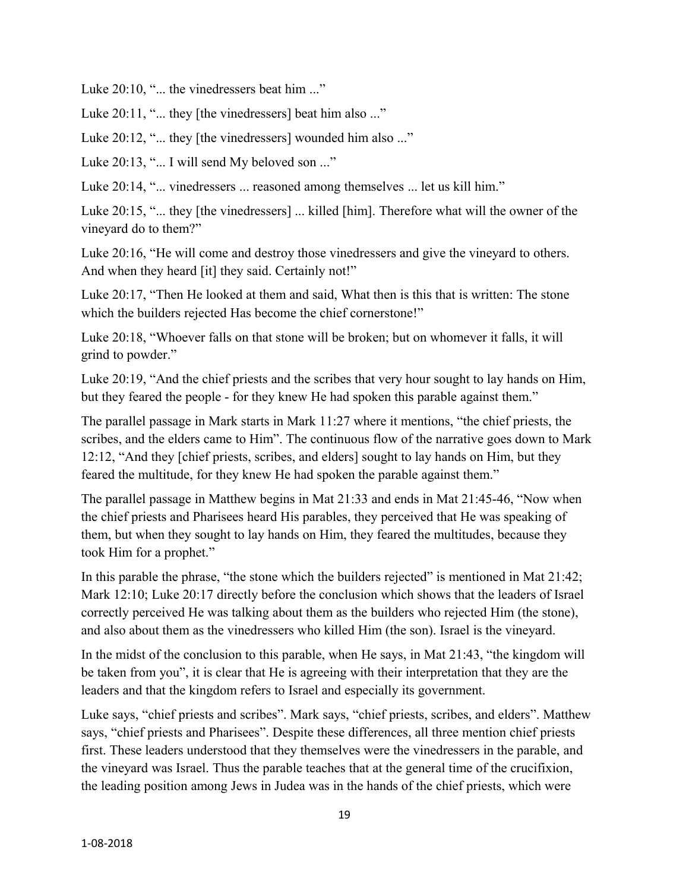Luke 20:10, "... the vinedressers beat him ..."

Luke 20:11, "... they [the vinedressers] beat him also ..."

Luke 20:12, "... they [the vinedressers] wounded him also ..."

Luke 20:13, "... I will send My beloved son ..."

Luke 20:14, "... vinedressers ... reasoned among themselves ... let us kill him."

Luke 20:15, "... they [the vinedressers] ... killed [him]. Therefore what will the owner of the vineyard do to them?"

Luke 20:16, "He will come and destroy those vinedressers and give the vineyard to others. And when they heard [it] they said. Certainly not!"

Luke 20:17, "Then He looked at them and said, What then is this that is written: The stone which the builders rejected Has become the chief cornerstone!"

Luke 20:18, "Whoever falls on that stone will be broken; but on whomever it falls, it will grind to powder."

Luke 20:19, "And the chief priests and the scribes that very hour sought to lay hands on Him, but they feared the people - for they knew He had spoken this parable against them."

The parallel passage in Mark starts in Mark 11:27 where it mentions, "the chief priests, the scribes, and the elders came to Him". The continuous flow of the narrative goes down to Mark 12:12, "And they [chief priests, scribes, and elders] sought to lay hands on Him, but they feared the multitude, for they knew He had spoken the parable against them."

The parallel passage in Matthew begins in Mat 21:33 and ends in Mat 21:45-46, "Now when the chief priests and Pharisees heard His parables, they perceived that He was speaking of them, but when they sought to lay hands on Him, they feared the multitudes, because they took Him for a prophet."

In this parable the phrase, "the stone which the builders rejected" is mentioned in Mat 21:42; Mark 12:10; Luke 20:17 directly before the conclusion which shows that the leaders of Israel correctly perceived He was talking about them as the builders who rejected Him (the stone), and also about them as the vinedressers who killed Him (the son). Israel is the vineyard.

In the midst of the conclusion to this parable, when He says, in Mat 21:43, "the kingdom will be taken from you", it is clear that He is agreeing with their interpretation that they are the leaders and that the kingdom refers to Israel and especially its government.

Luke says, "chief priests and scribes". Mark says, "chief priests, scribes, and elders". Matthew says, "chief priests and Pharisees". Despite these differences, all three mention chief priests first. These leaders understood that they themselves were the vinedressers in the parable, and the vineyard was Israel. Thus the parable teaches that at the general time of the crucifixion, the leading position among Jews in Judea was in the hands of the chief priests, which were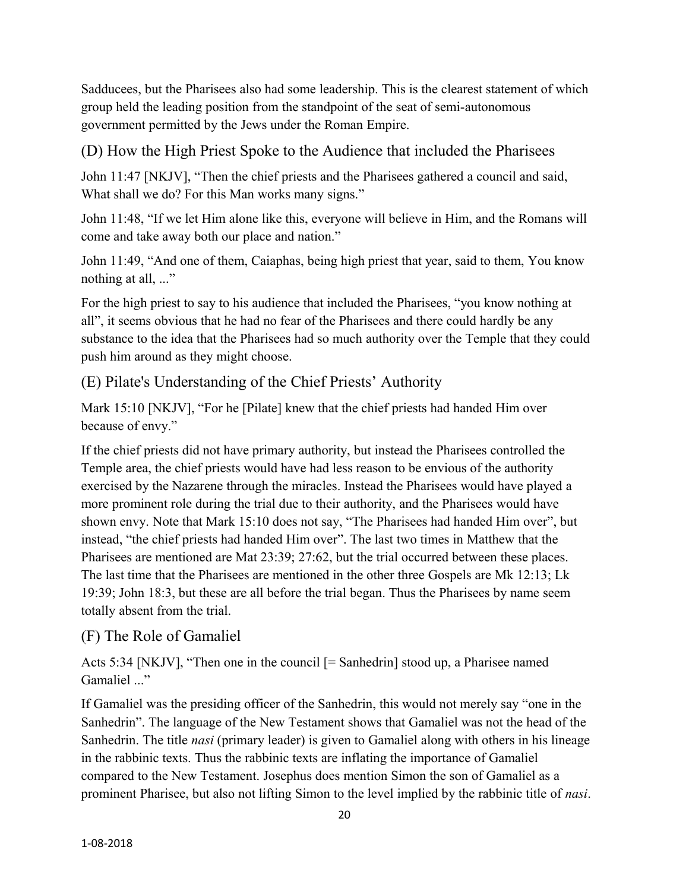Sadducees, but the Pharisees also had some leadership. This is the clearest statement of which group held the leading position from the standpoint of the seat of semi-autonomous government permitted by the Jews under the Roman Empire.

# (D) How the High Priest Spoke to the Audience that included the Pharisees

John 11:47 [NKJV], "Then the chief priests and the Pharisees gathered a council and said, What shall we do? For this Man works many signs."

John 11:48, "If we let Him alone like this, everyone will believe in Him, and the Romans will come and take away both our place and nation."

John 11:49, "And one of them, Caiaphas, being high priest that year, said to them, You know nothing at all, ..."

For the high priest to say to his audience that included the Pharisees, "you know nothing at all", it seems obvious that he had no fear of the Pharisees and there could hardly be any substance to the idea that the Pharisees had so much authority over the Temple that they could push him around as they might choose.

# (E) Pilate's Understanding of the Chief Priests' Authority

Mark 15:10 [NKJV], "For he [Pilate] knew that the chief priests had handed Him over because of envy."

If the chief priests did not have primary authority, but instead the Pharisees controlled the Temple area, the chief priests would have had less reason to be envious of the authority exercised by the Nazarene through the miracles. Instead the Pharisees would have played a more prominent role during the trial due to their authority, and the Pharisees would have shown envy. Note that Mark 15:10 does not say, "The Pharisees had handed Him over", but instead, "the chief priests had handed Him over". The last two times in Matthew that the Pharisees are mentioned are Mat 23:39; 27:62, but the trial occurred between these places. The last time that the Pharisees are mentioned in the other three Gospels are Mk 12:13; Lk 19:39; John 18:3, but these are all before the trial began. Thus the Pharisees by name seem totally absent from the trial.

# (F) The Role of Gamaliel

Acts 5:34 [NKJV], "Then one in the council [= Sanhedrin] stood up, a Pharisee named Gamaliel ..."

If Gamaliel was the presiding officer of the Sanhedrin, this would not merely say "one in the Sanhedrin". The language of the New Testament shows that Gamaliel was not the head of the Sanhedrin. The title *nasi* (primary leader) is given to Gamaliel along with others in his lineage in the rabbinic texts. Thus the rabbinic texts are inflating the importance of Gamaliel compared to the New Testament. Josephus does mention Simon the son of Gamaliel as a prominent Pharisee, but also not lifting Simon to the level implied by the rabbinic title of *nasi*.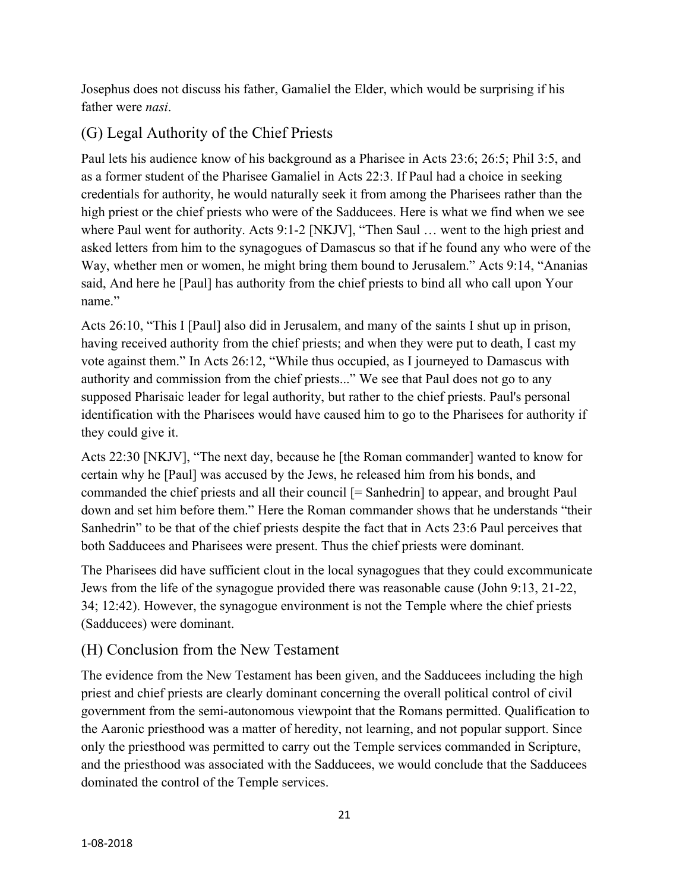Josephus does not discuss his father, Gamaliel the Elder, which would be surprising if his father were *nasi*.

# (G) Legal Authority of the Chief Priests

Paul lets his audience know of his background as a Pharisee in Acts 23:6; 26:5; Phil 3:5, and as a former student of the Pharisee Gamaliel in Acts 22:3. If Paul had a choice in seeking credentials for authority, he would naturally seek it from among the Pharisees rather than the high priest or the chief priests who were of the Sadducees. Here is what we find when we see where Paul went for authority. Acts 9:1-2 [NKJV], "Then Saul ... went to the high priest and asked letters from him to the synagogues of Damascus so that if he found any who were of the Way, whether men or women, he might bring them bound to Jerusalem." Acts 9:14, "Ananias said, And here he [Paul] has authority from the chief priests to bind all who call upon Your name."

Acts 26:10, "This I [Paul] also did in Jerusalem, and many of the saints I shut up in prison, having received authority from the chief priests; and when they were put to death, I cast my vote against them." In Acts 26:12, "While thus occupied, as I journeyed to Damascus with authority and commission from the chief priests..." We see that Paul does not go to any supposed Pharisaic leader for legal authority, but rather to the chief priests. Paul's personal identification with the Pharisees would have caused him to go to the Pharisees for authority if they could give it.

Acts 22:30 [NKJV], "The next day, because he [the Roman commander] wanted to know for certain why he [Paul] was accused by the Jews, he released him from his bonds, and commanded the chief priests and all their council [= Sanhedrin] to appear, and brought Paul down and set him before them." Here the Roman commander shows that he understands "their Sanhedrin" to be that of the chief priests despite the fact that in Acts 23:6 Paul perceives that both Sadducees and Pharisees were present. Thus the chief priests were dominant.

The Pharisees did have sufficient clout in the local synagogues that they could excommunicate Jews from the life of the synagogue provided there was reasonable cause (John 9:13, 21-22, 34; 12:42). However, the synagogue environment is not the Temple where the chief priests (Sadducees) were dominant.

# (H) Conclusion from the New Testament

The evidence from the New Testament has been given, and the Sadducees including the high priest and chief priests are clearly dominant concerning the overall political control of civil government from the semi-autonomous viewpoint that the Romans permitted. Qualification to the Aaronic priesthood was a matter of heredity, not learning, and not popular support. Since only the priesthood was permitted to carry out the Temple services commanded in Scripture, and the priesthood was associated with the Sadducees, we would conclude that the Sadducees dominated the control of the Temple services.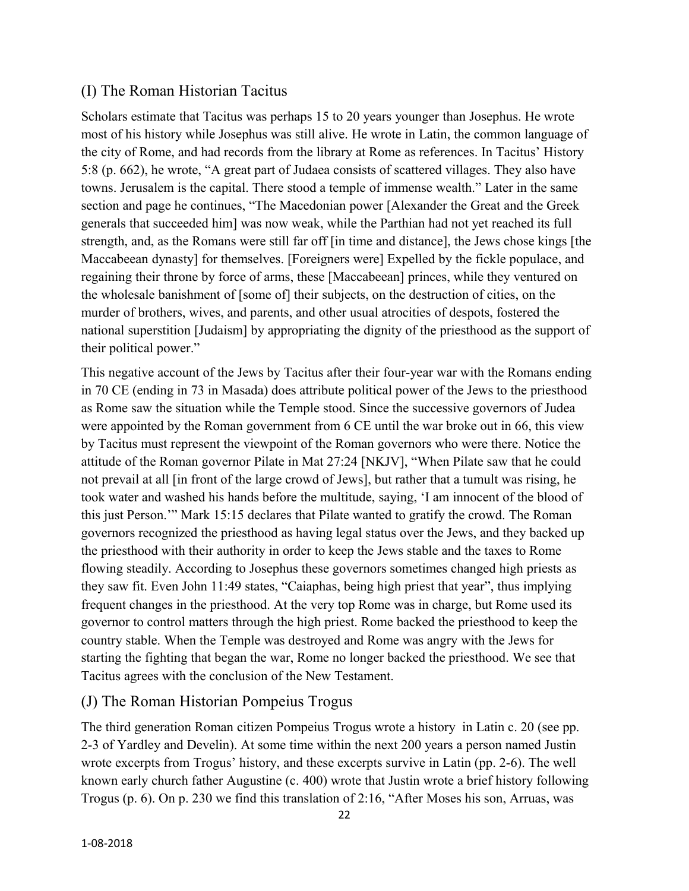#### (I) The Roman Historian Tacitus

Scholars estimate that Tacitus was perhaps 15 to 20 years younger than Josephus. He wrote most of his history while Josephus was still alive. He wrote in Latin, the common language of the city of Rome, and had records from the library at Rome as references. In Tacitus' History 5:8 (p. 662), he wrote, "A great part of Judaea consists of scattered villages. They also have towns. Jerusalem is the capital. There stood a temple of immense wealth." Later in the same section and page he continues, "The Macedonian power [Alexander the Great and the Greek generals that succeeded him] was now weak, while the Parthian had not yet reached its full strength, and, as the Romans were still far off [in time and distance], the Jews chose kings [the Maccabeean dynasty] for themselves. [Foreigners were] Expelled by the fickle populace, and regaining their throne by force of arms, these [Maccabeean] princes, while they ventured on the wholesale banishment of [some of] their subjects, on the destruction of cities, on the murder of brothers, wives, and parents, and other usual atrocities of despots, fostered the national superstition [Judaism] by appropriating the dignity of the priesthood as the support of their political power."

This negative account of the Jews by Tacitus after their four-year war with the Romans ending in 70 CE (ending in 73 in Masada) does attribute political power of the Jews to the priesthood as Rome saw the situation while the Temple stood. Since the successive governors of Judea were appointed by the Roman government from 6 CE until the war broke out in 66, this view by Tacitus must represent the viewpoint of the Roman governors who were there. Notice the attitude of the Roman governor Pilate in Mat 27:24 [NKJV], "When Pilate saw that he could not prevail at all [in front of the large crowd of Jews], but rather that a tumult was rising, he took water and washed his hands before the multitude, saying, 'I am innocent of the blood of this just Person.'" Mark 15:15 declares that Pilate wanted to gratify the crowd. The Roman governors recognized the priesthood as having legal status over the Jews, and they backed up the priesthood with their authority in order to keep the Jews stable and the taxes to Rome flowing steadily. According to Josephus these governors sometimes changed high priests as they saw fit. Even John 11:49 states, "Caiaphas, being high priest that year", thus implying frequent changes in the priesthood. At the very top Rome was in charge, but Rome used its governor to control matters through the high priest. Rome backed the priesthood to keep the country stable. When the Temple was destroyed and Rome was angry with the Jews for starting the fighting that began the war, Rome no longer backed the priesthood. We see that Tacitus agrees with the conclusion of the New Testament.

#### (J) The Roman Historian Pompeius Trogus

The third generation Roman citizen Pompeius Trogus wrote a history in Latin c. 20 (see pp. 2-3 of Yardley and Develin). At some time within the next 200 years a person named Justin wrote excerpts from Trogus' history, and these excerpts survive in Latin (pp. 2-6). The well known early church father Augustine (c. 400) wrote that Justin wrote a brief history following Trogus (p. 6). On p. 230 we find this translation of 2:16, "After Moses his son, Arruas, was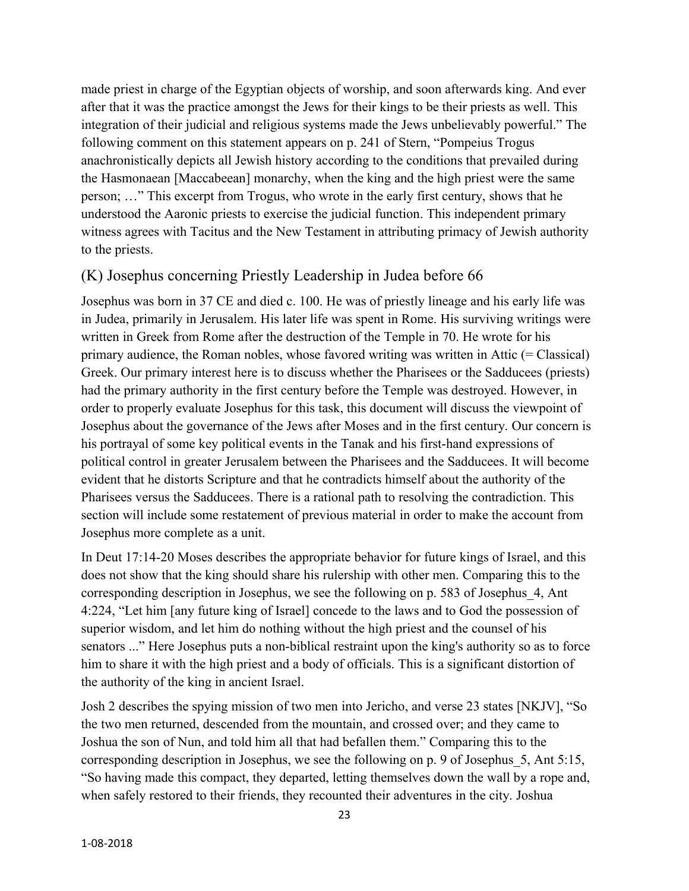made priest in charge of the Egyptian objects of worship, and soon afterwards king. And ever after that it was the practice amongst the Jews for their kings to be their priests as well. This integration of their judicial and religious systems made the Jews unbelievably powerful." The following comment on this statement appears on p. 241 of Stern, "Pompeius Trogus anachronistically depicts all Jewish history according to the conditions that prevailed during the Hasmonaean [Maccabeean] monarchy, when the king and the high priest were the same person; …" This excerpt from Trogus, who wrote in the early first century, shows that he understood the Aaronic priests to exercise the judicial function. This independent primary witness agrees with Tacitus and the New Testament in attributing primacy of Jewish authority to the priests.

## (K) Josephus concerning Priestly Leadership in Judea before 66

Josephus was born in 37 CE and died c. 100. He was of priestly lineage and his early life was in Judea, primarily in Jerusalem. His later life was spent in Rome. His surviving writings were written in Greek from Rome after the destruction of the Temple in 70. He wrote for his primary audience, the Roman nobles, whose favored writing was written in Attic (= Classical) Greek. Our primary interest here is to discuss whether the Pharisees or the Sadducees (priests) had the primary authority in the first century before the Temple was destroyed. However, in order to properly evaluate Josephus for this task, this document will discuss the viewpoint of Josephus about the governance of the Jews after Moses and in the first century. Our concern is his portrayal of some key political events in the Tanak and his first-hand expressions of political control in greater Jerusalem between the Pharisees and the Sadducees. It will become evident that he distorts Scripture and that he contradicts himself about the authority of the Pharisees versus the Sadducees. There is a rational path to resolving the contradiction. This section will include some restatement of previous material in order to make the account from Josephus more complete as a unit.

In Deut 17:14-20 Moses describes the appropriate behavior for future kings of Israel, and this does not show that the king should share his rulership with other men. Comparing this to the corresponding description in Josephus, we see the following on p. 583 of Josephus\_4, Ant 4:224, "Let him [any future king of Israel] concede to the laws and to God the possession of superior wisdom, and let him do nothing without the high priest and the counsel of his senators ..." Here Josephus puts a non-biblical restraint upon the king's authority so as to force him to share it with the high priest and a body of officials. This is a significant distortion of the authority of the king in ancient Israel.

Josh 2 describes the spying mission of two men into Jericho, and verse 23 states [NKJV], "So the two men returned, descended from the mountain, and crossed over; and they came to Joshua the son of Nun, and told him all that had befallen them." Comparing this to the corresponding description in Josephus, we see the following on p. 9 of Josephus\_5, Ant 5:15, "So having made this compact, they departed, letting themselves down the wall by a rope and, when safely restored to their friends, they recounted their adventures in the city. Joshua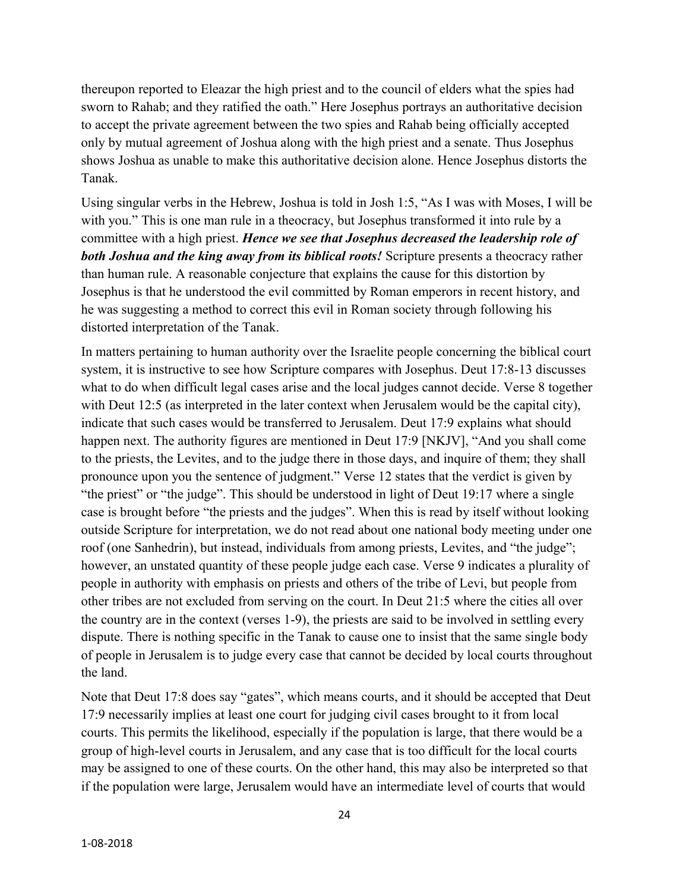thereupon reported to Eleazar the high priest and to the council of elders what the spies had sworn to Rahab; and they ratified the oath." Here Josephus portrays an authoritative decision to accept the private agreement between the two spies and Rahab being officially accepted only by mutual agreement of Joshua along with the high priest and a senate. Thus Josephus shows Joshua as unable to make this authoritative decision alone. Hence Josephus distorts the Tanak.

Using singular verbs in the Hebrew, Joshua is told in Josh 1:5, "As I was with Moses, I will be with you." This is one man rule in a theocracy, but Josephus transformed it into rule by a committee with a high priest. *Hence we see that Josephus decreased the leadership role of both Joshua and the king away from its biblical roots!* Scripture presents a theocracy rather than human rule. A reasonable conjecture that explains the cause for this distortion by Josephus is that he understood the evil committed by Roman emperors in recent history, and he was suggesting a method to correct this evil in Roman society through following his distorted interpretation of the Tanak.

In matters pertaining to human authority over the Israelite people concerning the biblical court system, it is instructive to see how Scripture compares with Josephus. Deut 17:8-13 discusses what to do when difficult legal cases arise and the local judges cannot decide. Verse 8 together with Deut 12:5 (as interpreted in the later context when Jerusalem would be the capital city), indicate that such cases would be transferred to Jerusalem. Deut 17:9 explains what should happen next. The authority figures are mentioned in Deut 17:9 [NKJV], "And you shall come to the priests, the Levites, and to the judge there in those days, and inquire of them; they shall pronounce upon you the sentence of judgment." Verse 12 states that the verdict is given by "the priest" or "the judge". This should be understood in light of Deut 19:17 where a single case is brought before "the priests and the judges". When this is read by itself without looking outside Scripture for interpretation, we do not read about one national body meeting under one roof (one Sanhedrin), but instead, individuals from among priests, Levites, and "the judge"; however, an unstated quantity of these people judge each case. Verse 9 indicates a plurality of people in authority with emphasis on priests and others of the tribe of Levi, but people from other tribes are not excluded from serving on the court. In Deut 21:5 where the cities all over the country are in the context (verses 1-9), the priests are said to be involved in settling every dispute. There is nothing specific in the Tanak to cause one to insist that the same single body of people in Jerusalem is to judge every case that cannot be decided by local courts throughout the land.

Note that Deut 17:8 does say "gates", which means courts, and it should be accepted that Deut 17:9 necessarily implies at least one court for judging civil cases brought to it from local courts. This permits the likelihood, especially if the population is large, that there would be a group of high-level courts in Jerusalem, and any case that is too difficult for the local courts may be assigned to one of these courts. On the other hand, this may also be interpreted so that if the population were large, Jerusalem would have an intermediate level of courts that would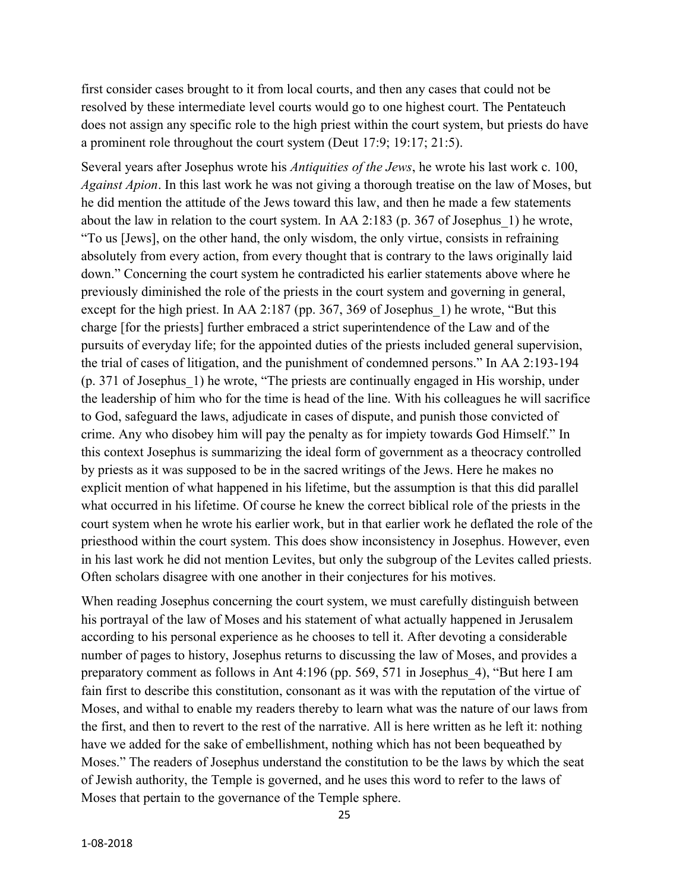first consider cases brought to it from local courts, and then any cases that could not be resolved by these intermediate level courts would go to one highest court. The Pentateuch does not assign any specific role to the high priest within the court system, but priests do have a prominent role throughout the court system (Deut 17:9; 19:17; 21:5).

Several years after Josephus wrote his *Antiquities of the Jews*, he wrote his last work c. 100, *Against Apion*. In this last work he was not giving a thorough treatise on the law of Moses, but he did mention the attitude of the Jews toward this law, and then he made a few statements about the law in relation to the court system. In AA 2:183 (p. 367 of Josephus\_1) he wrote, "To us [Jews], on the other hand, the only wisdom, the only virtue, consists in refraining absolutely from every action, from every thought that is contrary to the laws originally laid down." Concerning the court system he contradicted his earlier statements above where he previously diminished the role of the priests in the court system and governing in general, except for the high priest. In AA 2:187 (pp. 367, 369 of Josephus 1) he wrote, "But this charge [for the priests] further embraced a strict superintendence of the Law and of the pursuits of everyday life; for the appointed duties of the priests included general supervision, the trial of cases of litigation, and the punishment of condemned persons." In AA 2:193-194 (p. 371 of Josephus\_1) he wrote, "The priests are continually engaged in His worship, under the leadership of him who for the time is head of the line. With his colleagues he will sacrifice to God, safeguard the laws, adjudicate in cases of dispute, and punish those convicted of crime. Any who disobey him will pay the penalty as for impiety towards God Himself." In this context Josephus is summarizing the ideal form of government as a theocracy controlled by priests as it was supposed to be in the sacred writings of the Jews. Here he makes no explicit mention of what happened in his lifetime, but the assumption is that this did parallel what occurred in his lifetime. Of course he knew the correct biblical role of the priests in the court system when he wrote his earlier work, but in that earlier work he deflated the role of the priesthood within the court system. This does show inconsistency in Josephus. However, even in his last work he did not mention Levites, but only the subgroup of the Levites called priests. Often scholars disagree with one another in their conjectures for his motives.

When reading Josephus concerning the court system, we must carefully distinguish between his portrayal of the law of Moses and his statement of what actually happened in Jerusalem according to his personal experience as he chooses to tell it. After devoting a considerable number of pages to history, Josephus returns to discussing the law of Moses, and provides a preparatory comment as follows in Ant 4:196 (pp. 569, 571 in Josephus\_4), "But here I am fain first to describe this constitution, consonant as it was with the reputation of the virtue of Moses, and withal to enable my readers thereby to learn what was the nature of our laws from the first, and then to revert to the rest of the narrative. All is here written as he left it: nothing have we added for the sake of embellishment, nothing which has not been bequeathed by Moses." The readers of Josephus understand the constitution to be the laws by which the seat of Jewish authority, the Temple is governed, and he uses this word to refer to the laws of Moses that pertain to the governance of the Temple sphere.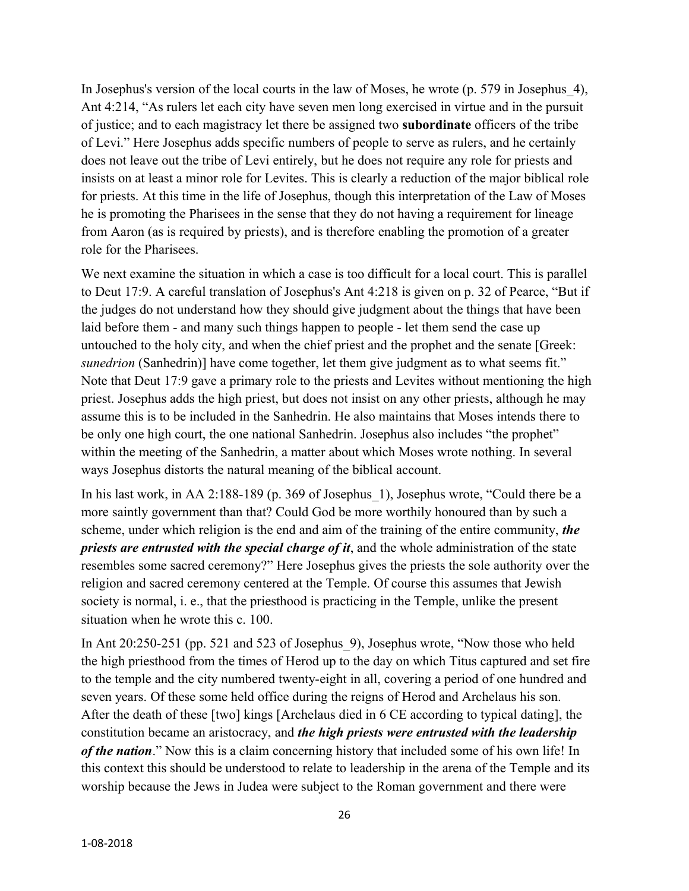In Josephus's version of the local courts in the law of Moses, he wrote (p. 579 in Josephus\_4), Ant 4:214, "As rulers let each city have seven men long exercised in virtue and in the pursuit of justice; and to each magistracy let there be assigned two **subordinate** officers of the tribe of Levi." Here Josephus adds specific numbers of people to serve as rulers, and he certainly does not leave out the tribe of Levi entirely, but he does not require any role for priests and insists on at least a minor role for Levites. This is clearly a reduction of the major biblical role for priests. At this time in the life of Josephus, though this interpretation of the Law of Moses he is promoting the Pharisees in the sense that they do not having a requirement for lineage from Aaron (as is required by priests), and is therefore enabling the promotion of a greater role for the Pharisees.

We next examine the situation in which a case is too difficult for a local court. This is parallel to Deut 17:9. A careful translation of Josephus's Ant 4:218 is given on p. 32 of Pearce, "But if the judges do not understand how they should give judgment about the things that have been laid before them - and many such things happen to people - let them send the case up untouched to the holy city, and when the chief priest and the prophet and the senate [Greek: *sunedrion* (Sanhedrin)] have come together, let them give judgment as to what seems fit." Note that Deut 17:9 gave a primary role to the priests and Levites without mentioning the high priest. Josephus adds the high priest, but does not insist on any other priests, although he may assume this is to be included in the Sanhedrin. He also maintains that Moses intends there to be only one high court, the one national Sanhedrin. Josephus also includes "the prophet" within the meeting of the Sanhedrin, a matter about which Moses wrote nothing. In several ways Josephus distorts the natural meaning of the biblical account.

In his last work, in AA 2:188-189 (p. 369 of Josephus\_1), Josephus wrote, "Could there be a more saintly government than that? Could God be more worthily honoured than by such a scheme, under which religion is the end and aim of the training of the entire community, *the priests are entrusted with the special charge of it*, and the whole administration of the state resembles some sacred ceremony?" Here Josephus gives the priests the sole authority over the religion and sacred ceremony centered at the Temple. Of course this assumes that Jewish society is normal, i. e., that the priesthood is practicing in the Temple, unlike the present situation when he wrote this c. 100.

In Ant 20:250-251 (pp. 521 and 523 of Josephus\_9), Josephus wrote, "Now those who held the high priesthood from the times of Herod up to the day on which Titus captured and set fire to the temple and the city numbered twenty-eight in all, covering a period of one hundred and seven years. Of these some held office during the reigns of Herod and Archelaus his son. After the death of these [two] kings [Archelaus died in 6 CE according to typical dating], the constitution became an aristocracy, and *the high priests were entrusted with the leadership of the nation*." Now this is a claim concerning history that included some of his own life! In this context this should be understood to relate to leadership in the arena of the Temple and its worship because the Jews in Judea were subject to the Roman government and there were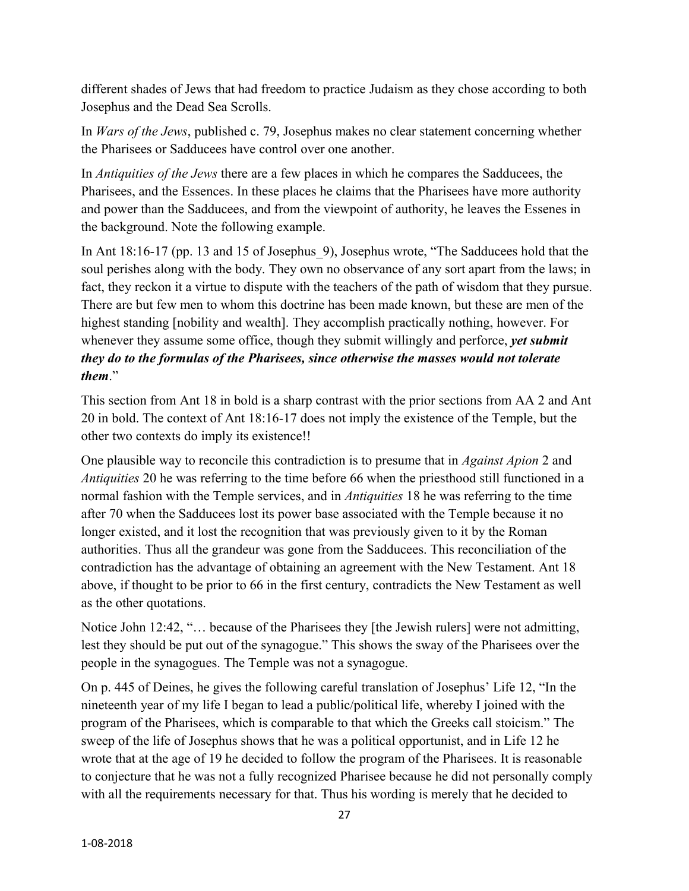different shades of Jews that had freedom to practice Judaism as they chose according to both Josephus and the Dead Sea Scrolls.

In *Wars of the Jews*, published c. 79, Josephus makes no clear statement concerning whether the Pharisees or Sadducees have control over one another.

In *Antiquities of the Jews* there are a few places in which he compares the Sadducees, the Pharisees, and the Essences. In these places he claims that the Pharisees have more authority and power than the Sadducees, and from the viewpoint of authority, he leaves the Essenes in the background. Note the following example.

In Ant 18:16-17 (pp. 13 and 15 of Josephus 9), Josephus wrote, "The Sadducees hold that the soul perishes along with the body. They own no observance of any sort apart from the laws; in fact, they reckon it a virtue to dispute with the teachers of the path of wisdom that they pursue. There are but few men to whom this doctrine has been made known, but these are men of the highest standing [nobility and wealth]. They accomplish practically nothing, however. For whenever they assume some office, though they submit willingly and perforce, *yet submit they do to the formulas of the Pharisees, since otherwise the masses would not tolerate them*."

This section from Ant 18 in bold is a sharp contrast with the prior sections from AA 2 and Ant 20 in bold. The context of Ant 18:16-17 does not imply the existence of the Temple, but the other two contexts do imply its existence!!

One plausible way to reconcile this contradiction is to presume that in *Against Apion* 2 and *Antiquities* 20 he was referring to the time before 66 when the priesthood still functioned in a normal fashion with the Temple services, and in *Antiquities* 18 he was referring to the time after 70 when the Sadducees lost its power base associated with the Temple because it no longer existed, and it lost the recognition that was previously given to it by the Roman authorities. Thus all the grandeur was gone from the Sadducees. This reconciliation of the contradiction has the advantage of obtaining an agreement with the New Testament. Ant 18 above, if thought to be prior to 66 in the first century, contradicts the New Testament as well as the other quotations.

Notice John 12:42, "… because of the Pharisees they [the Jewish rulers] were not admitting, lest they should be put out of the synagogue." This shows the sway of the Pharisees over the people in the synagogues. The Temple was not a synagogue.

On p. 445 of Deines, he gives the following careful translation of Josephus' Life 12, "In the nineteenth year of my life I began to lead a public/political life, whereby I joined with the program of the Pharisees, which is comparable to that which the Greeks call stoicism." The sweep of the life of Josephus shows that he was a political opportunist, and in Life 12 he wrote that at the age of 19 he decided to follow the program of the Pharisees. It is reasonable to conjecture that he was not a fully recognized Pharisee because he did not personally comply with all the requirements necessary for that. Thus his wording is merely that he decided to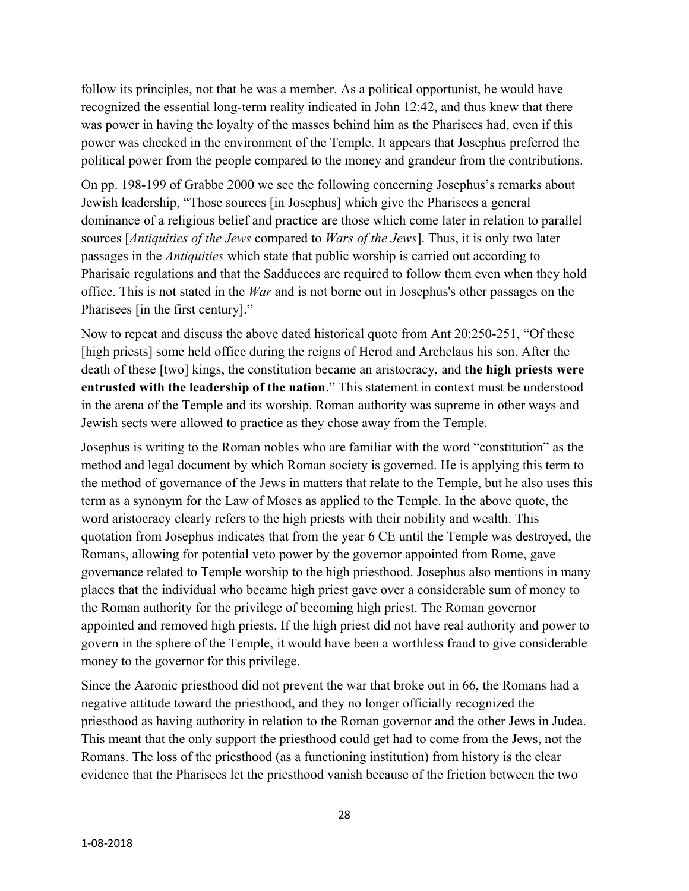follow its principles, not that he was a member. As a political opportunist, he would have recognized the essential long-term reality indicated in John 12:42, and thus knew that there was power in having the loyalty of the masses behind him as the Pharisees had, even if this power was checked in the environment of the Temple. It appears that Josephus preferred the political power from the people compared to the money and grandeur from the contributions.

On pp. 198-199 of Grabbe 2000 we see the following concerning Josephus's remarks about Jewish leadership, "Those sources [in Josephus] which give the Pharisees a general dominance of a religious belief and practice are those which come later in relation to parallel sources [*Antiquities of the Jews* compared to *Wars of the Jews*]. Thus, it is only two later passages in the *Antiquities* which state that public worship is carried out according to Pharisaic regulations and that the Sadducees are required to follow them even when they hold office. This is not stated in the *War* and is not borne out in Josephus's other passages on the Pharisees [in the first century]."

Now to repeat and discuss the above dated historical quote from Ant 20:250-251, "Of these [high priests] some held office during the reigns of Herod and Archelaus his son. After the death of these [two] kings, the constitution became an aristocracy, and **the high priests were entrusted with the leadership of the nation**." This statement in context must be understood in the arena of the Temple and its worship. Roman authority was supreme in other ways and Jewish sects were allowed to practice as they chose away from the Temple.

Josephus is writing to the Roman nobles who are familiar with the word "constitution" as the method and legal document by which Roman society is governed. He is applying this term to the method of governance of the Jews in matters that relate to the Temple, but he also uses this term as a synonym for the Law of Moses as applied to the Temple. In the above quote, the word aristocracy clearly refers to the high priests with their nobility and wealth. This quotation from Josephus indicates that from the year 6 CE until the Temple was destroyed, the Romans, allowing for potential veto power by the governor appointed from Rome, gave governance related to Temple worship to the high priesthood. Josephus also mentions in many places that the individual who became high priest gave over a considerable sum of money to the Roman authority for the privilege of becoming high priest. The Roman governor appointed and removed high priests. If the high priest did not have real authority and power to govern in the sphere of the Temple, it would have been a worthless fraud to give considerable money to the governor for this privilege.

Since the Aaronic priesthood did not prevent the war that broke out in 66, the Romans had a negative attitude toward the priesthood, and they no longer officially recognized the priesthood as having authority in relation to the Roman governor and the other Jews in Judea. This meant that the only support the priesthood could get had to come from the Jews, not the Romans. The loss of the priesthood (as a functioning institution) from history is the clear evidence that the Pharisees let the priesthood vanish because of the friction between the two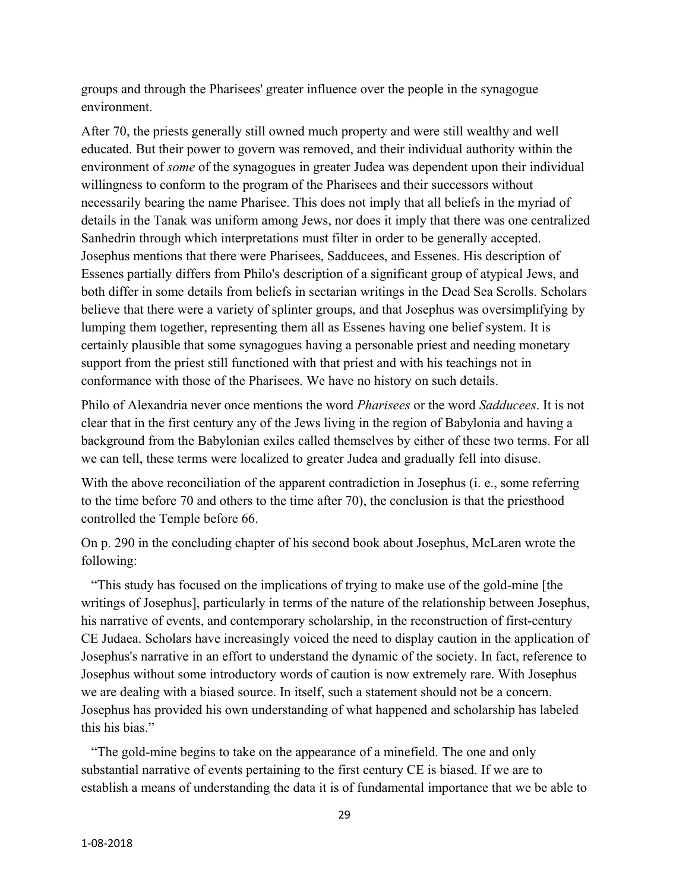groups and through the Pharisees' greater influence over the people in the synagogue environment.

After 70, the priests generally still owned much property and were still wealthy and well educated. But their power to govern was removed, and their individual authority within the environment of *some* of the synagogues in greater Judea was dependent upon their individual willingness to conform to the program of the Pharisees and their successors without necessarily bearing the name Pharisee. This does not imply that all beliefs in the myriad of details in the Tanak was uniform among Jews, nor does it imply that there was one centralized Sanhedrin through which interpretations must filter in order to be generally accepted. Josephus mentions that there were Pharisees, Sadducees, and Essenes. His description of Essenes partially differs from Philo's description of a significant group of atypical Jews, and both differ in some details from beliefs in sectarian writings in the Dead Sea Scrolls. Scholars believe that there were a variety of splinter groups, and that Josephus was oversimplifying by lumping them together, representing them all as Essenes having one belief system. It is certainly plausible that some synagogues having a personable priest and needing monetary support from the priest still functioned with that priest and with his teachings not in conformance with those of the Pharisees. We have no history on such details.

Philo of Alexandria never once mentions the word *Pharisees* or the word *Sadducees*. It is not clear that in the first century any of the Jews living in the region of Babylonia and having a background from the Babylonian exiles called themselves by either of these two terms. For all we can tell, these terms were localized to greater Judea and gradually fell into disuse.

With the above reconciliation of the apparent contradiction in Josephus (*i. e.*, some referring to the time before 70 and others to the time after 70), the conclusion is that the priesthood controlled the Temple before 66.

On p. 290 in the concluding chapter of his second book about Josephus, McLaren wrote the following:

 "This study has focused on the implications of trying to make use of the gold-mine [the writings of Josephus], particularly in terms of the nature of the relationship between Josephus, his narrative of events, and contemporary scholarship, in the reconstruction of first-century CE Judaea. Scholars have increasingly voiced the need to display caution in the application of Josephus's narrative in an effort to understand the dynamic of the society. In fact, reference to Josephus without some introductory words of caution is now extremely rare. With Josephus we are dealing with a biased source. In itself, such a statement should not be a concern. Josephus has provided his own understanding of what happened and scholarship has labeled this his bias."

 "The gold-mine begins to take on the appearance of a minefield. The one and only substantial narrative of events pertaining to the first century CE is biased. If we are to establish a means of understanding the data it is of fundamental importance that we be able to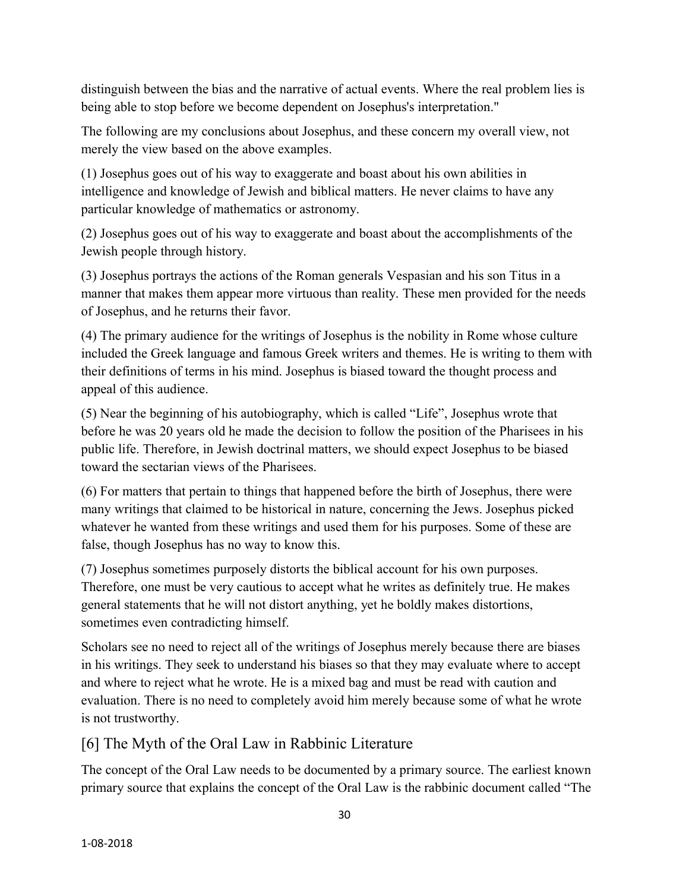distinguish between the bias and the narrative of actual events. Where the real problem lies is being able to stop before we become dependent on Josephus's interpretation."

The following are my conclusions about Josephus, and these concern my overall view, not merely the view based on the above examples.

(1) Josephus goes out of his way to exaggerate and boast about his own abilities in intelligence and knowledge of Jewish and biblical matters. He never claims to have any particular knowledge of mathematics or astronomy.

(2) Josephus goes out of his way to exaggerate and boast about the accomplishments of the Jewish people through history.

(3) Josephus portrays the actions of the Roman generals Vespasian and his son Titus in a manner that makes them appear more virtuous than reality. These men provided for the needs of Josephus, and he returns their favor.

(4) The primary audience for the writings of Josephus is the nobility in Rome whose culture included the Greek language and famous Greek writers and themes. He is writing to them with their definitions of terms in his mind. Josephus is biased toward the thought process and appeal of this audience.

(5) Near the beginning of his autobiography, which is called "Life", Josephus wrote that before he was 20 years old he made the decision to follow the position of the Pharisees in his public life. Therefore, in Jewish doctrinal matters, we should expect Josephus to be biased toward the sectarian views of the Pharisees.

(6) For matters that pertain to things that happened before the birth of Josephus, there were many writings that claimed to be historical in nature, concerning the Jews. Josephus picked whatever he wanted from these writings and used them for his purposes. Some of these are false, though Josephus has no way to know this.

(7) Josephus sometimes purposely distorts the biblical account for his own purposes. Therefore, one must be very cautious to accept what he writes as definitely true. He makes general statements that he will not distort anything, yet he boldly makes distortions, sometimes even contradicting himself.

Scholars see no need to reject all of the writings of Josephus merely because there are biases in his writings. They seek to understand his biases so that they may evaluate where to accept and where to reject what he wrote. He is a mixed bag and must be read with caution and evaluation. There is no need to completely avoid him merely because some of what he wrote is not trustworthy.

# [6] The Myth of the Oral Law in Rabbinic Literature

The concept of the Oral Law needs to be documented by a primary source. The earliest known primary source that explains the concept of the Oral Law is the rabbinic document called "The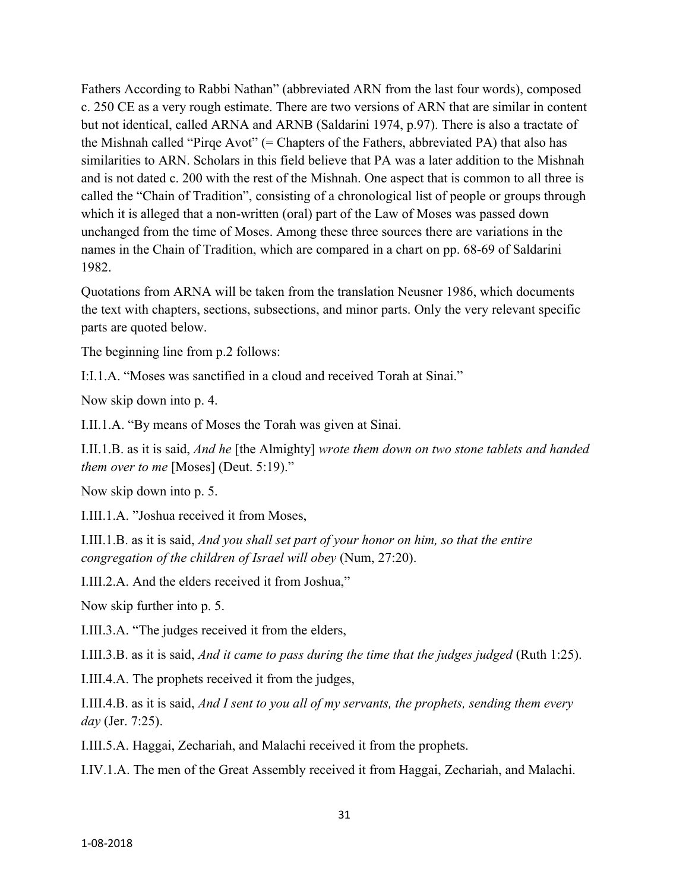Fathers According to Rabbi Nathan" (abbreviated ARN from the last four words), composed c. 250 CE as a very rough estimate. There are two versions of ARN that are similar in content but not identical, called ARNA and ARNB (Saldarini 1974, p.97). There is also a tractate of the Mishnah called "Pirqe Avot" (= Chapters of the Fathers, abbreviated PA) that also has similarities to ARN. Scholars in this field believe that PA was a later addition to the Mishnah and is not dated c. 200 with the rest of the Mishnah. One aspect that is common to all three is called the "Chain of Tradition", consisting of a chronological list of people or groups through which it is alleged that a non-written (oral) part of the Law of Moses was passed down unchanged from the time of Moses. Among these three sources there are variations in the names in the Chain of Tradition, which are compared in a chart on pp. 68-69 of Saldarini 1982.

Quotations from ARNA will be taken from the translation Neusner 1986, which documents the text with chapters, sections, subsections, and minor parts. Only the very relevant specific parts are quoted below.

The beginning line from p.2 follows:

I:I.1.A. "Moses was sanctified in a cloud and received Torah at Sinai."

Now skip down into p. 4.

I.II.1.A. "By means of Moses the Torah was given at Sinai.

I.II.1.B. as it is said, *And he* [the Almighty] *wrote them down on two stone tablets and handed them over to me* [Moses] (Deut. 5:19)."

Now skip down into p. 5.

I.III.1.A. "Joshua received it from Moses,

I.III.1.B. as it is said, *And you shall set part of your honor on him, so that the entire congregation of the children of Israel will obey* (Num, 27:20).

I.III.2.A. And the elders received it from Joshua,"

Now skip further into p. 5.

I.III.3.A. "The judges received it from the elders,

I.III.3.B. as it is said, *And it came to pass during the time that the judges judged* (Ruth 1:25).

I.III.4.A. The prophets received it from the judges,

I.III.4.B. as it is said, *And I sent to you all of my servants, the prophets, sending them every day* (Jer. 7:25).

I.III.5.A. Haggai, Zechariah, and Malachi received it from the prophets.

I.IV.1.A. The men of the Great Assembly received it from Haggai, Zechariah, and Malachi.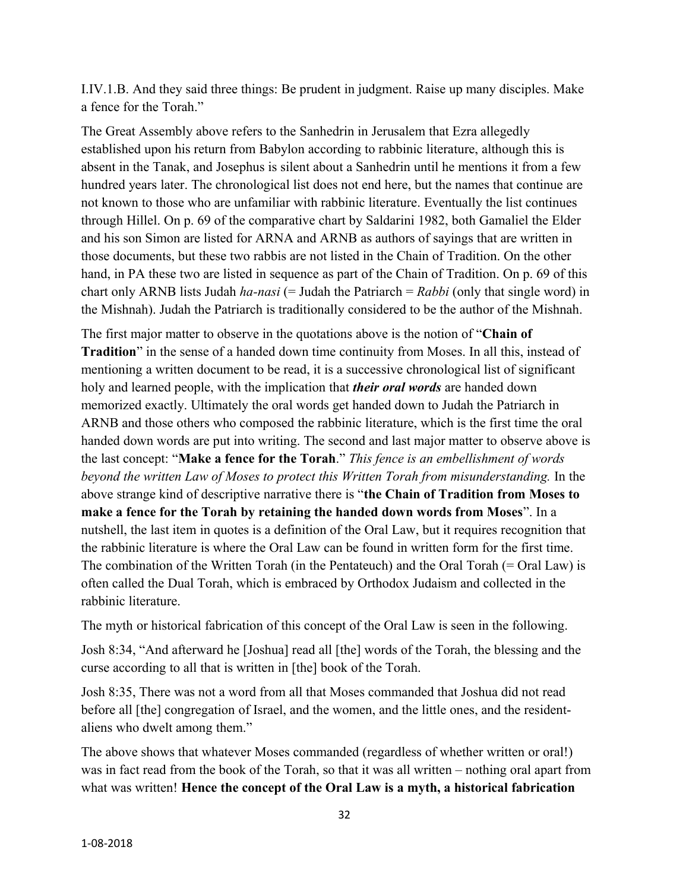I.IV.1.B. And they said three things: Be prudent in judgment. Raise up many disciples. Make a fence for the Torah."

The Great Assembly above refers to the Sanhedrin in Jerusalem that Ezra allegedly established upon his return from Babylon according to rabbinic literature, although this is absent in the Tanak, and Josephus is silent about a Sanhedrin until he mentions it from a few hundred years later. The chronological list does not end here, but the names that continue are not known to those who are unfamiliar with rabbinic literature. Eventually the list continues through Hillel. On p. 69 of the comparative chart by Saldarini 1982, both Gamaliel the Elder and his son Simon are listed for ARNA and ARNB as authors of sayings that are written in those documents, but these two rabbis are not listed in the Chain of Tradition. On the other hand, in PA these two are listed in sequence as part of the Chain of Tradition. On p. 69 of this chart only ARNB lists Judah *ha-nasi* (= Judah the Patriarch = *Rabbi* (only that single word) in the Mishnah). Judah the Patriarch is traditionally considered to be the author of the Mishnah.

The first major matter to observe in the quotations above is the notion of "**Chain of Tradition**" in the sense of a handed down time continuity from Moses. In all this, instead of mentioning a written document to be read, it is a successive chronological list of significant holy and learned people, with the implication that *their oral words* are handed down memorized exactly. Ultimately the oral words get handed down to Judah the Patriarch in ARNB and those others who composed the rabbinic literature, which is the first time the oral handed down words are put into writing. The second and last major matter to observe above is the last concept: "**Make a fence for the Torah**." *This fence is an embellishment of words beyond the written Law of Moses to protect this Written Torah from misunderstanding.* In the above strange kind of descriptive narrative there is "**the Chain of Tradition from Moses to make a fence for the Torah by retaining the handed down words from Moses**". In a nutshell, the last item in quotes is a definition of the Oral Law, but it requires recognition that the rabbinic literature is where the Oral Law can be found in written form for the first time. The combination of the Written Torah (in the Pentateuch) and the Oral Torah (= Oral Law) is often called the Dual Torah, which is embraced by Orthodox Judaism and collected in the rabbinic literature.

The myth or historical fabrication of this concept of the Oral Law is seen in the following.

Josh 8:34, "And afterward he [Joshua] read all [the] words of the Torah, the blessing and the curse according to all that is written in [the] book of the Torah.

Josh 8:35, There was not a word from all that Moses commanded that Joshua did not read before all [the] congregation of Israel, and the women, and the little ones, and the residentaliens who dwelt among them."

The above shows that whatever Moses commanded (regardless of whether written or oral!) was in fact read from the book of the Torah, so that it was all written – nothing oral apart from what was written! **Hence the concept of the Oral Law is a myth, a historical fabrication**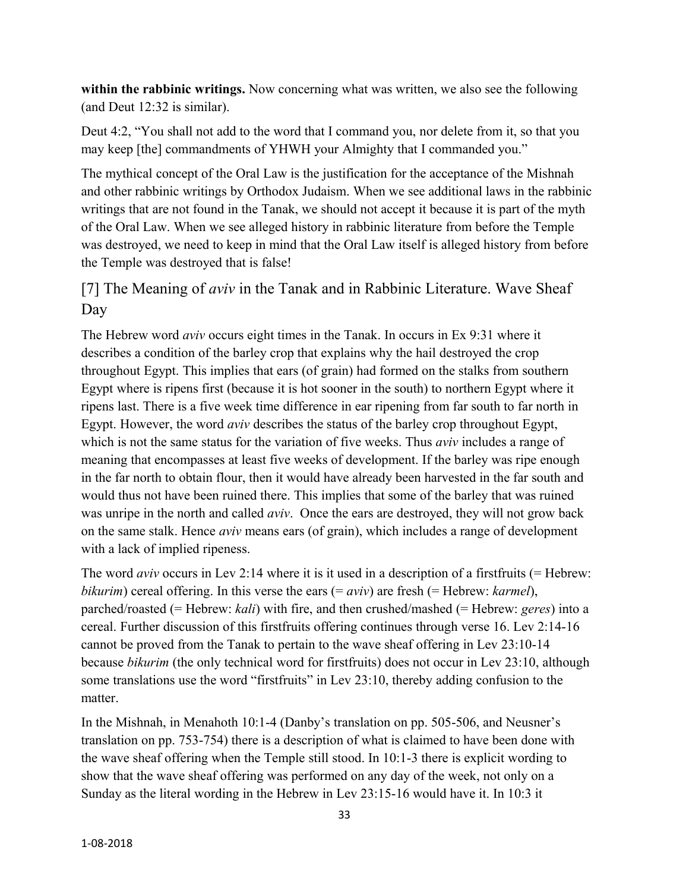**within the rabbinic writings.** Now concerning what was written, we also see the following (and Deut 12:32 is similar).

Deut 4:2, "You shall not add to the word that I command you, nor delete from it, so that you may keep [the] commandments of YHWH your Almighty that I commanded you."

The mythical concept of the Oral Law is the justification for the acceptance of the Mishnah and other rabbinic writings by Orthodox Judaism. When we see additional laws in the rabbinic writings that are not found in the Tanak, we should not accept it because it is part of the myth of the Oral Law. When we see alleged history in rabbinic literature from before the Temple was destroyed, we need to keep in mind that the Oral Law itself is alleged history from before the Temple was destroyed that is false!

# [7] The Meaning of *aviv* in the Tanak and in Rabbinic Literature. Wave Sheaf Day

The Hebrew word *aviv* occurs eight times in the Tanak. In occurs in Ex 9:31 where it describes a condition of the barley crop that explains why the hail destroyed the crop throughout Egypt. This implies that ears (of grain) had formed on the stalks from southern Egypt where is ripens first (because it is hot sooner in the south) to northern Egypt where it ripens last. There is a five week time difference in ear ripening from far south to far north in Egypt. However, the word *aviv* describes the status of the barley crop throughout Egypt, which is not the same status for the variation of five weeks. Thus *aviv* includes a range of meaning that encompasses at least five weeks of development. If the barley was ripe enough in the far north to obtain flour, then it would have already been harvested in the far south and would thus not have been ruined there. This implies that some of the barley that was ruined was unripe in the north and called *aviv*. Once the ears are destroyed, they will not grow back on the same stalk. Hence *aviv* means ears (of grain), which includes a range of development with a lack of implied ripeness.

The word *aviv* occurs in Lev 2:14 where it is it used in a description of a first fruits (= Hebrew: *bikurim*) cereal offering. In this verse the ears (= *aviv*) are fresh (= Hebrew: *karmel*), parched/roasted (= Hebrew: *kali*) with fire, and then crushed/mashed (= Hebrew: *geres*) into a cereal. Further discussion of this firstfruits offering continues through verse 16. Lev 2:14-16 cannot be proved from the Tanak to pertain to the wave sheaf offering in Lev 23:10-14 because *bikurim* (the only technical word for firstfruits) does not occur in Lev 23:10, although some translations use the word "firstfruits" in Lev 23:10, thereby adding confusion to the matter.

In the Mishnah, in Menahoth 10:1-4 (Danby's translation on pp. 505-506, and Neusner's translation on pp. 753-754) there is a description of what is claimed to have been done with the wave sheaf offering when the Temple still stood. In 10:1-3 there is explicit wording to show that the wave sheaf offering was performed on any day of the week, not only on a Sunday as the literal wording in the Hebrew in Lev 23:15-16 would have it. In 10:3 it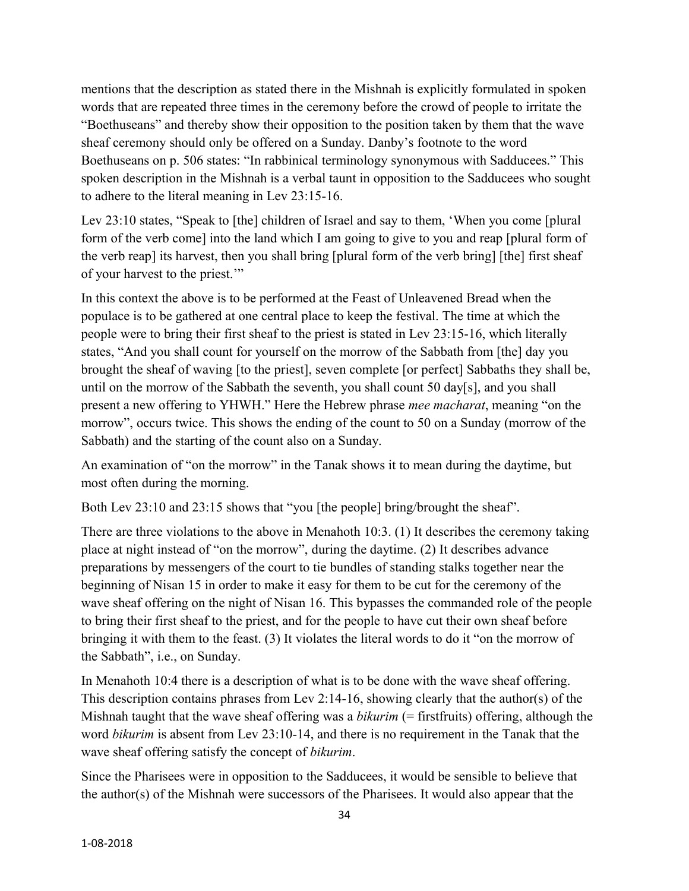mentions that the description as stated there in the Mishnah is explicitly formulated in spoken words that are repeated three times in the ceremony before the crowd of people to irritate the "Boethuseans" and thereby show their opposition to the position taken by them that the wave sheaf ceremony should only be offered on a Sunday. Danby's footnote to the word Boethuseans on p. 506 states: "In rabbinical terminology synonymous with Sadducees." This spoken description in the Mishnah is a verbal taunt in opposition to the Sadducees who sought to adhere to the literal meaning in Lev 23:15-16.

Lev 23:10 states, "Speak to [the] children of Israel and say to them, 'When you come [plural form of the verb come] into the land which I am going to give to you and reap [plural form of the verb reap] its harvest, then you shall bring [plural form of the verb bring] [the] first sheaf of your harvest to the priest.'"

In this context the above is to be performed at the Feast of Unleavened Bread when the populace is to be gathered at one central place to keep the festival. The time at which the people were to bring their first sheaf to the priest is stated in Lev 23:15-16, which literally states, "And you shall count for yourself on the morrow of the Sabbath from [the] day you brought the sheaf of waving [to the priest], seven complete [or perfect] Sabbaths they shall be, until on the morrow of the Sabbath the seventh, you shall count 50 day[s], and you shall present a new offering to YHWH." Here the Hebrew phrase *mee macharat*, meaning "on the morrow", occurs twice. This shows the ending of the count to 50 on a Sunday (morrow of the Sabbath) and the starting of the count also on a Sunday.

An examination of "on the morrow" in the Tanak shows it to mean during the daytime, but most often during the morning.

Both Lev 23:10 and 23:15 shows that "you [the people] bring/brought the sheaf".

There are three violations to the above in Menahoth 10:3. (1) It describes the ceremony taking place at night instead of "on the morrow", during the daytime. (2) It describes advance preparations by messengers of the court to tie bundles of standing stalks together near the beginning of Nisan 15 in order to make it easy for them to be cut for the ceremony of the wave sheaf offering on the night of Nisan 16. This bypasses the commanded role of the people to bring their first sheaf to the priest, and for the people to have cut their own sheaf before bringing it with them to the feast. (3) It violates the literal words to do it "on the morrow of the Sabbath", i.e., on Sunday.

In Menahoth 10:4 there is a description of what is to be done with the wave sheaf offering. This description contains phrases from Lev 2:14-16, showing clearly that the author(s) of the Mishnah taught that the wave sheaf offering was a *bikurim* (= firstfruits) offering, although the word *bikurim* is absent from Lev 23:10-14, and there is no requirement in the Tanak that the wave sheaf offering satisfy the concept of *bikurim*.

Since the Pharisees were in opposition to the Sadducees, it would be sensible to believe that the author(s) of the Mishnah were successors of the Pharisees. It would also appear that the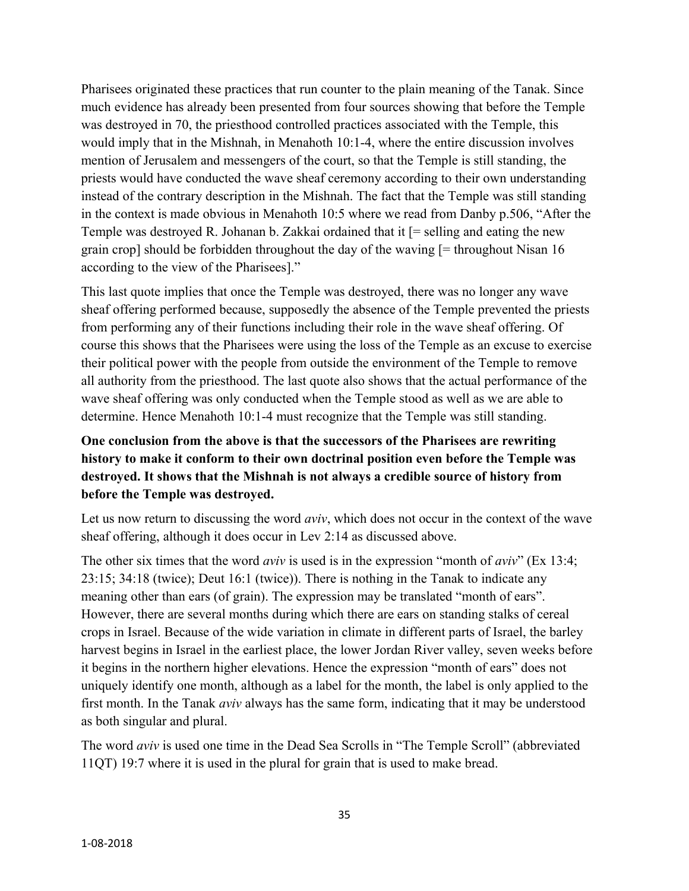Pharisees originated these practices that run counter to the plain meaning of the Tanak. Since much evidence has already been presented from four sources showing that before the Temple was destroyed in 70, the priesthood controlled practices associated with the Temple, this would imply that in the Mishnah, in Menahoth 10:1-4, where the entire discussion involves mention of Jerusalem and messengers of the court, so that the Temple is still standing, the priests would have conducted the wave sheaf ceremony according to their own understanding instead of the contrary description in the Mishnah. The fact that the Temple was still standing in the context is made obvious in Menahoth 10:5 where we read from Danby p.506, "After the Temple was destroyed R. Johanan b. Zakkai ordained that it [= selling and eating the new grain crop] should be forbidden throughout the day of the waving [= throughout Nisan 16 according to the view of the Pharisees]."

This last quote implies that once the Temple was destroyed, there was no longer any wave sheaf offering performed because, supposedly the absence of the Temple prevented the priests from performing any of their functions including their role in the wave sheaf offering. Of course this shows that the Pharisees were using the loss of the Temple as an excuse to exercise their political power with the people from outside the environment of the Temple to remove all authority from the priesthood. The last quote also shows that the actual performance of the wave sheaf offering was only conducted when the Temple stood as well as we are able to determine. Hence Menahoth 10:1-4 must recognize that the Temple was still standing.

#### **One conclusion from the above is that the successors of the Pharisees are rewriting history to make it conform to their own doctrinal position even before the Temple was destroyed. It shows that the Mishnah is not always a credible source of history from before the Temple was destroyed.**

Let us now return to discussing the word *aviv*, which does not occur in the context of the wave sheaf offering, although it does occur in Lev 2:14 as discussed above.

The other six times that the word *aviv* is used is in the expression "month of *aviv*" (Ex 13:4; 23:15; 34:18 (twice); Deut 16:1 (twice)). There is nothing in the Tanak to indicate any meaning other than ears (of grain). The expression may be translated "month of ears". However, there are several months during which there are ears on standing stalks of cereal crops in Israel. Because of the wide variation in climate in different parts of Israel, the barley harvest begins in Israel in the earliest place, the lower Jordan River valley, seven weeks before it begins in the northern higher elevations. Hence the expression "month of ears" does not uniquely identify one month, although as a label for the month, the label is only applied to the first month. In the Tanak *aviv* always has the same form, indicating that it may be understood as both singular and plural.

The word *aviv* is used one time in the Dead Sea Scrolls in "The Temple Scroll" (abbreviated 11QT) 19:7 where it is used in the plural for grain that is used to make bread.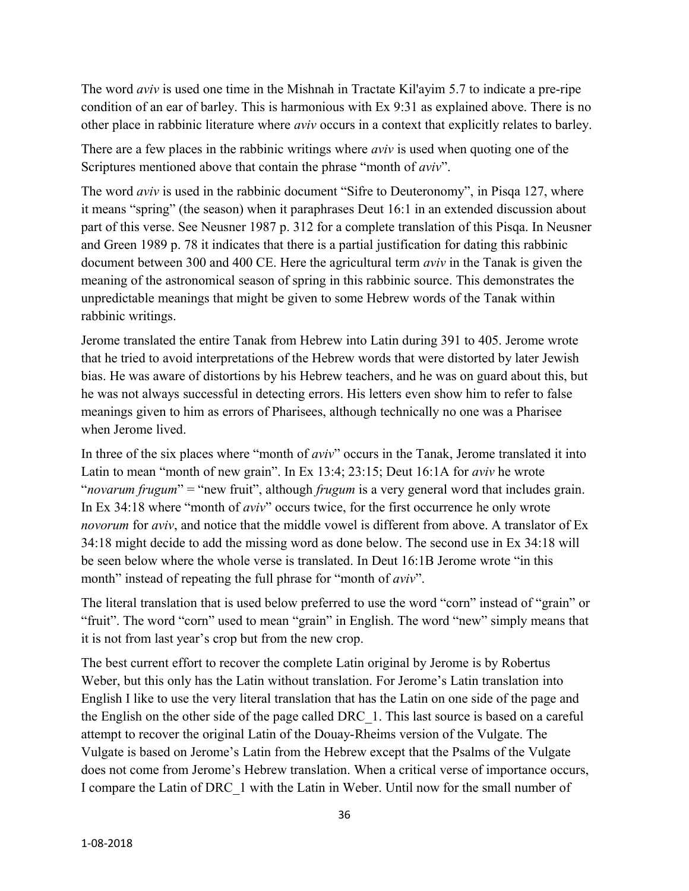The word *aviv* is used one time in the Mishnah in Tractate Kil'ayim 5.7 to indicate a pre-ripe condition of an ear of barley. This is harmonious with Ex 9:31 as explained above. There is no other place in rabbinic literature where *aviv* occurs in a context that explicitly relates to barley.

There are a few places in the rabbinic writings where *aviv* is used when quoting one of the Scriptures mentioned above that contain the phrase "month of *aviv*".

The word *aviv* is used in the rabbinic document "Sifre to Deuteronomy", in Pisqa 127, where it means "spring" (the season) when it paraphrases Deut 16:1 in an extended discussion about part of this verse. See Neusner 1987 p. 312 for a complete translation of this Pisqa. In Neusner and Green 1989 p. 78 it indicates that there is a partial justification for dating this rabbinic document between 300 and 400 CE. Here the agricultural term *aviv* in the Tanak is given the meaning of the astronomical season of spring in this rabbinic source. This demonstrates the unpredictable meanings that might be given to some Hebrew words of the Tanak within rabbinic writings.

Jerome translated the entire Tanak from Hebrew into Latin during 391 to 405. Jerome wrote that he tried to avoid interpretations of the Hebrew words that were distorted by later Jewish bias. He was aware of distortions by his Hebrew teachers, and he was on guard about this, but he was not always successful in detecting errors. His letters even show him to refer to false meanings given to him as errors of Pharisees, although technically no one was a Pharisee when Jerome lived.

In three of the six places where "month of *aviv*" occurs in the Tanak, Jerome translated it into Latin to mean "month of new grain". In Ex 13:4; 23:15; Deut 16:1A for *aviv* he wrote "*novarum frugum*" = "new fruit", although *frugum* is a very general word that includes grain. In Ex 34:18 where "month of *aviv*" occurs twice, for the first occurrence he only wrote *novorum* for *aviv*, and notice that the middle vowel is different from above. A translator of Ex 34:18 might decide to add the missing word as done below. The second use in Ex 34:18 will be seen below where the whole verse is translated. In Deut 16:1B Jerome wrote "in this month" instead of repeating the full phrase for "month of *aviv*".

The literal translation that is used below preferred to use the word "corn" instead of "grain" or "fruit". The word "corn" used to mean "grain" in English. The word "new" simply means that it is not from last year's crop but from the new crop.

The best current effort to recover the complete Latin original by Jerome is by Robertus Weber, but this only has the Latin without translation. For Jerome's Latin translation into English I like to use the very literal translation that has the Latin on one side of the page and the English on the other side of the page called DRC\_1. This last source is based on a careful attempt to recover the original Latin of the Douay-Rheims version of the Vulgate. The Vulgate is based on Jerome's Latin from the Hebrew except that the Psalms of the Vulgate does not come from Jerome's Hebrew translation. When a critical verse of importance occurs, I compare the Latin of DRC\_1 with the Latin in Weber. Until now for the small number of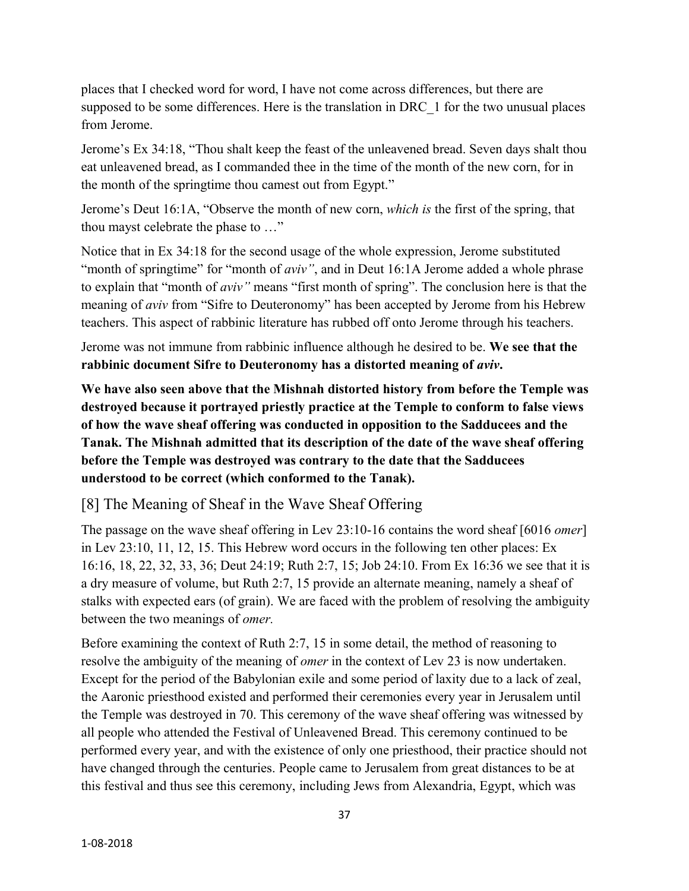places that I checked word for word, I have not come across differences, but there are supposed to be some differences. Here is the translation in DRC 1 for the two unusual places from Jerome.

Jerome's Ex 34:18, "Thou shalt keep the feast of the unleavened bread. Seven days shalt thou eat unleavened bread, as I commanded thee in the time of the month of the new corn, for in the month of the springtime thou camest out from Egypt."

Jerome's Deut 16:1A, "Observe the month of new corn, *which is* the first of the spring, that thou mayst celebrate the phase to …"

Notice that in Ex 34:18 for the second usage of the whole expression, Jerome substituted "month of springtime" for "month of *aviv*", and in Deut 16:1A Jerome added a whole phrase to explain that "month of *aviv"* means "first month of spring". The conclusion here is that the meaning of *aviv* from "Sifre to Deuteronomy" has been accepted by Jerome from his Hebrew teachers. This aspect of rabbinic literature has rubbed off onto Jerome through his teachers.

Jerome was not immune from rabbinic influence although he desired to be. **We see that the rabbinic document Sifre to Deuteronomy has a distorted meaning of** *aviv***.**

**We have also seen above that the Mishnah distorted history from before the Temple was destroyed because it portrayed priestly practice at the Temple to conform to false views of how the wave sheaf offering was conducted in opposition to the Sadducees and the Tanak. The Mishnah admitted that its description of the date of the wave sheaf offering before the Temple was destroyed was contrary to the date that the Sadducees understood to be correct (which conformed to the Tanak).**

## [8] The Meaning of Sheaf in the Wave Sheaf Offering

The passage on the wave sheaf offering in Lev 23:10-16 contains the word sheaf [6016 *omer*] in Lev 23:10, 11, 12, 15. This Hebrew word occurs in the following ten other places: Ex 16:16, 18, 22, 32, 33, 36; Deut 24:19; Ruth 2:7, 15; Job 24:10. From Ex 16:36 we see that it is a dry measure of volume, but Ruth 2:7, 15 provide an alternate meaning, namely a sheaf of stalks with expected ears (of grain). We are faced with the problem of resolving the ambiguity between the two meanings of *omer.*

Before examining the context of Ruth 2:7, 15 in some detail, the method of reasoning to resolve the ambiguity of the meaning of *omer* in the context of Lev 23 is now undertaken. Except for the period of the Babylonian exile and some period of laxity due to a lack of zeal, the Aaronic priesthood existed and performed their ceremonies every year in Jerusalem until the Temple was destroyed in 70. This ceremony of the wave sheaf offering was witnessed by all people who attended the Festival of Unleavened Bread. This ceremony continued to be performed every year, and with the existence of only one priesthood, their practice should not have changed through the centuries. People came to Jerusalem from great distances to be at this festival and thus see this ceremony, including Jews from Alexandria, Egypt, which was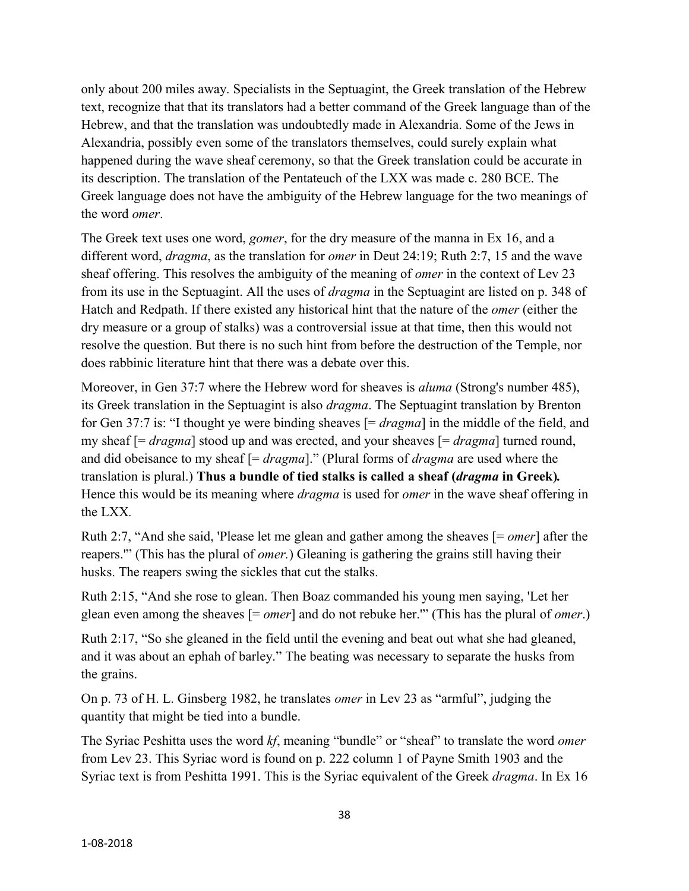only about 200 miles away. Specialists in the Septuagint, the Greek translation of the Hebrew text, recognize that that its translators had a better command of the Greek language than of the Hebrew, and that the translation was undoubtedly made in Alexandria. Some of the Jews in Alexandria, possibly even some of the translators themselves, could surely explain what happened during the wave sheaf ceremony, so that the Greek translation could be accurate in its description. The translation of the Pentateuch of the LXX was made c. 280 BCE. The Greek language does not have the ambiguity of the Hebrew language for the two meanings of the word *omer*.

The Greek text uses one word, *gomer*, for the dry measure of the manna in Ex 16, and a different word, *dragma*, as the translation for *omer* in Deut 24:19; Ruth 2:7, 15 and the wave sheaf offering. This resolves the ambiguity of the meaning of *omer* in the context of Lev 23 from its use in the Septuagint. All the uses of *dragma* in the Septuagint are listed on p. 348 of Hatch and Redpath. If there existed any historical hint that the nature of the *omer* (either the dry measure or a group of stalks) was a controversial issue at that time, then this would not resolve the question. But there is no such hint from before the destruction of the Temple, nor does rabbinic literature hint that there was a debate over this.

Moreover, in Gen 37:7 where the Hebrew word for sheaves is *aluma* (Strong's number 485), its Greek translation in the Septuagint is also *dragma*. The Septuagint translation by Brenton for Gen 37:7 is: "I thought ye were binding sheaves [= *dragma*] in the middle of the field, and my sheaf [= *dragma*] stood up and was erected, and your sheaves [= *dragma*] turned round, and did obeisance to my sheaf [= *dragma*]." (Plural forms of *dragma* are used where the translation is plural.) **Thus a bundle of tied stalks is called a sheaf (***dragma* **in Greek)***.*  Hence this would be its meaning where *dragma* is used for *omer* in the wave sheaf offering in the LXX*.*

Ruth 2:7, "And she said, 'Please let me glean and gather among the sheaves [= *omer*] after the reapers.'" (This has the plural of *omer.*) Gleaning is gathering the grains still having their husks. The reapers swing the sickles that cut the stalks.

Ruth 2:15, "And she rose to glean. Then Boaz commanded his young men saying, 'Let her glean even among the sheaves [= *omer*] and do not rebuke her.'" (This has the plural of *omer*.)

Ruth 2:17, "So she gleaned in the field until the evening and beat out what she had gleaned, and it was about an ephah of barley." The beating was necessary to separate the husks from the grains.

On p. 73 of H. L. Ginsberg 1982, he translates *omer* in Lev 23 as "armful", judging the quantity that might be tied into a bundle.

The Syriac Peshitta uses the word *kf*, meaning "bundle" or "sheaf" to translate the word *omer* from Lev 23. This Syriac word is found on p. 222 column 1 of Payne Smith 1903 and the Syriac text is from Peshitta 1991. This is the Syriac equivalent of the Greek *dragma*. In Ex 16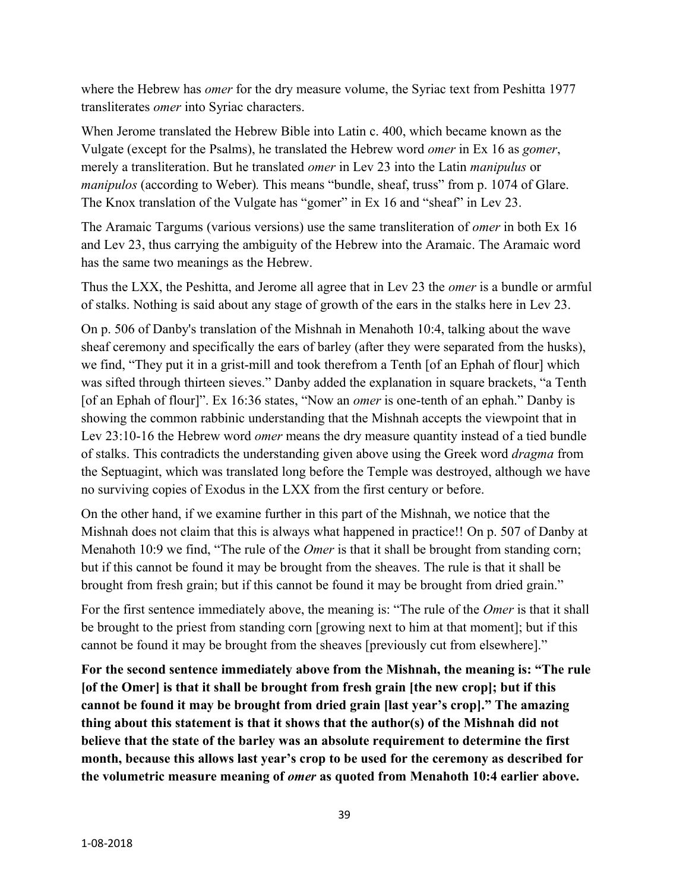where the Hebrew has *omer* for the dry measure volume, the Syriac text from Peshitta 1977 transliterates *omer* into Syriac characters.

When Jerome translated the Hebrew Bible into Latin c. 400, which became known as the Vulgate (except for the Psalms), he translated the Hebrew word *omer* in Ex 16 as *gomer*, merely a transliteration. But he translated *omer* in Lev 23 into the Latin *manipulus* or *manipulos* (according to Weber)*.* This means "bundle, sheaf, truss" from p. 1074 of Glare. The Knox translation of the Vulgate has "gomer" in Ex 16 and "sheaf" in Lev 23.

The Aramaic Targums (various versions) use the same transliteration of *omer* in both Ex 16 and Lev 23, thus carrying the ambiguity of the Hebrew into the Aramaic. The Aramaic word has the same two meanings as the Hebrew.

Thus the LXX, the Peshitta, and Jerome all agree that in Lev 23 the *omer* is a bundle or armful of stalks. Nothing is said about any stage of growth of the ears in the stalks here in Lev 23.

On p. 506 of Danby's translation of the Mishnah in Menahoth 10:4, talking about the wave sheaf ceremony and specifically the ears of barley (after they were separated from the husks), we find, "They put it in a grist-mill and took therefrom a Tenth [of an Ephah of flour] which was sifted through thirteen sieves." Danby added the explanation in square brackets, "a Tenth [of an Ephah of flour]". Ex 16:36 states, "Now an *omer* is one-tenth of an ephah." Danby is showing the common rabbinic understanding that the Mishnah accepts the viewpoint that in Lev 23:10-16 the Hebrew word *omer* means the dry measure quantity instead of a tied bundle of stalks. This contradicts the understanding given above using the Greek word *dragma* from the Septuagint, which was translated long before the Temple was destroyed, although we have no surviving copies of Exodus in the LXX from the first century or before.

On the other hand, if we examine further in this part of the Mishnah, we notice that the Mishnah does not claim that this is always what happened in practice!! On p. 507 of Danby at Menahoth 10:9 we find, "The rule of the *Omer* is that it shall be brought from standing corn; but if this cannot be found it may be brought from the sheaves. The rule is that it shall be brought from fresh grain; but if this cannot be found it may be brought from dried grain."

For the first sentence immediately above, the meaning is: "The rule of the *Omer* is that it shall be brought to the priest from standing corn [growing next to him at that moment]; but if this cannot be found it may be brought from the sheaves [previously cut from elsewhere]."

**For the second sentence immediately above from the Mishnah, the meaning is: "The rule [of the Omer] is that it shall be brought from fresh grain [the new crop]; but if this cannot be found it may be brought from dried grain [last year's crop]." The amazing thing about this statement is that it shows that the author(s) of the Mishnah did not believe that the state of the barley was an absolute requirement to determine the first month, because this allows last year's crop to be used for the ceremony as described for the volumetric measure meaning of** *omer* **as quoted from Menahoth 10:4 earlier above.**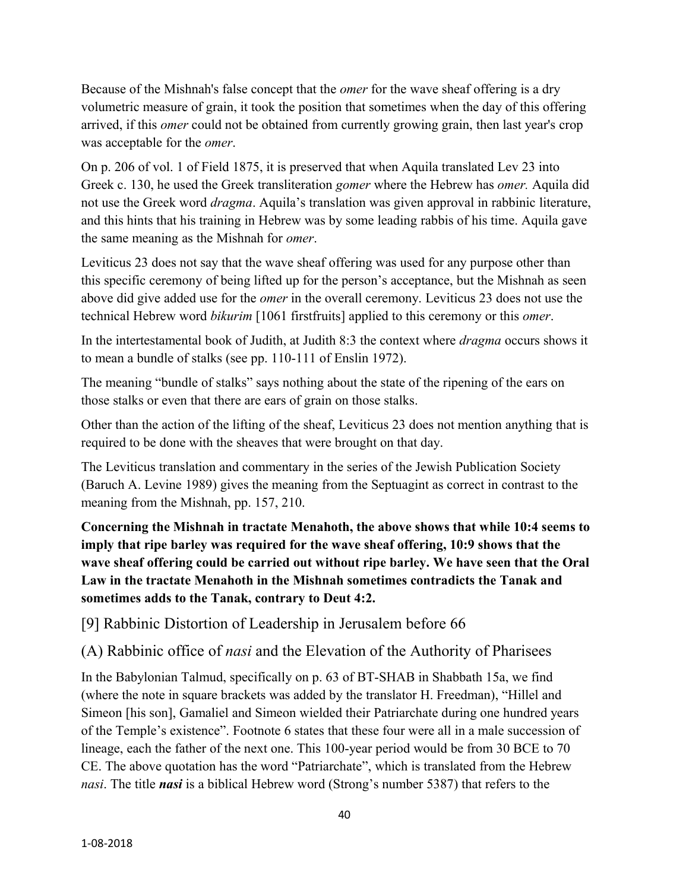Because of the Mishnah's false concept that the *omer* for the wave sheaf offering is a dry volumetric measure of grain, it took the position that sometimes when the day of this offering arrived, if this *omer* could not be obtained from currently growing grain, then last year's crop was acceptable for the *omer*.

On p. 206 of vol. 1 of Field 1875, it is preserved that when Aquila translated Lev 23 into Greek c. 130, he used the Greek transliteration *gomer* where the Hebrew has *omer.* Aquila did not use the Greek word *dragma*. Aquila's translation was given approval in rabbinic literature, and this hints that his training in Hebrew was by some leading rabbis of his time. Aquila gave the same meaning as the Mishnah for *omer*.

Leviticus 23 does not say that the wave sheaf offering was used for any purpose other than this specific ceremony of being lifted up for the person's acceptance, but the Mishnah as seen above did give added use for the *omer* in the overall ceremony. Leviticus 23 does not use the technical Hebrew word *bikurim* [1061 firstfruits] applied to this ceremony or this *omer*.

In the intertestamental book of Judith, at Judith 8:3 the context where *dragma* occurs shows it to mean a bundle of stalks (see pp. 110-111 of Enslin 1972).

The meaning "bundle of stalks" says nothing about the state of the ripening of the ears on those stalks or even that there are ears of grain on those stalks.

Other than the action of the lifting of the sheaf, Leviticus 23 does not mention anything that is required to be done with the sheaves that were brought on that day.

The Leviticus translation and commentary in the series of the Jewish Publication Society (Baruch A. Levine 1989) gives the meaning from the Septuagint as correct in contrast to the meaning from the Mishnah, pp. 157, 210.

**Concerning the Mishnah in tractate Menahoth, the above shows that while 10:4 seems to imply that ripe barley was required for the wave sheaf offering, 10:9 shows that the wave sheaf offering could be carried out without ripe barley. We have seen that the Oral Law in the tractate Menahoth in the Mishnah sometimes contradicts the Tanak and sometimes adds to the Tanak, contrary to Deut 4:2.**

[9] Rabbinic Distortion of Leadership in Jerusalem before 66

(A) Rabbinic office of *nasi* and the Elevation of the Authority of Pharisees

In the Babylonian Talmud, specifically on p. 63 of BT-SHAB in Shabbath 15a, we find (where the note in square brackets was added by the translator H. Freedman), "Hillel and Simeon [his son], Gamaliel and Simeon wielded their Patriarchate during one hundred years of the Temple's existence". Footnote 6 states that these four were all in a male succession of lineage, each the father of the next one. This 100-year period would be from 30 BCE to 70 CE. The above quotation has the word "Patriarchate", which is translated from the Hebrew *nasi*. The title *nasi* is a biblical Hebrew word (Strong's number 5387) that refers to the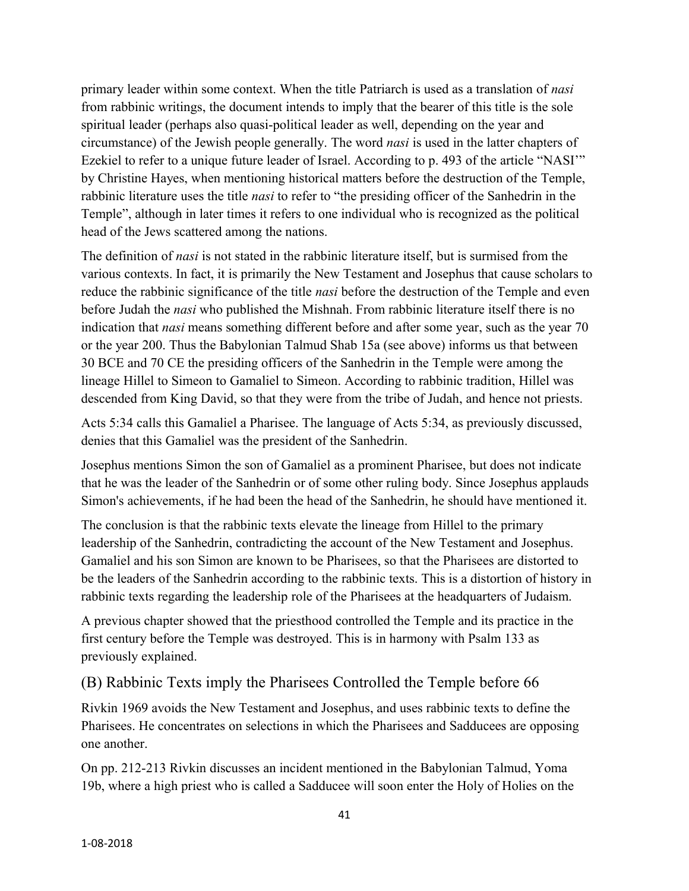primary leader within some context. When the title Patriarch is used as a translation of *nasi* from rabbinic writings, the document intends to imply that the bearer of this title is the sole spiritual leader (perhaps also quasi-political leader as well, depending on the year and circumstance) of the Jewish people generally. The word *nasi* is used in the latter chapters of Ezekiel to refer to a unique future leader of Israel. According to p. 493 of the article "NASI'" by Christine Hayes, when mentioning historical matters before the destruction of the Temple, rabbinic literature uses the title *nasi* to refer to "the presiding officer of the Sanhedrin in the Temple", although in later times it refers to one individual who is recognized as the political head of the Jews scattered among the nations.

The definition of *nasi* is not stated in the rabbinic literature itself, but is surmised from the various contexts. In fact, it is primarily the New Testament and Josephus that cause scholars to reduce the rabbinic significance of the title *nasi* before the destruction of the Temple and even before Judah the *nasi* who published the Mishnah. From rabbinic literature itself there is no indication that *nasi* means something different before and after some year, such as the year 70 or the year 200. Thus the Babylonian Talmud Shab 15a (see above) informs us that between 30 BCE and 70 CE the presiding officers of the Sanhedrin in the Temple were among the lineage Hillel to Simeon to Gamaliel to Simeon. According to rabbinic tradition, Hillel was descended from King David, so that they were from the tribe of Judah, and hence not priests.

Acts 5:34 calls this Gamaliel a Pharisee. The language of Acts 5:34, as previously discussed, denies that this Gamaliel was the president of the Sanhedrin.

Josephus mentions Simon the son of Gamaliel as a prominent Pharisee, but does not indicate that he was the leader of the Sanhedrin or of some other ruling body. Since Josephus applauds Simon's achievements, if he had been the head of the Sanhedrin, he should have mentioned it.

The conclusion is that the rabbinic texts elevate the lineage from Hillel to the primary leadership of the Sanhedrin, contradicting the account of the New Testament and Josephus. Gamaliel and his son Simon are known to be Pharisees, so that the Pharisees are distorted to be the leaders of the Sanhedrin according to the rabbinic texts. This is a distortion of history in rabbinic texts regarding the leadership role of the Pharisees at the headquarters of Judaism.

A previous chapter showed that the priesthood controlled the Temple and its practice in the first century before the Temple was destroyed. This is in harmony with Psalm 133 as previously explained.

#### (B) Rabbinic Texts imply the Pharisees Controlled the Temple before 66

Rivkin 1969 avoids the New Testament and Josephus, and uses rabbinic texts to define the Pharisees. He concentrates on selections in which the Pharisees and Sadducees are opposing one another.

On pp. 212-213 Rivkin discusses an incident mentioned in the Babylonian Talmud, Yoma 19b, where a high priest who is called a Sadducee will soon enter the Holy of Holies on the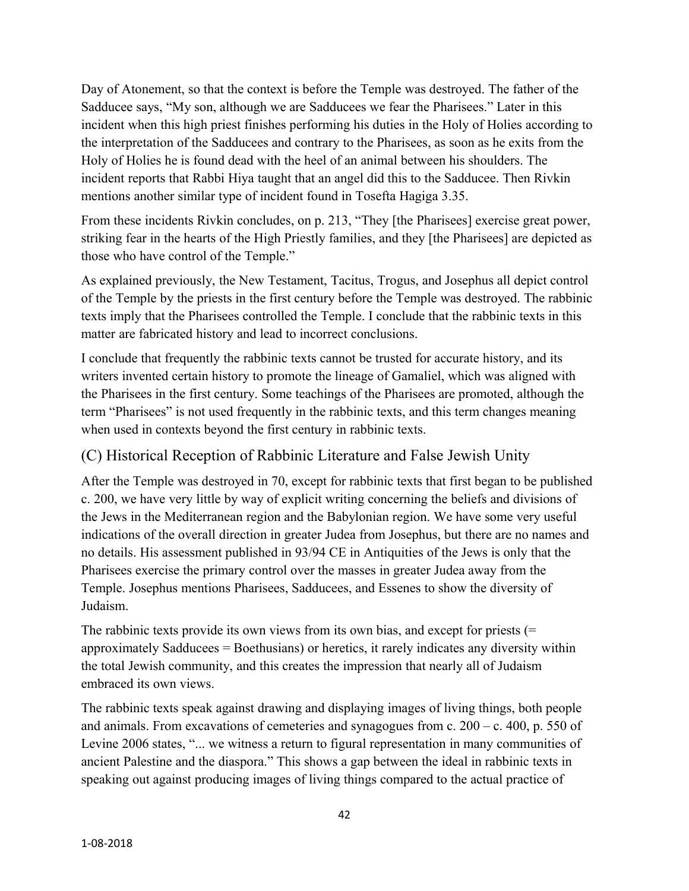Day of Atonement, so that the context is before the Temple was destroyed. The father of the Sadducee says, "My son, although we are Sadducees we fear the Pharisees." Later in this incident when this high priest finishes performing his duties in the Holy of Holies according to the interpretation of the Sadducees and contrary to the Pharisees, as soon as he exits from the Holy of Holies he is found dead with the heel of an animal between his shoulders. The incident reports that Rabbi Hiya taught that an angel did this to the Sadducee. Then Rivkin mentions another similar type of incident found in Tosefta Hagiga 3.35.

From these incidents Rivkin concludes, on p. 213, "They [the Pharisees] exercise great power, striking fear in the hearts of the High Priestly families, and they [the Pharisees] are depicted as those who have control of the Temple."

As explained previously, the New Testament, Tacitus, Trogus, and Josephus all depict control of the Temple by the priests in the first century before the Temple was destroyed. The rabbinic texts imply that the Pharisees controlled the Temple. I conclude that the rabbinic texts in this matter are fabricated history and lead to incorrect conclusions.

I conclude that frequently the rabbinic texts cannot be trusted for accurate history, and its writers invented certain history to promote the lineage of Gamaliel, which was aligned with the Pharisees in the first century. Some teachings of the Pharisees are promoted, although the term "Pharisees" is not used frequently in the rabbinic texts, and this term changes meaning when used in contexts beyond the first century in rabbinic texts.

## (C) Historical Reception of Rabbinic Literature and False Jewish Unity

After the Temple was destroyed in 70, except for rabbinic texts that first began to be published c. 200, we have very little by way of explicit writing concerning the beliefs and divisions of the Jews in the Mediterranean region and the Babylonian region. We have some very useful indications of the overall direction in greater Judea from Josephus, but there are no names and no details. His assessment published in 93/94 CE in Antiquities of the Jews is only that the Pharisees exercise the primary control over the masses in greater Judea away from the Temple. Josephus mentions Pharisees, Sadducees, and Essenes to show the diversity of Judaism.

The rabbinic texts provide its own views from its own bias, and except for priests (= approximately Sadducees = Boethusians) or heretics, it rarely indicates any diversity within the total Jewish community, and this creates the impression that nearly all of Judaism embraced its own views.

The rabbinic texts speak against drawing and displaying images of living things, both people and animals. From excavations of cemeteries and synagogues from c.  $200 - c$ . 400, p. 550 of Levine 2006 states, "... we witness a return to figural representation in many communities of ancient Palestine and the diaspora." This shows a gap between the ideal in rabbinic texts in speaking out against producing images of living things compared to the actual practice of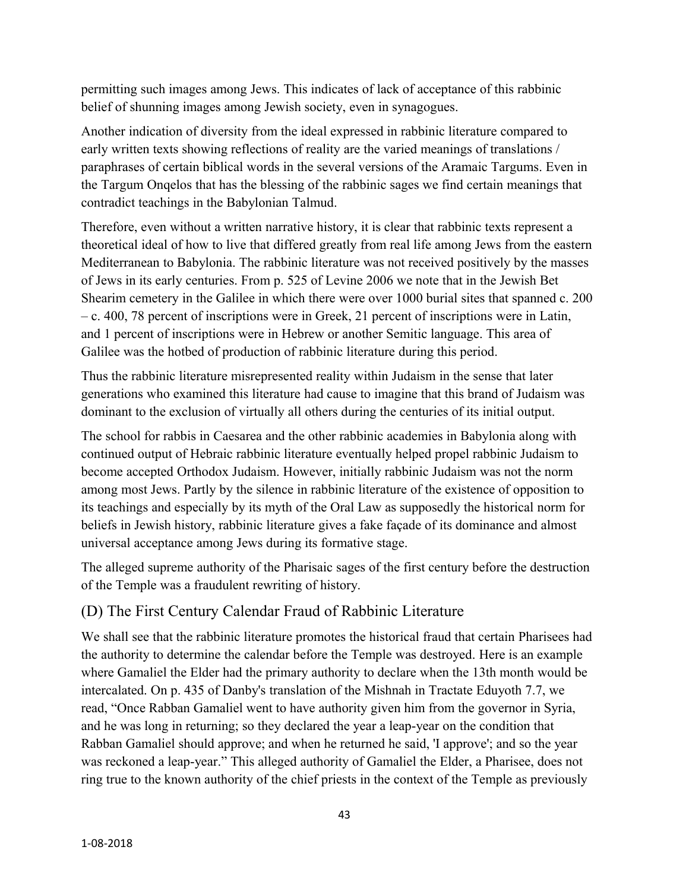permitting such images among Jews. This indicates of lack of acceptance of this rabbinic belief of shunning images among Jewish society, even in synagogues.

Another indication of diversity from the ideal expressed in rabbinic literature compared to early written texts showing reflections of reality are the varied meanings of translations / paraphrases of certain biblical words in the several versions of the Aramaic Targums. Even in the Targum Onqelos that has the blessing of the rabbinic sages we find certain meanings that contradict teachings in the Babylonian Talmud.

Therefore, even without a written narrative history, it is clear that rabbinic texts represent a theoretical ideal of how to live that differed greatly from real life among Jews from the eastern Mediterranean to Babylonia. The rabbinic literature was not received positively by the masses of Jews in its early centuries. From p. 525 of Levine 2006 we note that in the Jewish Bet Shearim cemetery in the Galilee in which there were over 1000 burial sites that spanned c. 200 – c. 400, 78 percent of inscriptions were in Greek, 21 percent of inscriptions were in Latin, and 1 percent of inscriptions were in Hebrew or another Semitic language. This area of Galilee was the hotbed of production of rabbinic literature during this period.

Thus the rabbinic literature misrepresented reality within Judaism in the sense that later generations who examined this literature had cause to imagine that this brand of Judaism was dominant to the exclusion of virtually all others during the centuries of its initial output.

The school for rabbis in Caesarea and the other rabbinic academies in Babylonia along with continued output of Hebraic rabbinic literature eventually helped propel rabbinic Judaism to become accepted Orthodox Judaism. However, initially rabbinic Judaism was not the norm among most Jews. Partly by the silence in rabbinic literature of the existence of opposition to its teachings and especially by its myth of the Oral Law as supposedly the historical norm for beliefs in Jewish history, rabbinic literature gives a fake façade of its dominance and almost universal acceptance among Jews during its formative stage.

The alleged supreme authority of the Pharisaic sages of the first century before the destruction of the Temple was a fraudulent rewriting of history.

## (D) The First Century Calendar Fraud of Rabbinic Literature

We shall see that the rabbinic literature promotes the historical fraud that certain Pharisees had the authority to determine the calendar before the Temple was destroyed. Here is an example where Gamaliel the Elder had the primary authority to declare when the 13th month would be intercalated. On p. 435 of Danby's translation of the Mishnah in Tractate Eduyoth 7.7, we read, "Once Rabban Gamaliel went to have authority given him from the governor in Syria, and he was long in returning; so they declared the year a leap-year on the condition that Rabban Gamaliel should approve; and when he returned he said, 'I approve'; and so the year was reckoned a leap-year." This alleged authority of Gamaliel the Elder, a Pharisee, does not ring true to the known authority of the chief priests in the context of the Temple as previously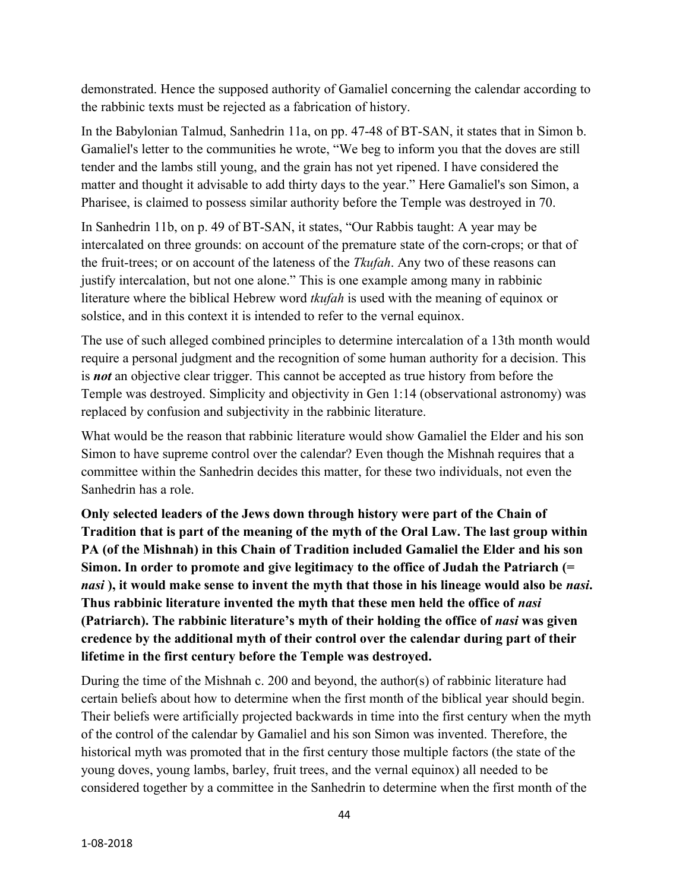demonstrated. Hence the supposed authority of Gamaliel concerning the calendar according to the rabbinic texts must be rejected as a fabrication of history.

In the Babylonian Talmud, Sanhedrin 11a, on pp. 47-48 of BT-SAN, it states that in Simon b. Gamaliel's letter to the communities he wrote, "We beg to inform you that the doves are still tender and the lambs still young, and the grain has not yet ripened. I have considered the matter and thought it advisable to add thirty days to the year." Here Gamaliel's son Simon, a Pharisee, is claimed to possess similar authority before the Temple was destroyed in 70.

In Sanhedrin 11b, on p. 49 of BT-SAN, it states, "Our Rabbis taught: A year may be intercalated on three grounds: on account of the premature state of the corn-crops; or that of the fruit-trees; or on account of the lateness of the *Tkufah*. Any two of these reasons can justify intercalation, but not one alone." This is one example among many in rabbinic literature where the biblical Hebrew word *tkufah* is used with the meaning of equinox or solstice, and in this context it is intended to refer to the vernal equinox.

The use of such alleged combined principles to determine intercalation of a 13th month would require a personal judgment and the recognition of some human authority for a decision. This is *not* an objective clear trigger. This cannot be accepted as true history from before the Temple was destroyed. Simplicity and objectivity in Gen 1:14 (observational astronomy) was replaced by confusion and subjectivity in the rabbinic literature.

What would be the reason that rabbinic literature would show Gamaliel the Elder and his son Simon to have supreme control over the calendar? Even though the Mishnah requires that a committee within the Sanhedrin decides this matter, for these two individuals, not even the Sanhedrin has a role.

**Only selected leaders of the Jews down through history were part of the Chain of Tradition that is part of the meaning of the myth of the Oral Law. The last group within PA (of the Mishnah) in this Chain of Tradition included Gamaliel the Elder and his son Simon. In order to promote and give legitimacy to the office of Judah the Patriarch (=**  *nasi* **), it would make sense to invent the myth that those in his lineage would also be** *nasi***. Thus rabbinic literature invented the myth that these men held the office of** *nasi* **(Patriarch). The rabbinic literature's myth of their holding the office of** *nasi* **was given credence by the additional myth of their control over the calendar during part of their lifetime in the first century before the Temple was destroyed.**

During the time of the Mishnah c. 200 and beyond, the author(s) of rabbinic literature had certain beliefs about how to determine when the first month of the biblical year should begin. Their beliefs were artificially projected backwards in time into the first century when the myth of the control of the calendar by Gamaliel and his son Simon was invented. Therefore, the historical myth was promoted that in the first century those multiple factors (the state of the young doves, young lambs, barley, fruit trees, and the vernal equinox) all needed to be considered together by a committee in the Sanhedrin to determine when the first month of the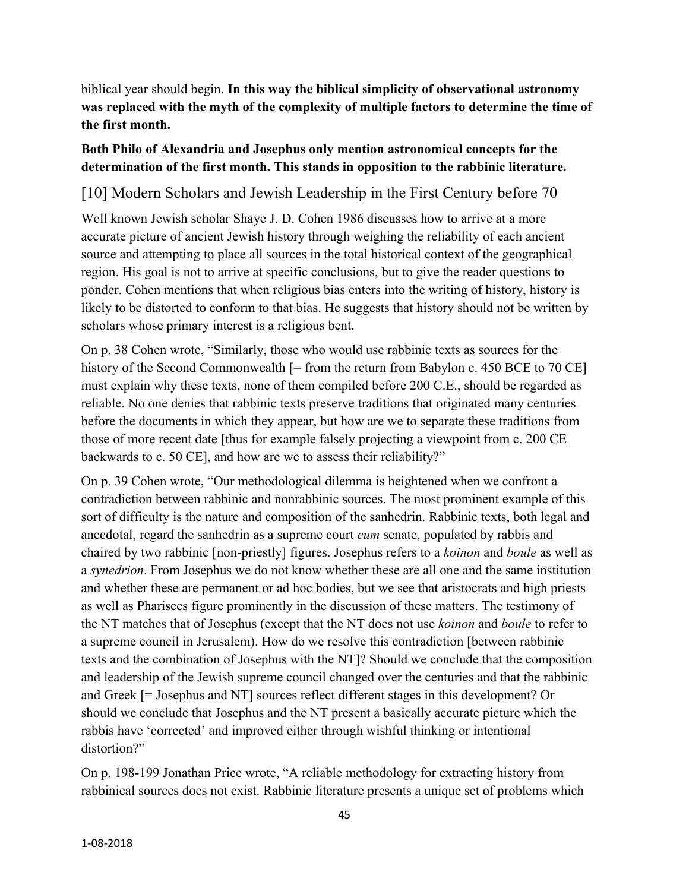biblical year should begin. **In this way the biblical simplicity of observational astronomy was replaced with the myth of the complexity of multiple factors to determine the time of the first month.**

#### **Both Philo of Alexandria and Josephus only mention astronomical concepts for the determination of the first month. This stands in opposition to the rabbinic literature.**

### [10] Modern Scholars and Jewish Leadership in the First Century before 70

Well known Jewish scholar Shaye J. D. Cohen 1986 discusses how to arrive at a more accurate picture of ancient Jewish history through weighing the reliability of each ancient source and attempting to place all sources in the total historical context of the geographical region. His goal is not to arrive at specific conclusions, but to give the reader questions to ponder. Cohen mentions that when religious bias enters into the writing of history, history is likely to be distorted to conform to that bias. He suggests that history should not be written by scholars whose primary interest is a religious bent.

On p. 38 Cohen wrote, "Similarly, those who would use rabbinic texts as sources for the history of the Second Commonwealth [= from the return from Babylon c. 450 BCE to 70 CE] must explain why these texts, none of them compiled before 200 C.E., should be regarded as reliable. No one denies that rabbinic texts preserve traditions that originated many centuries before the documents in which they appear, but how are we to separate these traditions from those of more recent date [thus for example falsely projecting a viewpoint from c. 200 CE backwards to c. 50 CE], and how are we to assess their reliability?"

On p. 39 Cohen wrote, "Our methodological dilemma is heightened when we confront a contradiction between rabbinic and nonrabbinic sources. The most prominent example of this sort of difficulty is the nature and composition of the sanhedrin. Rabbinic texts, both legal and anecdotal, regard the sanhedrin as a supreme court *cum* senate, populated by rabbis and chaired by two rabbinic [non-priestly] figures. Josephus refers to a *koinon* and *boule* as well as a *synedrion*. From Josephus we do not know whether these are all one and the same institution and whether these are permanent or ad hoc bodies, but we see that aristocrats and high priests as well as Pharisees figure prominently in the discussion of these matters. The testimony of the NT matches that of Josephus (except that the NT does not use *koinon* and *boule* to refer to a supreme council in Jerusalem). How do we resolve this contradiction [between rabbinic texts and the combination of Josephus with the NT]? Should we conclude that the composition and leadership of the Jewish supreme council changed over the centuries and that the rabbinic and Greek [= Josephus and NT] sources reflect different stages in this development? Or should we conclude that Josephus and the NT present a basically accurate picture which the rabbis have 'corrected' and improved either through wishful thinking or intentional distortion?"

On p. 198-199 Jonathan Price wrote, "A reliable methodology for extracting history from rabbinical sources does not exist. Rabbinic literature presents a unique set of problems which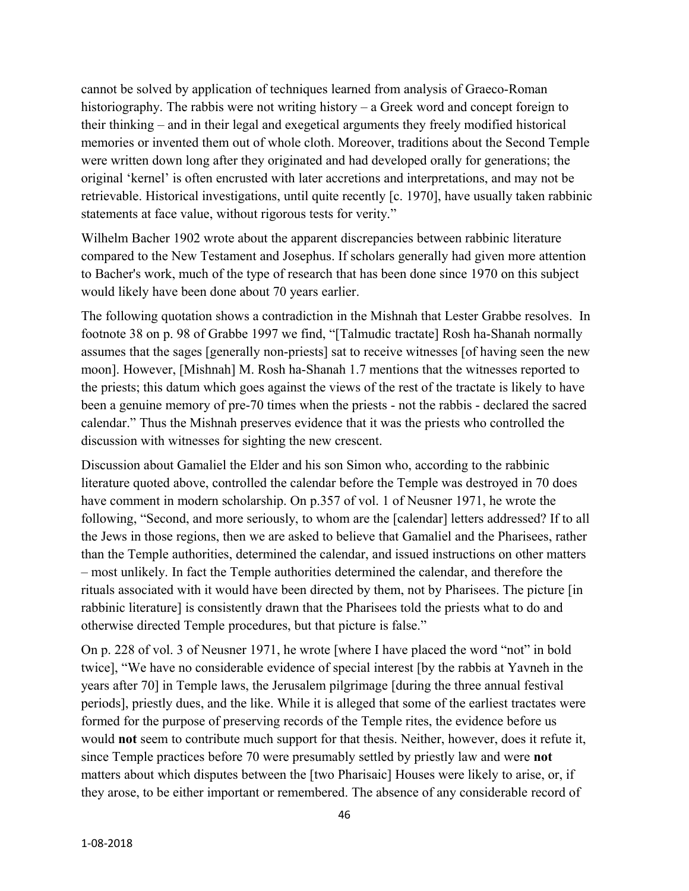cannot be solved by application of techniques learned from analysis of Graeco-Roman historiography. The rabbis were not writing history – a Greek word and concept foreign to their thinking – and in their legal and exegetical arguments they freely modified historical memories or invented them out of whole cloth. Moreover, traditions about the Second Temple were written down long after they originated and had developed orally for generations; the original 'kernel' is often encrusted with later accretions and interpretations, and may not be retrievable. Historical investigations, until quite recently [c. 1970], have usually taken rabbinic statements at face value, without rigorous tests for verity."

Wilhelm Bacher 1902 wrote about the apparent discrepancies between rabbinic literature compared to the New Testament and Josephus. If scholars generally had given more attention to Bacher's work, much of the type of research that has been done since 1970 on this subject would likely have been done about 70 years earlier.

The following quotation shows a contradiction in the Mishnah that Lester Grabbe resolves. In footnote 38 on p. 98 of Grabbe 1997 we find, "[Talmudic tractate] Rosh ha-Shanah normally assumes that the sages [generally non-priests] sat to receive witnesses [of having seen the new moon]. However, [Mishnah] M. Rosh ha-Shanah 1.7 mentions that the witnesses reported to the priests; this datum which goes against the views of the rest of the tractate is likely to have been a genuine memory of pre-70 times when the priests - not the rabbis - declared the sacred calendar." Thus the Mishnah preserves evidence that it was the priests who controlled the discussion with witnesses for sighting the new crescent.

Discussion about Gamaliel the Elder and his son Simon who, according to the rabbinic literature quoted above, controlled the calendar before the Temple was destroyed in 70 does have comment in modern scholarship. On p.357 of vol. 1 of Neusner 1971, he wrote the following, "Second, and more seriously, to whom are the [calendar] letters addressed? If to all the Jews in those regions, then we are asked to believe that Gamaliel and the Pharisees, rather than the Temple authorities, determined the calendar, and issued instructions on other matters – most unlikely. In fact the Temple authorities determined the calendar, and therefore the rituals associated with it would have been directed by them, not by Pharisees. The picture [in rabbinic literature] is consistently drawn that the Pharisees told the priests what to do and otherwise directed Temple procedures, but that picture is false."

On p. 228 of vol. 3 of Neusner 1971, he wrote [where I have placed the word "not" in bold twice], "We have no considerable evidence of special interest [by the rabbis at Yavneh in the years after 70] in Temple laws, the Jerusalem pilgrimage [during the three annual festival periods], priestly dues, and the like. While it is alleged that some of the earliest tractates were formed for the purpose of preserving records of the Temple rites, the evidence before us would **not** seem to contribute much support for that thesis. Neither, however, does it refute it, since Temple practices before 70 were presumably settled by priestly law and were **not** matters about which disputes between the [two Pharisaic] Houses were likely to arise, or, if they arose, to be either important or remembered. The absence of any considerable record of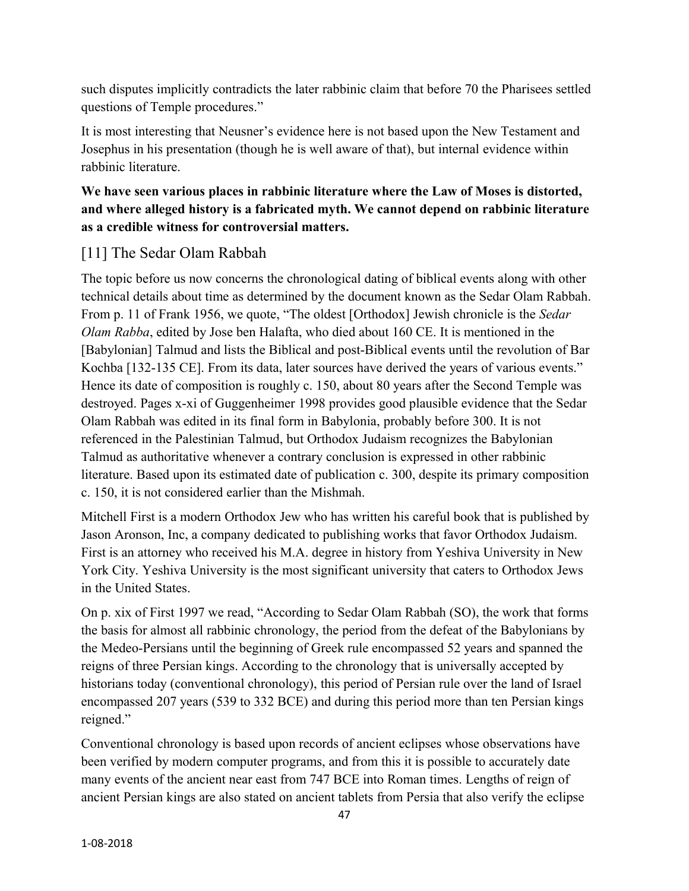such disputes implicitly contradicts the later rabbinic claim that before 70 the Pharisees settled questions of Temple procedures."

It is most interesting that Neusner's evidence here is not based upon the New Testament and Josephus in his presentation (though he is well aware of that), but internal evidence within rabbinic literature.

#### **We have seen various places in rabbinic literature where the Law of Moses is distorted, and where alleged history is a fabricated myth. We cannot depend on rabbinic literature as a credible witness for controversial matters.**

# [11] The Sedar Olam Rabbah

The topic before us now concerns the chronological dating of biblical events along with other technical details about time as determined by the document known as the Sedar Olam Rabbah. From p. 11 of Frank 1956, we quote, "The oldest [Orthodox] Jewish chronicle is the *Sedar Olam Rabba*, edited by Jose ben Halafta, who died about 160 CE. It is mentioned in the [Babylonian] Talmud and lists the Biblical and post-Biblical events until the revolution of Bar Kochba [132-135 CE]. From its data, later sources have derived the years of various events." Hence its date of composition is roughly c. 150, about 80 years after the Second Temple was destroyed. Pages x-xi of Guggenheimer 1998 provides good plausible evidence that the Sedar Olam Rabbah was edited in its final form in Babylonia, probably before 300. It is not referenced in the Palestinian Talmud, but Orthodox Judaism recognizes the Babylonian Talmud as authoritative whenever a contrary conclusion is expressed in other rabbinic literature. Based upon its estimated date of publication c. 300, despite its primary composition c. 150, it is not considered earlier than the Mishmah.

Mitchell First is a modern Orthodox Jew who has written his careful book that is published by Jason Aronson, Inc, a company dedicated to publishing works that favor Orthodox Judaism. First is an attorney who received his M.A. degree in history from Yeshiva University in New York City. Yeshiva University is the most significant university that caters to Orthodox Jews in the United States.

On p. xix of First 1997 we read, "According to Sedar Olam Rabbah (SO), the work that forms the basis for almost all rabbinic chronology, the period from the defeat of the Babylonians by the Medeo-Persians until the beginning of Greek rule encompassed 52 years and spanned the reigns of three Persian kings. According to the chronology that is universally accepted by historians today (conventional chronology), this period of Persian rule over the land of Israel encompassed 207 years (539 to 332 BCE) and during this period more than ten Persian kings reigned."

Conventional chronology is based upon records of ancient eclipses whose observations have been verified by modern computer programs, and from this it is possible to accurately date many events of the ancient near east from 747 BCE into Roman times. Lengths of reign of ancient Persian kings are also stated on ancient tablets from Persia that also verify the eclipse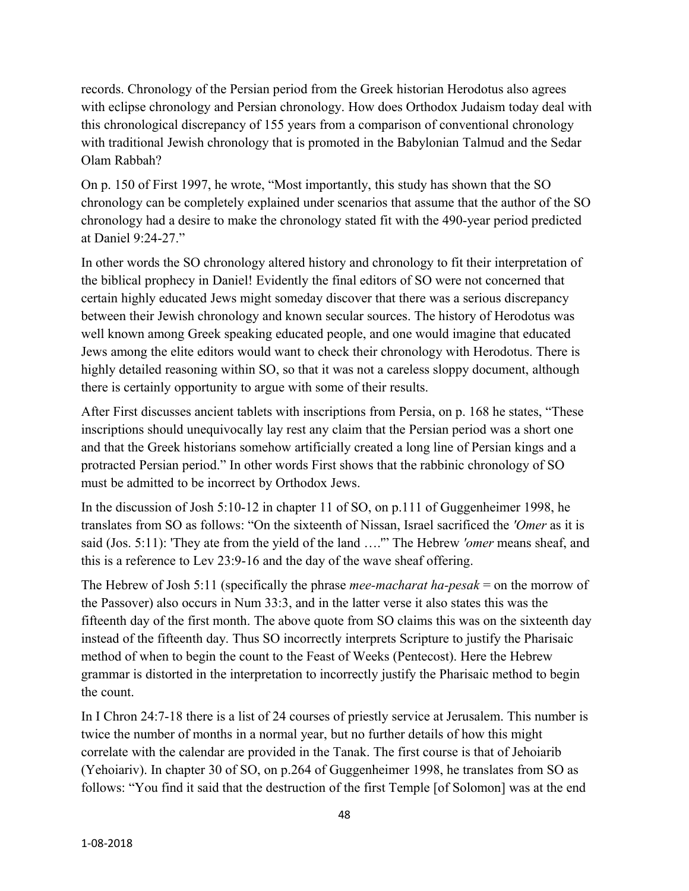records. Chronology of the Persian period from the Greek historian Herodotus also agrees with eclipse chronology and Persian chronology. How does Orthodox Judaism today deal with this chronological discrepancy of 155 years from a comparison of conventional chronology with traditional Jewish chronology that is promoted in the Babylonian Talmud and the Sedar Olam Rabbah?

On p. 150 of First 1997, he wrote, "Most importantly, this study has shown that the SO chronology can be completely explained under scenarios that assume that the author of the SO chronology had a desire to make the chronology stated fit with the 490-year period predicted at Daniel 9:24-27."

In other words the SO chronology altered history and chronology to fit their interpretation of the biblical prophecy in Daniel! Evidently the final editors of SO were not concerned that certain highly educated Jews might someday discover that there was a serious discrepancy between their Jewish chronology and known secular sources. The history of Herodotus was well known among Greek speaking educated people, and one would imagine that educated Jews among the elite editors would want to check their chronology with Herodotus. There is highly detailed reasoning within SO, so that it was not a careless sloppy document, although there is certainly opportunity to argue with some of their results.

After First discusses ancient tablets with inscriptions from Persia, on p. 168 he states, "These inscriptions should unequivocally lay rest any claim that the Persian period was a short one and that the Greek historians somehow artificially created a long line of Persian kings and a protracted Persian period." In other words First shows that the rabbinic chronology of SO must be admitted to be incorrect by Orthodox Jews.

In the discussion of Josh 5:10-12 in chapter 11 of SO, on p.111 of Guggenheimer 1998, he translates from SO as follows: "On the sixteenth of Nissan, Israel sacrificed the *'Omer* as it is said (Jos. 5:11): 'They ate from the yield of the land ….'" The Hebrew *'omer* means sheaf, and this is a reference to Lev 23:9-16 and the day of the wave sheaf offering.

The Hebrew of Josh 5:11 (specifically the phrase *mee-macharat ha-pesak* = on the morrow of the Passover) also occurs in Num 33:3, and in the latter verse it also states this was the fifteenth day of the first month. The above quote from SO claims this was on the sixteenth day instead of the fifteenth day. Thus SO incorrectly interprets Scripture to justify the Pharisaic method of when to begin the count to the Feast of Weeks (Pentecost). Here the Hebrew grammar is distorted in the interpretation to incorrectly justify the Pharisaic method to begin the count.

In I Chron 24:7-18 there is a list of 24 courses of priestly service at Jerusalem. This number is twice the number of months in a normal year, but no further details of how this might correlate with the calendar are provided in the Tanak. The first course is that of Jehoiarib (Yehoiariv). In chapter 30 of SO, on p.264 of Guggenheimer 1998, he translates from SO as follows: "You find it said that the destruction of the first Temple [of Solomon] was at the end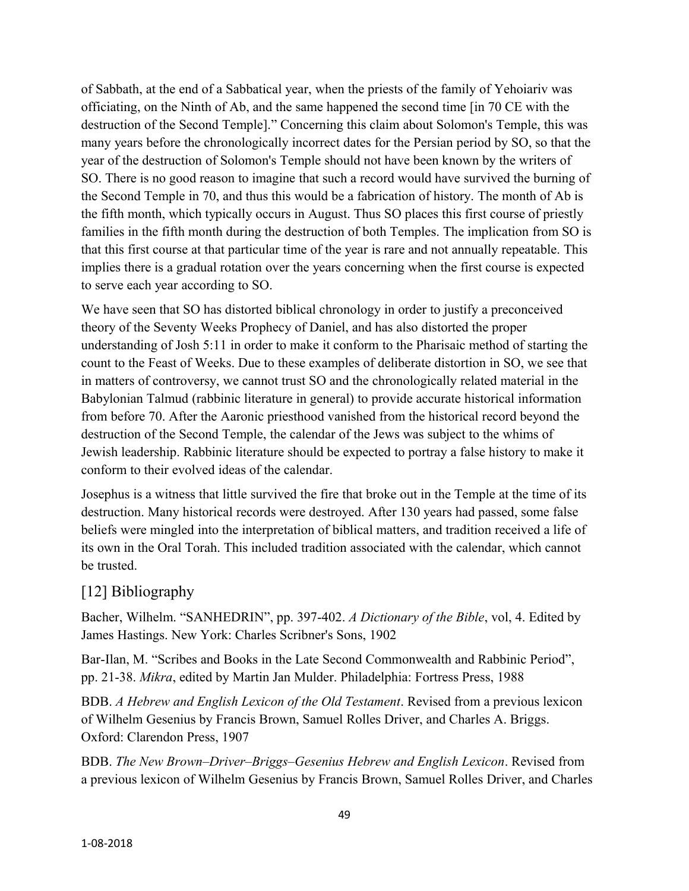of Sabbath, at the end of a Sabbatical year, when the priests of the family of Yehoiariv was officiating, on the Ninth of Ab, and the same happened the second time [in 70 CE with the destruction of the Second Temple]." Concerning this claim about Solomon's Temple, this was many years before the chronologically incorrect dates for the Persian period by SO, so that the year of the destruction of Solomon's Temple should not have been known by the writers of SO. There is no good reason to imagine that such a record would have survived the burning of the Second Temple in 70, and thus this would be a fabrication of history. The month of Ab is the fifth month, which typically occurs in August. Thus SO places this first course of priestly families in the fifth month during the destruction of both Temples. The implication from SO is that this first course at that particular time of the year is rare and not annually repeatable. This implies there is a gradual rotation over the years concerning when the first course is expected to serve each year according to SO.

We have seen that SO has distorted biblical chronology in order to justify a preconceived theory of the Seventy Weeks Prophecy of Daniel, and has also distorted the proper understanding of Josh 5:11 in order to make it conform to the Pharisaic method of starting the count to the Feast of Weeks. Due to these examples of deliberate distortion in SO, we see that in matters of controversy, we cannot trust SO and the chronologically related material in the Babylonian Talmud (rabbinic literature in general) to provide accurate historical information from before 70. After the Aaronic priesthood vanished from the historical record beyond the destruction of the Second Temple, the calendar of the Jews was subject to the whims of Jewish leadership. Rabbinic literature should be expected to portray a false history to make it conform to their evolved ideas of the calendar.

Josephus is a witness that little survived the fire that broke out in the Temple at the time of its destruction. Many historical records were destroyed. After 130 years had passed, some false beliefs were mingled into the interpretation of biblical matters, and tradition received a life of its own in the Oral Torah. This included tradition associated with the calendar, which cannot be trusted.

#### [12] Bibliography

Bacher, Wilhelm. "SANHEDRIN", pp. 397-402. *A Dictionary of the Bible*, vol, 4. Edited by James Hastings. New York: Charles Scribner's Sons, 1902

Bar-Ilan, M. "Scribes and Books in the Late Second Commonwealth and Rabbinic Period", pp. 21-38. *Mikra*, edited by Martin Jan Mulder. Philadelphia: Fortress Press, 1988

BDB. *A Hebrew and English Lexicon of the Old Testament*. Revised from a previous lexicon of Wilhelm Gesenius by Francis Brown, Samuel Rolles Driver, and Charles A. Briggs. Oxford: Clarendon Press, 1907

BDB. *The New Brown–Driver–Briggs–Gesenius Hebrew and English Lexicon*. Revised from a previous lexicon of Wilhelm Gesenius by Francis Brown, Samuel Rolles Driver, and Charles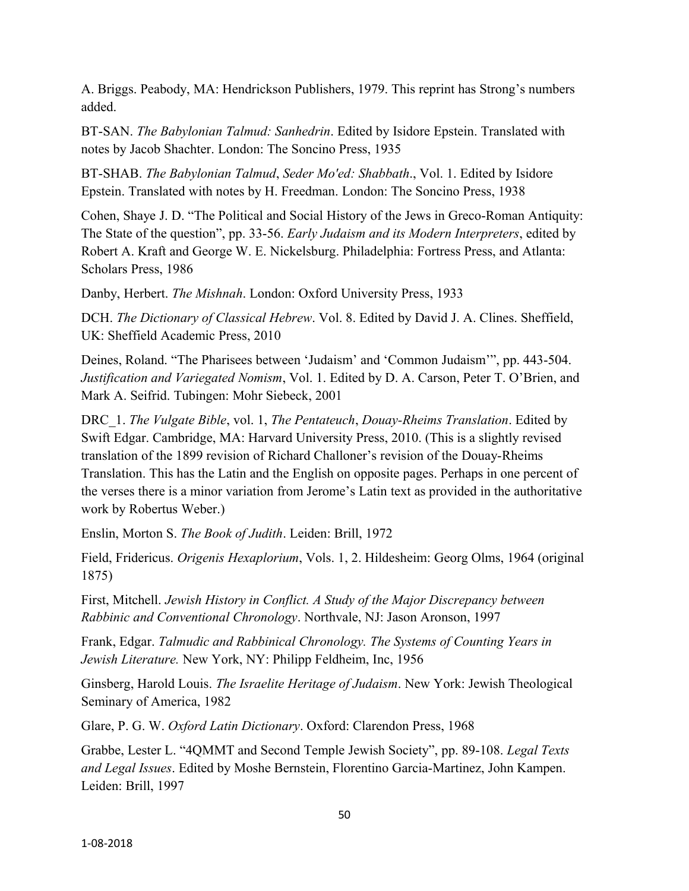A. Briggs. Peabody, MA: Hendrickson Publishers, 1979. This reprint has Strong's numbers added.

BT-SAN. *The Babylonian Talmud: Sanhedrin*. Edited by Isidore Epstein. Translated with notes by Jacob Shachter. London: The Soncino Press, 1935

BT-SHAB. *The Babylonian Talmud*, *Seder Mo'ed: Shabbath*., Vol. 1. Edited by Isidore Epstein. Translated with notes by H. Freedman. London: The Soncino Press, 1938

Cohen, Shaye J. D. "The Political and Social History of the Jews in Greco-Roman Antiquity: The State of the question", pp. 33-56. *Early Judaism and its Modern Interpreters*, edited by Robert A. Kraft and George W. E. Nickelsburg. Philadelphia: Fortress Press, and Atlanta: Scholars Press, 1986

Danby, Herbert. *The Mishnah*. London: Oxford University Press, 1933

DCH. *The Dictionary of Classical Hebrew*. Vol. 8. Edited by David J. A. Clines. Sheffield, UK: Sheffield Academic Press, 2010

Deines, Roland. "The Pharisees between 'Judaism' and 'Common Judaism'", pp. 443-504. *Justification and Variegated Nomism*, Vol. 1. Edited by D. A. Carson, Peter T. O'Brien, and Mark A. Seifrid. Tubingen: Mohr Siebeck, 2001

DRC\_1. *The Vulgate Bible*, vol. 1, *The Pentateuch*, *Douay-Rheims Translation*. Edited by Swift Edgar. Cambridge, MA: Harvard University Press, 2010. (This is a slightly revised translation of the 1899 revision of Richard Challoner's revision of the Douay-Rheims Translation. This has the Latin and the English on opposite pages. Perhaps in one percent of the verses there is a minor variation from Jerome's Latin text as provided in the authoritative work by Robertus Weber.)

Enslin, Morton S. *The Book of Judith*. Leiden: Brill, 1972

Field, Fridericus. *Origenis Hexaplorium*, Vols. 1, 2. Hildesheim: Georg Olms, 1964 (original 1875)

First, Mitchell. *Jewish History in Conflict. A Study of the Major Discrepancy between Rabbinic and Conventional Chronology*. Northvale, NJ: Jason Aronson, 1997

Frank, Edgar. *Talmudic and Rabbinical Chronology. The Systems of Counting Years in Jewish Literature.* New York, NY: Philipp Feldheim, Inc, 1956

Ginsberg, Harold Louis. *The Israelite Heritage of Judaism*. New York: Jewish Theological Seminary of America, 1982

Glare, P. G. W. *Oxford Latin Dictionary*. Oxford: Clarendon Press, 1968

Grabbe, Lester L. "4QMMT and Second Temple Jewish Society", pp. 89-108. *Legal Texts and Legal Issues*. Edited by Moshe Bernstein, Florentino Garcia-Martinez, John Kampen. Leiden: Brill, 1997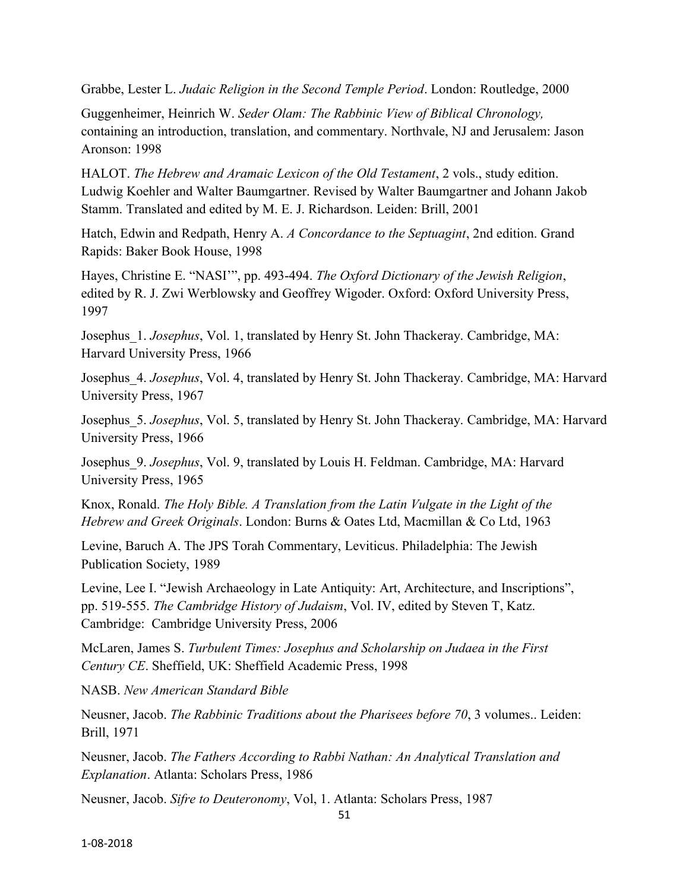Grabbe, Lester L. *Judaic Religion in the Second Temple Period*. London: Routledge, 2000

Guggenheimer, Heinrich W. *Seder Olam: The Rabbinic View of Biblical Chronology,*  containing an introduction, translation, and commentary. Northvale, NJ and Jerusalem: Jason Aronson: 1998

HALOT. *The Hebrew and Aramaic Lexicon of the Old Testament*, 2 vols., study edition. Ludwig Koehler and Walter Baumgartner. Revised by Walter Baumgartner and Johann Jakob Stamm. Translated and edited by M. E. J. Richardson. Leiden: Brill, 2001

Hatch, Edwin and Redpath, Henry A. *A Concordance to the Septuagint*, 2nd edition. Grand Rapids: Baker Book House, 1998

Hayes, Christine E. "NASI'", pp. 493-494. *The Oxford Dictionary of the Jewish Religion*, edited by R. J. Zwi Werblowsky and Geoffrey Wigoder. Oxford: Oxford University Press, 1997

Josephus\_1. *Josephus*, Vol. 1, translated by Henry St. John Thackeray. Cambridge, MA: Harvard University Press, 1966

Josephus\_4. *Josephus*, Vol. 4, translated by Henry St. John Thackeray. Cambridge, MA: Harvard University Press, 1967

Josephus\_5. *Josephus*, Vol. 5, translated by Henry St. John Thackeray. Cambridge, MA: Harvard University Press, 1966

Josephus\_9. *Josephus*, Vol. 9, translated by Louis H. Feldman. Cambridge, MA: Harvard University Press, 1965

Knox, Ronald. *The Holy Bible. A Translation from the Latin Vulgate in the Light of the Hebrew and Greek Originals*. London: Burns & Oates Ltd, Macmillan & Co Ltd, 1963

Levine, Baruch A. The JPS Torah Commentary, Leviticus. Philadelphia: The Jewish Publication Society, 1989

Levine, Lee I. "Jewish Archaeology in Late Antiquity: Art, Architecture, and Inscriptions", pp. 519-555. *The Cambridge History of Judaism*, Vol. IV, edited by Steven T, Katz. Cambridge: Cambridge University Press, 2006

McLaren, James S. *Turbulent Times: Josephus and Scholarship on Judaea in the First Century CE*. Sheffield, UK: Sheffield Academic Press, 1998

NASB. *New American Standard Bible*

Neusner, Jacob. *The Rabbinic Traditions about the Pharisees before 70*, 3 volumes.. Leiden: Brill, 1971

Neusner, Jacob. *The Fathers According to Rabbi Nathan: An Analytical Translation and Explanation*. Atlanta: Scholars Press, 1986

Neusner, Jacob. *Sifre to Deuteronomy*, Vol, 1. Atlanta: Scholars Press, 1987